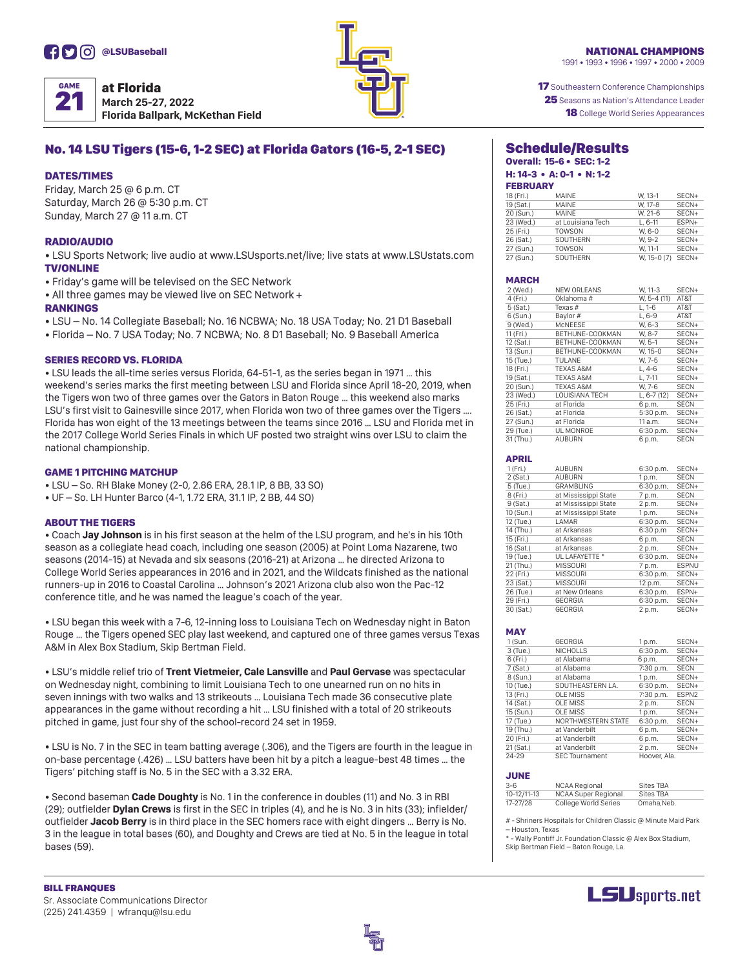

| <b>GAME</b> | at Florida              |
|-------------|-------------------------|
|             | <b>March 25-27, 2</b>   |
|             | <b>Florida Ballparl</b> |

**M22 k, McKethan Field** 



**17** Southeastern Conference Championships 25 Seasons as Nation's Attendance Leader **18** College World Series Appearances

# No. 14 LSU Tigers (15-6, 1-2 SEC) at Florida Gators (16-5, 2-1 SEC)

### DATES/TIMES

Friday, March  $25 \oplus 6$  p.m. CT Saturday, March 26 @ 5:30 p.m. CT Sunday, March 27 @ 11 a.m. CT

### RADIO/AUDIO

• LSU Sports Network; live audio at www.LSUsports.net/live; live stats at www.LSUstats.com **TV/ONLINE** 

- Friday's game will be televised on the SEC Network
- All three games may be viewed live on SEC Network +

### **RANKINGS**

• LSU – No. 14 Collegiate Baseball; No. 16 NCBWA; No. 18 USA Today; No. 21 D1 Baseball

• Florida – No. 7 USA Today; No. 7 NCBWA; No. 8 D1 Baseball; No. 9 Baseball America

### **SERIES RECORD VS. FLORIDA**

• LSU leads the all-time series versus Florida, 64-51-1, as the series began in 1971 ... this weekend's series marks the first meeting between LSU and Florida since April 18-20, 2019, when the Tigers won two of three games over the Gators in Baton Rouge ... this weekend also marks LSU's first visit to Gainesville since 2017, when Florida won two of three games over the Tigers .... Florida has won eight of the 13 meetings between the teams since 2016 ... LSU and Florida met in the 2017 College World Series Finals in which UF posted two straight wins over LSU to claim the national championship.

### **GAME 1 PITCHING MATCHUP**

• LSU - So. RH Blake Money (2-0, 2.86 ERA, 28.1 IP, 8 BB, 33 SO)

• UF - So. LH Hunter Barco (4-1, 1.72 ERA, 31.1 IP, 2 BB, 44 SO)

### **ABOUT THE TIGERS**

• Coach Jay Johnson is in his first season at the helm of the LSU program, and he's in his 10th season as a collegiate head coach, including one season (2005) at Point Loma Nazarene, two seasons (2014-15) at Nevada and six seasons (2016-21) at Arizona ... he directed Arizona to College World Series appearances in 2016 and in 2021, and the Wildcats finished as the national runners-up in 2016 to Coastal Carolina ... Johnson's 2021 Arizona club also won the Pac-12 conference title, and he was named the league's coach of the year.

• LSU began this week with a 7-6, 12-inning loss to Louisiana Tech on Wednesday night in Baton Rouge ... the Tigers opened SEC play last weekend, and captured one of three games versus Texas A&M in Alex Box Stadium, Skip Bertman Field.

 $\bullet$  LSU's middle relief trio of Trent Vietmeier, Cale Lansville and Paul Gervase was spectacular on Wednesday night, combining to limit Louisiana Tech to one unearned run on no hits in seven innings with two walks and 13 strikeouts ... Louisiana Tech made 36 consecutive plate appearances in the game without recording a hit … LSU finished with a total of 20 strikeouts pitched in game, just four shy of the school-record 24 set in 1959.

• LSU is No. 7 in the SEC in team batting average (.306), and the Tigers are fourth in the league in on-base percentage (.426) … LSU batters have been hit by a pitch a league-best 48 times … the Tigers' pitching staff is No. 5 in the SEC with a 3.32 ERA.

• Second baseman **Cade Doughty** is No. 1 in the conference in doubles (11) and No. 3 in RBI (29); outfielder **Dylan Crews** is first in the SEC in triples (4), and he is No. 3 in hits (33); infielder/ outfielder Jacob Berry is in third place in the SEC homers race with eight dingers ... Berry is No. 3 in the league in total bases (60), and Doughty and Crews are tied at No. 5 in the league in total bases  $(59)$ .

### Schedule/Results Overall: 15-6 • SEC: 1-2

### H: 14-3 • A: 0-1 • N: 1-2 **EERDUADY**

| FEDRUART  |                   |             |         |
|-----------|-------------------|-------------|---------|
| 18 (Fri.) | MAINF             | W. 13-1     | $SFCN+$ |
| 19 (Sat.) | MAINE             | W. 17-8     | SECN+   |
| 20 (Sun.) | MAINE             | W. 21-6     | SECN+   |
| 23 (Wed.) | at Louisiana Tech | $L.6-11$    | FSPN+   |
| 25 (Fri.) | <b>TOWSON</b>     | W. 6-0      | SECN+   |
| 26 (Sat.) | SOUTHERN          | W. 9-2      | $SFCN+$ |
| 27 (Sun.) | <b>TOWSON</b>     | W. 11-1     | SECN+   |
| 27 (Sun.) | SOUTHERN          | W. 15-0 (7) | SECN+   |

### MARCH

| 2 (Wed.)   | <b>NEW ORLEANS</b>   | W. 11-3      | SECN+       |
|------------|----------------------|--------------|-------------|
| 4 (Fri.)   | Oklahoma #           | W. 5-4 (11)  | AT&T        |
| 5(Sat.)    | Texas#               | $L. 1 - 6$   | AT&T        |
| $6$ (Sun.) | Baylor #             | $L, 6-9$     | AT&T        |
| 9 (Wed.)   | <b>MCNEESE</b>       | W. 6-3       | SECN+       |
| 11 (Fri.)  | BETHUNE-COOKMAN      | W. 8-7       | SECN+       |
| 12 (Sat.)  | BETHUNE-COOKMAN      | W. 5-1       | SECN+       |
| 13 (Sun.)  | BETHUNE-COOKMAN      | W. 15-0      | SECN+       |
| 15 (Tue.)  | <b>TULANE</b>        | W, 7-5       | SECN+       |
| 18 (Fri.)  | <b>TEXAS A&amp;M</b> | L. 4-6       | SECN+       |
| 19 (Sat.)  | <b>TEXAS A&amp;M</b> | $L.7-11$     | SECN+       |
| 20 (Sun.)  | <b>TEXAS A&amp;M</b> | W. 7-6       | <b>SECN</b> |
| 23 (Wed.)  | LOUISIANA TECH       | $L, 6-7(12)$ | SECN+       |
| 25 (Fri.)  | at Florida           | 6 p.m.       | <b>SECN</b> |
| 26 (Sat.)  | at Florida           | 5:30 p.m.    | SECN+       |
| 27 (Sun.)  | at Florida           | 11 a.m.      | SECN+       |
| 29 (Tue.)  | UL MONROE            | 6:30 p.m.    | SECN+       |
| 31 (Thu.)  | <b>AUBURN</b>        | 6 p.m.       | <b>SECN</b> |

### APRIL

| 1 (Fri.)  | <b>AUBURN</b>        | 6:30 p.m. | SECN+        |
|-----------|----------------------|-----------|--------------|
| 2(Sat.)   | <b>AUBURN</b>        | 1 p.m.    | <b>SECN</b>  |
| 5 (Tue.)  | <b>GRAMBLING</b>     | 6:30 p.m. | SECN+        |
| 8 (Fri.)  | at Mississippi State | 7 p.m.    | <b>SECN</b>  |
| 9(Sat.)   | at Mississippi State | 2 p.m.    | SECN+        |
| 10 (Sun.) | at Mississippi State | 1 p.m.    | SECN+        |
| 12 (Tue.) | LAMAR                | 6:30 p.m. | SECN+        |
| 14 (Thu.) | at Arkansas          | 6:30 p.m  | $SECN+$      |
| 15 (Fri.) | at Arkansas          | 6 p.m.    | <b>SECN</b>  |
| 16 (Sat.) | at Arkansas          | 2 p.m.    | SECN+        |
| 19 (Tue.) | UL LAFAYETTE *       | 6:30 p.m. | SECN+        |
| 21 (Thu.) | <b>MISSOURI</b>      | 7 p.m.    | <b>ESPNU</b> |
| 22 (Fri.) | <b>MISSOURI</b>      | 6:30 p.m. | SECN+        |
| 23 (Sat.) | <b>MISSOURI</b>      | 12 p.m.   | SECN+        |
| 26 (Tue.) | at New Orleans       | 6:30 p.m. | ESPN+        |
| 29 (Fri.) | <b>GEORGIA</b>       | 6:30 p.m. | SECN+        |
| 30 (Sat.) | <b>GEORGIA</b>       | 2 p.m.    | SECN+        |

### MAY

| $1$ (Sun. | <b>GEORGIA</b>        | 1 p.m.       | SECN+             |
|-----------|-----------------------|--------------|-------------------|
| 3 (Tue.)  | NICHOLLS              | 6:30 p.m.    | SFCN+             |
| 6 (Fri.)  | at Alabama            | 6 p.m.       | SECN+             |
| 7 (Sat.)  | at Alabama            | 7:30 p.m.    | <b>SECN</b>       |
| 8 (Sun.)  | at Alabama            | 1 p.m.       | SECN+             |
| 10 (Tue.) | SOUTHEASTERN LA.      | 6:30 p.m.    | SECN+             |
| 13 (Fri.) | <b>OLE MISS</b>       | 7:30 p.m.    | ESPN <sub>2</sub> |
| 14 (Sat.) | <b>OLE MISS</b>       | 2 p.m.       | <b>SECN</b>       |
| 15 (Sun.) | <b>OLE MISS</b>       | 1 p.m.       | SECN+             |
| 17 (Tue.) | NORTHWESTERN STATE    | 6:30 p.m.    | SECN+             |
| 19 (Thu.) | at Vanderbilt         | 6 p.m.       | SECN+             |
| 20 (Fri.) | at Vanderbilt         | 6 p.m.       | SECN+             |
| 21 (Sat.) | at Vanderbilt         | 2 p.m.       | SECN+             |
| $24 - 29$ | <b>SEC Tournament</b> | Hoover, Ala. |                   |

### JUNE

| $3-6$       | <b>NCAA Regional</b>       | Sites TBA  |
|-------------|----------------------------|------------|
| 10-12/11-13 | <b>NCAA Super Regional</b> | Sites TBA  |
| 17-27/28    | College World Series       | Omaha.Neb. |

# - Shriners Hospitals for Children Classic @ Minute Maid Park – Houston, Texas

\* - Wally Pontiff Jr. Foundation Classic @ Alex Box Stadium, Skip Bertman Field – Baton Rouge, La.

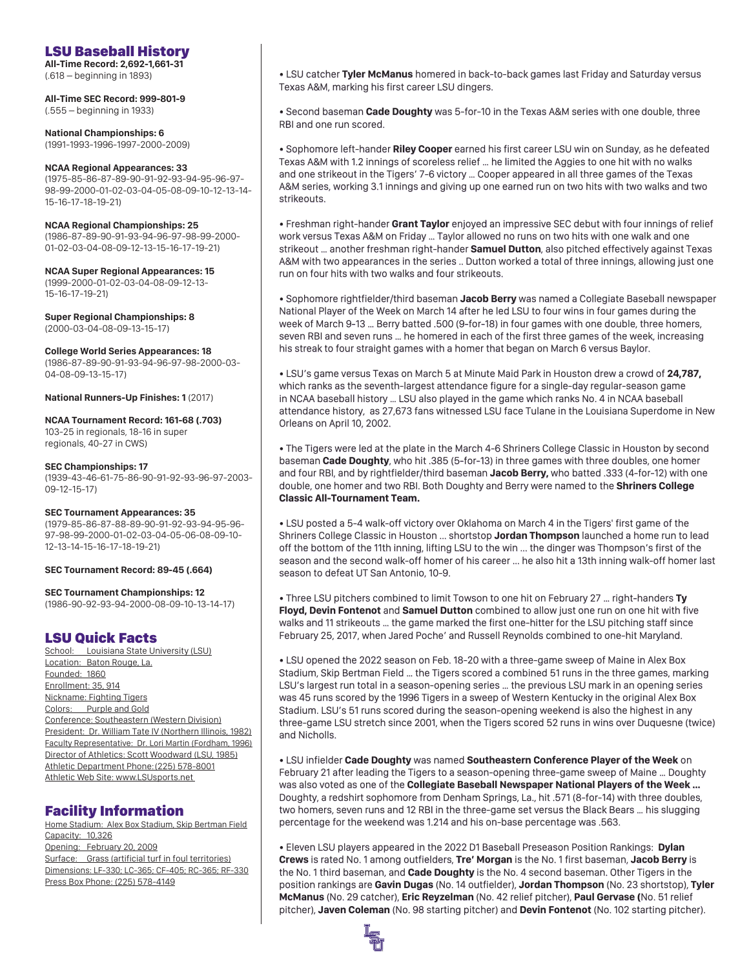# LSU Baseball History

**All-Time Record: 2,692-1,661-31** (.618 – beginning in 1893)

**All-Time SEC Record: 999-801-9**  (.555 – beginning in 1933)

**National Championships: 6**  (1991-1993-1996-1997-2000-2009)

### **NCAA Regional Appearances: 33**

(1975-85-86-87-89-90-91-92-93-94-95-96-97- 98-99-2000-01-02-03-04-05-08-09-10-12-13-14- 15-16-17-18-19-21)

### **NCAA Regional Championships: 25**

(1986-87-89-90-91-93-94-96-97-98-99-2000- 01-02-03-04-08-09-12-13-15-16-17-19-21)

**NCAA Super Regional Appearances: 15** (1999-2000-01-02-03-04-08-09-12-13- 15-16-17-19-21)

**Super Regional Championships: 8**  (2000-03-04-08-09-13-15-17)

### **College World Series Appearances: 18**

(1986-87-89-90-91-93-94-96-97-98-2000-03- 04-08-09-13-15-17)

**National Runners-Up Finishes: 1** (2017)

### **NCAA Tournament Record: 161-68 (.703)**

103-25 in regionals, 18-16 in super regionals, 40-27 in CWS)

### **SEC Championships: 17**

(1939-43-46-61-75-86-90-91-92-93-96-97-2003- 09-12-15-17)

### **SEC Tournament Appearances: 35**

(1979-85-86-87-88-89-90-91-92-93-94-95-96- 97-98-99-2000-01-02-03-04-05-06-08-09-10- 12-13-14-15-16-17-18-19-21)

### **SEC Tournament Record: 89-45 (.664)**

**SEC Tournament Championships: 12**  (1986-90-92-93-94-2000-08-09-10-13-14-17)

# LSU Quick Facts

School: Louisiana State University (LSU) Location: Baton Rouge, La. Founded: 1860 Enrollment: 35, 914 Nickname: Fighting Tigers Colors: Purple and Gold Conference: Southeastern (Western Division) President: Dr. William Tate IV (Northern Illinois, 1982) Faculty Representative: Dr. Lori Martin (Fordham, 1996) Director of Athletics: Scott Woodward (LSU, 1985) Athletic Department Phone: (225) 578-8001 Athletic Web Site: www.LSUsports.net

# Facility Information

Home Stadium: Alex Box Stadium, Skip Bertman Field Capacity: 10,326 Opening: February 20, 2009 Surface: Grass (artificial turf in foul territories) Dimensions: LF-330; LC-365; CF-405; RC-365; RF-330 Press Box Phone: (225) 578-4149

• LSU catcher **Tyler McManus** homered in back-to-back games last Friday and Saturday versus Texas A&M, marking his first career LSU dingers.

• Second baseman **Cade Doughty** was 5-for-10 in the Texas A&M series with one double, three RBI and one run scored.

• Sophomore left-hander Riley Cooper earned his first career LSU win on Sunday, as he defeated Texas A&M with 1.2 innings of scoreless relief ... he limited the Aggies to one hit with no walks and one strikeout in the Tigers' 7-6 victory ... Cooper appeared in all three games of the Texas A&M series, working 3.1 innings and giving up one earned run on two hits with two walks and two strikeouts.

• Freshman right-hander Grant Taylor enjoyed an impressive SEC debut with four innings of relief work versus Texas A&M on Friday ... Taylor allowed no runs on two hits with one walk and one strikeout ... another freshman right-hander **Samuel Dutton**, also pitched effectively against Texas A&M with two appearances in the series .. Dutton worked a total of three innings, allowing just one run on four hits with two walks and four strikeouts.

• Sophomore rightfielder/third baseman Jacob Berry was named a Collegiate Baseball newspaper National Player of the Week on March 14 after he led LSU to four wins in four games during the week of March 9-13 ... Berry batted .500 (9-for-18) in four games with one double, three homers, seven RBI and seven runs ... he homered in each of the first three games of the week, increasing his streak to four straight games with a homer that began on March 6 versus Baylor.

• LSU's game versus Texas on March 5 at Minute Maid Park in Houston drew a crowd of 24,787, which ranks as the seventh-largest attendance figure for a single-day regular-season game in NCAA baseball history ... LSU also played in the game which ranks No. 4 in NCAA baseball attendance history, as 27,673 fans witnessed LSU face Tulane in the Louisiana Superdome in New Orleans on April 10, 2002.

• The Tigers were led at the plate in the March 4-6 Shriners College Classic in Houston by second baseman **Cade Doughty**, who hit .385 (5-for-13) in three games with three doubles, one homer and four RBI, and by rightfielder/third baseman Jacob Berry, who batted .333 (4-for-12) with one double, one homer and two RBI. Both Doughty and Berry were named to the **Shriners College Classic All-Tournament Team. lassic All-Tournament**

• LSU posted a 5-4 walk-off victory over Oklahoma on March 4 in the Tigers' first game of the Shriners College Classic in Houston ... shortstop **Jordan Thompson** launched a home run to lead off the bottom of the 11th inning, lifting LSU to the win ... the dinger was Thompson's first of the season and the second walk-off homer of his career ... he also hit a 13th inning walk-off homer last season to defeat UT San Antonio, 10-9.

• Three LSU pitchers combined to limit Towson to one hit on February 27 … right-handers Three LSU pitchers combined to limit Towson to one hit on February 27 … right-handers **Ty** Floyd, Devin Fontenot and Samuel Dutton combined to allow just one run on one hit with five walks and 11 strikeouts … the game marked the first one-hitter for the LSU pitching staff since February 25, 2017, when Jared Poche' and Russell Reynolds combined to one-hit Maryland.

• LSU opened the 2022 season on Feb. 18-20 with a three-game sweep of Maine in Alex Box Stadium, Skip Bertman Field ... the Tigers scored a combined 51 runs in the three games, marking LSU's largest run total in a season-opening series ... the previous LSU mark in an opening series was 45 runs scored by the 1996 Tigers in a sweep of Western Kentucky in the original Alex Box Stadium. LSU's 51 runs scored during the season-opening weekend is also the highest in any three-game LSU stretch since 2001, when the Tigers scored 52 runs in wins over Duquesne (twice) and Nicholls.

 $\bullet$  LSU infielder Cade Doughty was named Southeastern Conference Player of the Week on February 21 after leading the Tigers to a season-opening three-game sweep of Maine ... Doughty was also voted as one of the Collegiate Baseball Newspaper National Players of the Week... Doughty, a redshirt sophomore from Denham Springs, La., hit .571 (8-for-14) with three doubles, two homers, seven runs and 12 RBI in the three-game set versus the Black Bears ... his slugging percentage for the weekend was 1.214 and his on-base percentage was .563.

• Eleven LSU players appeared in the 2022 D1 Baseball Preseason Position Rankings: Dylan **Crews** is rated No. 1 among outfielders, Tre' Morgan is the No. 1 first baseman, Jacob Berry is the No. 1 third baseman, and **Cade Doughty** is the No. 4 second baseman. Other Tigers in the position rankings are Gavin Dugas (No. 14 outfielder), Jordan Thompson (No. 23 shortstop), Tyler **McManus** (No. 29 catcher), **Eric Reyzelman** (No. 42 relief pitcher), Paul Gervase (No. 51 relief pitcher), Javen Coleman (No. 98 starting pitcher) and Devin Fontenot (No. 102 starting pitcher).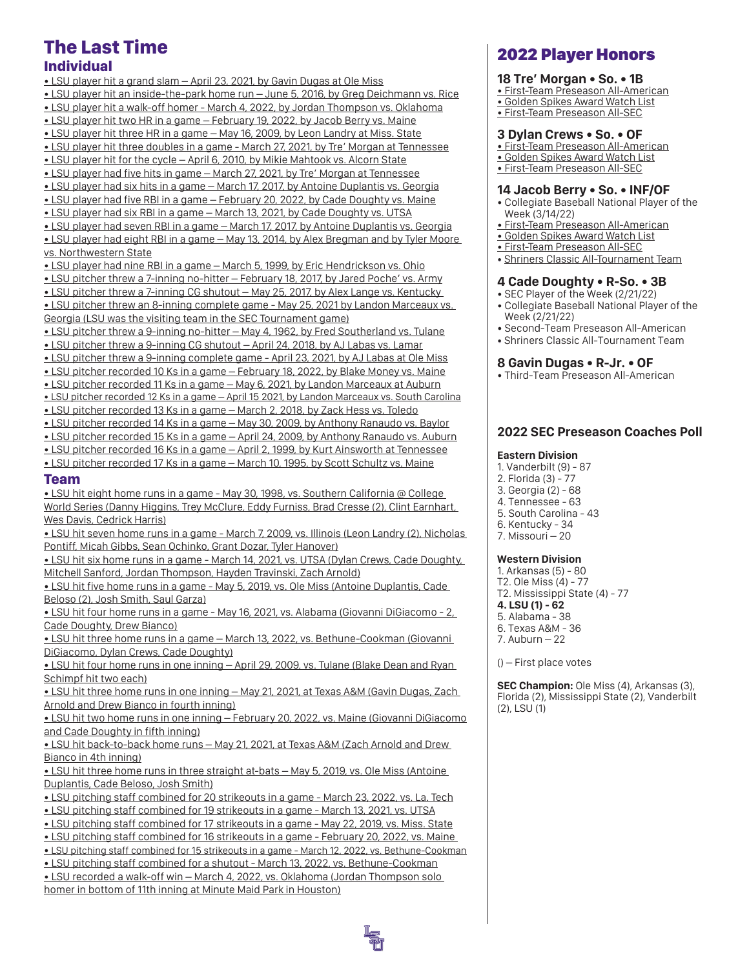# The Last Time

# Individual

• LSU player hit a grand slam – April 23, 2021, by Gavin Dugas at Ole Miss • LSU player hit an inside-the-park home run – June 5, 2016, by Greg Deichmann vs. Rice • LSU player hit a walk-off homer - March 4, 2022, by Jordan Thompson vs. Oklahoma • LSU player hit two HR in a game – February 19, 2022, by Jacob Berry vs. Maine • LSU player hit three HR in a game – May 16, 2009, by Leon Landry at Miss. State • LSU player hit three doubles in a game - March 27, 2021, by Tre' Morgan at Tennessee • LSU player hit for the cycle – April 6, 2010, by Mikie Mahtook vs. Alcorn State • LSU player had five hits in game – March 27, 2021, by Tre' Morgan at Tennessee • LSU player had six hits in a game – March 17, 2017, by Antoine Duplantis vs. Georgia • LSU player had five RBI in a game – February 20, 2022, by Cade Doughty vs. Maine • LSU player had six RBI in a game – March 13, 2021, by Cade Doughty vs. UTSA • LSU player had seven RBI in a game – March 17, 2017, by Antoine Duplantis vs. Georgia • LSU player had eight RBI in a game – May 13, 2014, by Alex Bregman and by Tyler Moore vs. Northwestern State • LSU player had nine RBI in a game – March 5, 1999, by Eric Hendrickson vs. Ohio • LSU pitcher threw a 7-inning no-hitter – February 18, 2017, by Jared Poche' vs. Army

• LSU pitcher threw a 7-inning CG shutout – May 25, 2017, by Alex Lange vs. Kentucky • LSU pitcher threw an 8-inning complete game - May 25, 2021 by Landon Marceaux vs. Georgia (LSU was the visiting team in the SEC Tournament game)

• LSU pitcher threw a 9-inning no-hitter – May 4, 1962, by Fred Southerland vs. Tulane

• LSU pitcher threw a 9-inning CG shutout – April 24, 2018, by AJ Labas vs. Lamar

- LSU pitcher threw a 9-inning complete game April 23, 2021, by AJ Labas at Ole Miss
- LSU pitcher recorded 10 Ks in a game February 18, 2022, by Blake Money vs. Maine

• LSU pitcher recorded 11 Ks in a game – May 6, 2021, by Landon Marceaux at Auburn

• LSU pitcher recorded 12 Ks in a game – April 15 2021, by Landon Marceaux vs. South Carolina

• LSU pitcher recorded 13 Ks in a game – March 2, 2018, by Zack Hess vs. Toledo

• LSU pitcher recorded 14 Ks in a game – May 30, 2009, by Anthony Ranaudo vs. Baylor

• LSU pitcher recorded 15 Ks in a game – April 24, 2009, by Anthony Ranaudo vs. Auburn

• LSU pitcher recorded 16 Ks in a game – April 2, 1999, by Kurt Ainsworth at Tennessee • LSU pitcher recorded 17 Ks in a game – March 10, 1995, by Scott Schultz vs. Maine

### Team

• LSU hit eight home runs in a game - May 30, 1998, vs. Southern California @ College World Series (Danny Higgins, Trey McClure, Eddy Furniss, Brad Cresse (2), Clint Earnhart, Wes Davis, Cedrick Harris)

• LSU hit seven home runs in a game - March 7, 2009, vs. Illinois (Leon Landry (2), Nicholas Pontiff, Micah Gibbs, Sean Ochinko, Grant Dozar, Tyler Hanover)

• LSU hit six home runs in a game - March 14, 2021, vs. UTSA (Dylan Crews, Cade Doughty, Mitchell Sanford, Jordan Thompson, Hayden Travinski, Zach Arnold)

• LSU hit five home runs in a game - May 5, 2019, vs. Ole Miss (Antoine Duplantis, Cade Beloso (2), Josh Smith, Saul Garza)

• LSU hit four home runs in a game - May 16, 2021, vs. Alabama (Giovanni DiGiacomo - 2, Cade Doughty, Drew Bianco)

• LSU hit three home runs in a game – March 13, 2022, vs. Bethune-Cookman (Giovanni DiGiacomo, Dylan Crews, Cade Doughty)

• LSU hit four home runs in one inning – April 29, 2009, vs. Tulane (Blake Dean and Ryan Schimpf hit two each)

• LSU hit three home runs in one inning – May 21, 2021, at Texas A&M (Gavin Dugas, Zach Arnold and Drew Bianco in fourth inning)

• LSU hit two home runs in one inning – February 20, 2022, vs. Maine (Giovanni DiGiacomo and Cade Doughty in fifth inning)

• LSU hit back-to-back home runs – May 21, 2021, at Texas A&M (Zach Arnold and Drew Bianco in 4th inning)

• LSU hit three home runs in three straight at-bats – May 5, 2019, vs. Ole Miss (Antoine Duplantis, Cade Beloso, Josh Smith)

• LSU pitching staff combined for 20 strikeouts in a game - March 23, 2022, vs. La. Tech

• LSU pitching staff combined for 19 strikeouts in a game - March 13, 2021, vs. UTSA

• LSU pitching staff combined for 17 strikeouts in a game - May 22, 2019, vs. Miss. State

• LSU pitching staff combined for 16 strikeouts in a game - February 20, 2022, vs. Maine

• LSU pitching staff combined for 15 strikeouts in a game - March 12, 2022, vs. Bethune-Cookman

• LSU pitching staff combined for a shutout - March 13, 2022, vs. Bethune-Cookman

• LSU recorded a walk-off win – March 4, 2022, vs. Oklahoma (Jordan Thompson solo homer in bottom of 11th inning at Minute Maid Park in Houston)

# 2022 Player Honors

### **18 Tre' Morgan • So. • 1B**

- First-Team Preseason All-American
- Golden Spikes Award Watch List
- First-Team Preseason All-SEC

### **3 Dylan Crews • So. • OF**

- First-Team Preseason All-American
- Golden Spikes Award Watch List
- First-Team Preseason All-SEC

### **14 Jacob Berry • So. • INF/OF**

- Collegiate Baseball National Player of the Week (3/14/22)
- First-Team Preseason All-American
- Golden Spikes Award Watch List
- First-Team Preseason All-SEC
- Shriners Classic All-Tournament Team

### **4 Cade Doughty • R-So. • 3B**

- SEC Player of the Week (2/21/22) • Collegiate Baseball National Player of the Week (2/21/22)
- Second-Team Preseason All-American
- Shriners Classic All-Tournament Team

### **8 Gavin Dugas • R-Jr. • OF**

• Third-Team Preseason All-American

# **2022 SEC Preseason Coaches Poll**

### **Eastern Division**

- 1. Vanderbilt (9) 87
- 2. Florida (3) 77
- 3. Georgia (2) 68
- 4. Tennessee 63
- 5. South Carolina 43
- 6. Kentucky 34 7. Missouri – 20

**Western Division** 1. Arkansas (5) - 80 T2. Ole Miss (4) - 77 T2. Mississippi State (4) - 77 **4. LSU (1) - 62** 5. Alabama - 38 6. Texas A&M - 36 7. Auburn – 22

() – First place votes

**SEC Champion:** Ole Miss (4), Arkansas (3), Florida (2), Mississippi State (2), Vanderbilt (2), LSU (1)

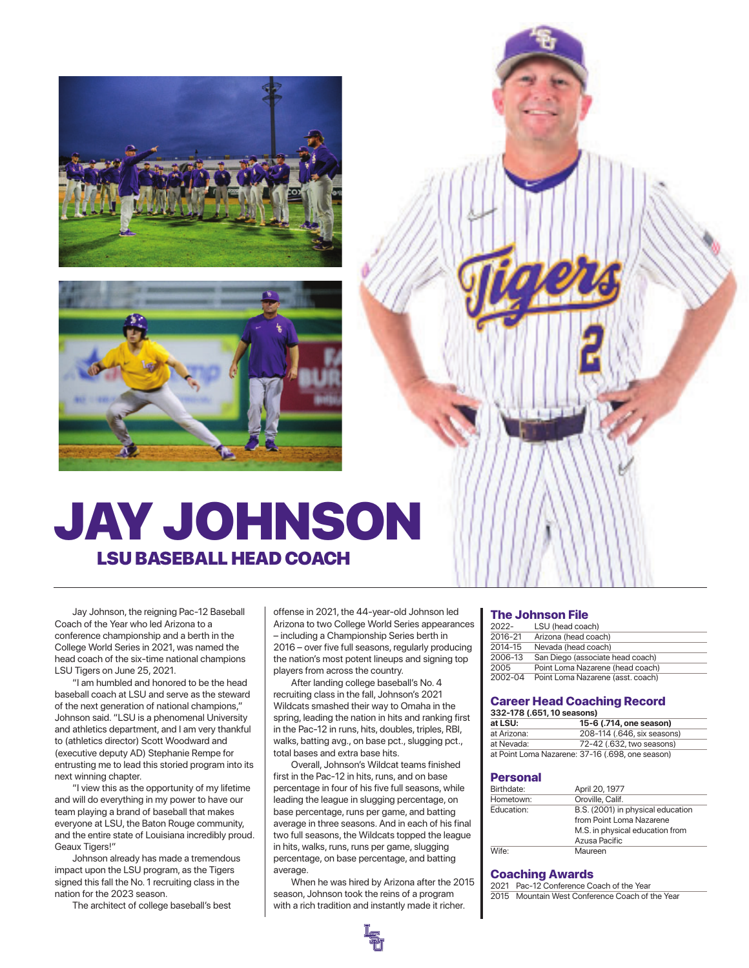



# JAY JOHNSON LSU BASEBALL HEAD COACH

Jay Johnson, the reigning Pac-12 Baseball Coach of the Year who led Arizona to a conference championship and a berth in the College World Series in 2021, was named the head coach of the six-time national champions LSU Tigers on June 25, 2021.

 "I am humbled and honored to be the head baseball coach at LSU and serve as the steward of the next generation of national champions," Johnson said. "LSU is a phenomenal University and athletics department, and I am very thankful to (athletics director) Scott Woodward and (executive deputy AD) Stephanie Rempe for entrusting me to lead this storied program into its next winning chapter.

 "I view this as the opportunity of my lifetime and will do everything in my power to have our team playing a brand of baseball that makes everyone at LSU, the Baton Rouge community, and the entire state of Louisiana incredibly proud. Geaux Tigers!"

 Johnson already has made a tremendous impact upon the LSU program, as the Tigers signed this fall the No. 1 recruiting class in the nation for the 2023 season.

The architect of college baseball's best

offense in 2021, the 44-year-old Johnson led Arizona to two College World Series appearances – including a Championship Series berth in 2016 – over five full seasons, regularly producing the nation's most potent lineups and signing top players from across the country.

 After landing college baseball's No. 4 recruiting class in the fall, Johnson's 2021 Wildcats smashed their way to Omaha in the spring, leading the nation in hits and ranking first in the Pac-12 in runs, hits, doubles, triples, RBI, walks, batting avg., on base pct., slugging pct., total bases and extra base hits.

 Overall, Johnson's Wildcat teams finished first in the Pac-12 in hits, runs, and on base percentage in four of his five full seasons, while leading the league in slugging percentage, on base percentage, runs per game, and batting average in three seasons. And in each of his final two full seasons, the Wildcats topped the league in hits, walks, runs, runs per game, slugging percentage, on base percentage, and batting average.

 When he was hired by Arizona after the 2015 season, Johnson took the reins of a program with a rich tradition and instantly made it richer.

### The Johnson File

|         | .                                 |
|---------|-----------------------------------|
| 2022-   | LSU (head coach)                  |
| 2016-21 | Arizona (head coach)              |
| 2014-15 | Nevada (head coach)               |
| 2006-13 | San Diego (associate head coach)  |
| 2005    | Point Loma Nazarene (head coach)  |
| 2002-04 | Point Loma Nazarene (asst. coach) |
|         |                                   |

### Career Head Coaching Record

| 332-178 (.651, 10 seasons) |                                                  |  |  |  |  |  |  |  |  |  |  |
|----------------------------|--------------------------------------------------|--|--|--|--|--|--|--|--|--|--|
| at LSU:                    | 15-6 (.714, one season)                          |  |  |  |  |  |  |  |  |  |  |
| at Arizona:                | 208-114 (.646, six seasons)                      |  |  |  |  |  |  |  |  |  |  |
| at Nevada:                 | 72-42 (.632, two seasons)                        |  |  |  |  |  |  |  |  |  |  |
|                            | at Point Loma Nazarene: 37-16 (.698, one season) |  |  |  |  |  |  |  |  |  |  |

### Personal

| April 20, 1977                    |
|-----------------------------------|
| Oroville, Calif.                  |
| B.S. (2001) in physical education |
| from Point Loma Nazarene          |
| M.S. in physical education from   |
| Azusa Pacific                     |
| Maureen                           |
|                                   |

### Coaching Awards

2021 Pac-12 Conference Coach of the Year 2015 Mountain West Conference Coach of the Year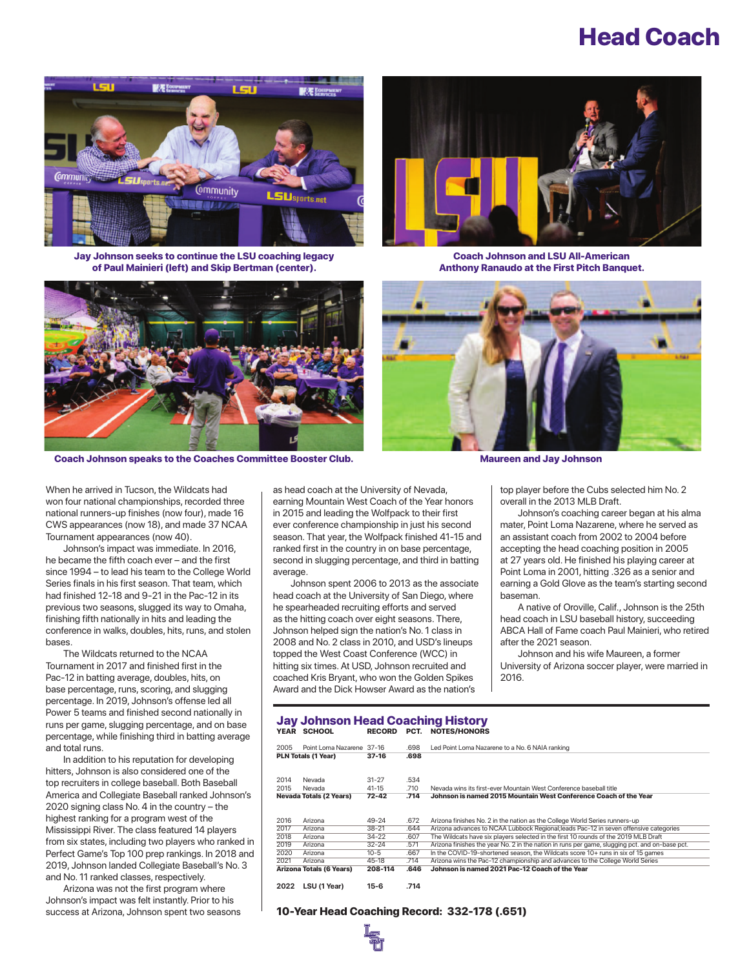# Head Coach



Jay Johnson seeks to continue the LSU coaching legacy of Paul Mainieri (left) and Skip Bertman (center).



Coach Johnson and LSU All-American Anthony Ranaudo at the First Pitch Banquet.





When he arrived in Tucson, the Wildcats had won four national championships, recorded three national runners-up finishes (now four), made 16 CWS appearances (now 18), and made 37 NCAA Tournament appearances (now 40).

 Johnson's impact was immediate. In 2016, he became the fifth coach ever – and the first since 1994 – to lead his team to the College World Series finals in his first season. That team, which had finished 12-18 and 9-21 in the Pac-12 in its previous two seasons, slugged its way to Omaha, finishing fifth nationally in hits and leading the conference in walks, doubles, hits, runs, and stolen bases.

 The Wildcats returned to the NCAA Tournament in 2017 and finished first in the Pac-12 in batting average, doubles, hits, on base percentage, runs, scoring, and slugging percentage. In 2019, Johnson's offense led all Power 5 teams and finished second nationally in runs per game, slugging percentage, and on base percentage, while finishing third in batting average and total runs.

 In addition to his reputation for developing hitters, Johnson is also considered one of the top recruiters in college baseball. Both Baseball America and Collegiate Baseball ranked Johnson's 2020 signing class No. 4 in the country – the highest ranking for a program west of the Mississippi River. The class featured 14 players from six states, including two players who ranked in Perfect Game's Top 100 prep rankings. In 2018 and 2019, Johnson landed Collegiate Baseball's No. 3 and No. 11 ranked classes, respectively.

Arizona was not the first program where Johnson's impact was felt instantly. Prior to his success at Arizona, Johnson spent two seasons as head coach at the University of Nevada, earning Mountain West Coach of the Year honors in 2015 and leading the Wolfpack to their first ever conference championship in just his second season. That year, the Wolfpack finished 41-15 and ranked first in the country in on base percentage, second in slugging percentage, and third in batting average.

 Johnson spent 2006 to 2013 as the associate head coach at the University of San Diego, where he spearheaded recruiting efforts and served as the hitting coach over eight seasons. There, Johnson helped sign the nation's No. 1 class in 2008 and No. 2 class in 2010, and USD's lineups topped the West Coast Conference (WCC) in hitting six times. At USD, Johnson recruited and coached Kris Bryant, who won the Golden Spikes Award and the Dick Howser Award as the nation's

top player before the Cubs selected him No. 2 overall in the 2013 MLB Draft.

 Johnson's coaching career began at his alma mater, Point Loma Nazarene, where he served as an assistant coach from 2002 to 2004 before accepting the head coaching position in 2005 at 27 years old. He finished his playing career at Point Loma in 2001, hitting .326 as a senior and earning a Gold Glove as the team's starting second baseman.

 A native of Oroville, Calif., Johnson is the 25th head coach in LSU baseball history, succeeding ABCA Hall of Fame coach Paul Mainieri, who retired after the 2021 season.

 Johnson and his wife Maureen, a former University of Arizona soccer player, were married in 2016.

### **Jay Johnson Head Coaching History**<br>YEAR SCHOOL RECORD PCT. NOTES/HONORS RECORD PCT. NOTES/HONORS

| 2005 | Point Loma Nazarene 37-16       |           | .698 | Led Point Loma Nazarene to a No. 6 NAIA ranking                                                |
|------|---------------------------------|-----------|------|------------------------------------------------------------------------------------------------|
|      | <b>PLN Totals (1 Year)</b>      | $37-16$   | .698 |                                                                                                |
|      |                                 |           |      |                                                                                                |
| 2014 | Nevada                          | $31 - 27$ | .534 |                                                                                                |
| 2015 | Nevada                          | $41 - 15$ | .710 | Nevada wins its first-ever Mountain West Conference baseball title                             |
|      | <b>Nevada Totals (2 Years)</b>  | $72 - 42$ | .714 | Johnson is named 2015 Mountain West Conference Coach of the Year                               |
|      |                                 |           |      |                                                                                                |
| 2016 | Arizona                         | 49-24     | .672 | Arizona finishes No. 2 in the nation as the College World Series runners-up                    |
| 2017 | Arizona                         | $38 - 21$ | .644 | Arizona advances to NCAA Lubbock Regional; leads Pac-12 in seven offensive categories          |
| 2018 | Arizona                         | $34-22$   | .607 | The Wildcats have six players selected in the first 10 rounds of the 2019 MLB Draft            |
| 2019 | Arizona                         | $32 - 24$ | .571 | Arizona finishes the year No. 2 in the nation in runs per game, slugging pct, and on-base pct. |
| 2020 | Arizona                         | $10 - 5$  | .667 | In the COVID-19-shortened season, the Wildcats score 10+ runs in six of 15 games               |
| 2021 | Arizona                         | $45 - 18$ | .714 | Arizona wins the Pac-12 championship and advances to the College World Series                  |
|      | <b>Arizona Totals (6 Years)</b> | 208-114   | .646 | Johnson is named 2021 Pac-12 Coach of the Year                                                 |
|      |                                 |           |      |                                                                                                |
| 2022 | LSU (1 Year)                    | $15-6$    | .714 |                                                                                                |

### 10-Year Head Coaching Record: 332-178 (.651)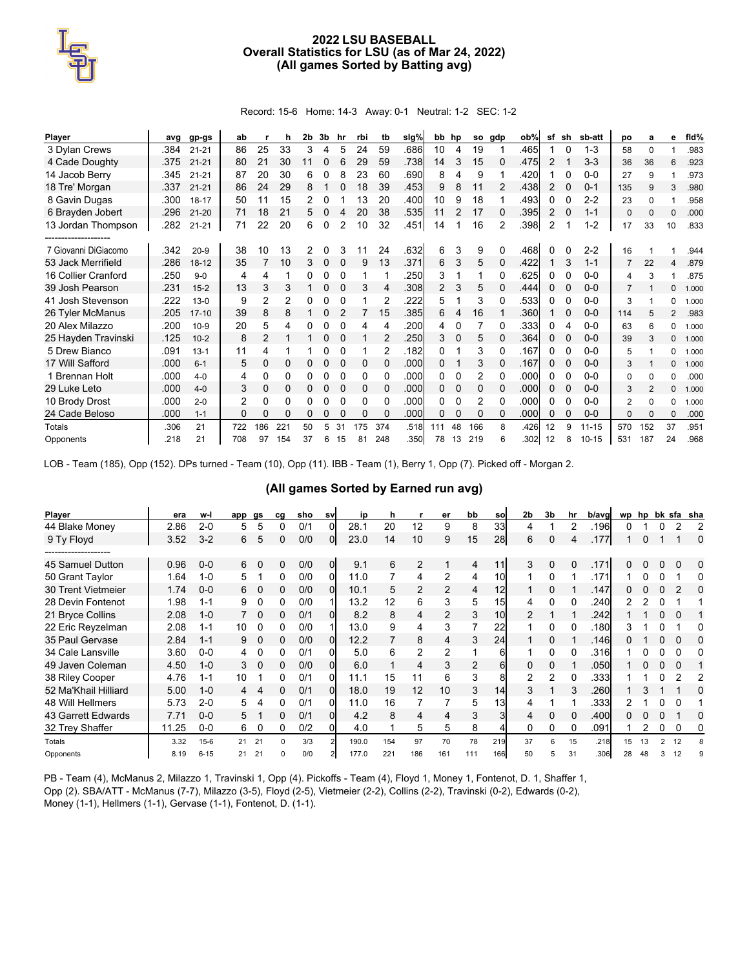### **2022 LSU BASEBALL Overall Statistics for LSU (as of Mar 24, 2022) (All games Sorted by Batting avg)**

Record: 15-6 Home: 14-3 Away: 0-1 Neutral: 1-2 SEC: 1-2

| <b>Player</b>        | ava  | gp-gs     | ab  |                | h              | 2b | 3b | hr           | rbi | tb  | slg% | bb hp          |    |     | so gdp   | ob%  | sf             | sh       | sb-att    | po             | a        | е              | fid%  |
|----------------------|------|-----------|-----|----------------|----------------|----|----|--------------|-----|-----|------|----------------|----|-----|----------|------|----------------|----------|-----------|----------------|----------|----------------|-------|
| 3 Dylan Crews        | .384 | $21 - 21$ | 86  | 25             | 33             | 3  | 4  | 5            | 24  | 59  | .686 | 10             | 4  | 19  |          | .465 |                | 0        | $1 - 3$   | 58             | $\Omega$ | 1              | .983  |
| 4 Cade Doughty       | .375 | $21 - 21$ | 80  | 21             | 30             | 11 | 0  | 6            | 29  | 59  | .738 | 14             | 3  | 15  | 0        | .475 | 2              |          | $3 - 3$   | 36             | 36       | 6              | .923  |
| 14 Jacob Berry       | .345 | $21 - 21$ | 87  | 20             | 30             | 6  | 0  | 8            | 23  | 60  | .690 | 8              | 4  | 9   |          | .420 |                |          | $0 - 0$   | 27             | 9        | 1              | .973  |
| 18 Tre' Morgan       | .337 | $21 - 21$ | 86  | 24             | 29             | 8  |    | $\Omega$     | 18  | 39  | .453 | 9              | 8  | 11  | 2        | .438 | 2              | 0        | $0 - 1$   | 135            | 9        | 3              | .980  |
| 8 Gavin Dugas        | .300 | 18-17     | 50  | 11             | 15             |    |    |              | 13  | 20  | .400 | 10             | 9  | 18  |          | .493 | 0              |          | $2 - 2$   | 23             | $\Omega$ |                | .958  |
| 6 Brayden Jobert     | .296 | $21 - 20$ | 71  | 18             | 21             | 5  | 0  | 4            | 20  | 38  | .535 | 11             |    | 17  |          | .395 | 2              |          | $1 - 1$   | $\mathbf 0$    | $\Omega$ | $\Omega$       | .000  |
| 13 Jordan Thompson   | .282 | $21 - 21$ | 71  | 22             | 20             | 6  | 0  | 2            | 10  | 32  | .451 | 14             |    | 16  | 2        | .398 | $\overline{2}$ |          | $1 - 2$   | 17             | 33       | 10             | .833  |
| -------------------- |      |           |     |                |                |    |    |              |     |     |      |                |    |     |          |      |                |          |           |                |          |                |       |
| 7 Giovanni DiGiacomo | .342 | $20-9$    | 38  | 10             | 13             | 2  |    |              |     | 24  | .632 | 6              | 3  | 9   | 0        | .468 | 0              | 0        | $2 - 2$   | 16             |          |                | .944  |
| 53 Jack Merrifield   | .286 | $18 - 12$ | 35  | $\overline{7}$ | 10             | 3  | 0  | 0            | 9   | 13  | .371 | 6              | 3  | 5   | 0        | .422 |                | 3        | $1 - 1$   | 7              | 22       | 4              | .879  |
| 16 Collier Cranford  | .250 | $9 - 0$   | 4   | 4              |                | 0  |    | 0            |     |     | .250 | 3              |    | 1   | 0        | .625 | 0              | 0        | $0 - 0$   | 4              | 3        |                | .875  |
| 39 Josh Pearson      | .231 | $15 - 2$  | 13  | 3              | 3              |    | 0  | $\Omega$     | 3   | 4   | .308 | $\overline{2}$ | 3  | 5   | 0        | .444 | 0              |          | $0 - 0$   | $\overline{7}$ |          | $\Omega$       | 1.000 |
| 41 Josh Stevenson    | .222 | $13 - 0$  | 9   | $\overline{2}$ | $\overline{2}$ | 0  | 0  | $\Omega$     | 1   | 2   | .222 | 5              |    | 3   | 0        | .533 | 0              | 0        | $0 - 0$   | 3              |          | $\Omega$       | 1.000 |
| 26 Tyler McManus     | .205 | $17 - 10$ | 39  | 8              | 8              |    | 0  |              |     | 15  | .385 | 6              | 4  | 16  |          | .360 |                |          | $0 - 0$   | 114            | 5        | $\overline{2}$ | .983  |
| 20 Alex Milazzo      | .200 | $10-9$    | 20  | 5              | 4              | 0  | 0  |              | 4   | 4   | .200 | 4              |    |     | 0        | .333 | 0              | 4        | $0-0$     | 63             | 6        | $\Omega$       | 1.000 |
| 25 Hayden Travinski  | .125 | $10 - 2$  | 8   | 2              |                |    | 0  | $\Omega$     |     | 2   | .250 | 3              | 0  | 5   | $\Omega$ | .364 | 0              |          | $0-0$     | 39             | 3        | $\mathbf{0}$   | 1.000 |
| 5 Drew Bianco        | .091 | $13 - 1$  | 11  | 4              |                |    | 0  | $\Omega$     | 1   | 2   | .182 | 0              |    | 3   | 0        | .167 | 0              | $\Omega$ | $0 - 0$   | 5              |          | $\Omega$       | 1.000 |
| 17 Will Safford      | .000 | $6 - 1$   | 5   | 0              | 0              | 0  | 0  | 0            | 0   | 0   | .000 | 0              |    | 3   | $\Omega$ | .167 | 0              |          | $0-0$     | 3              |          | $\mathbf{0}$   | 1.000 |
| 1 Brennan Holt       | .000 | $4 - 0$   | 4   | 0              | 0              | 0  | 0  | $\mathbf{0}$ | 0   | 0   | .000 | 0              | 0  | 2   | 0        | .000 | 0              | 0        | $0 - 0$   | $\mathbf 0$    | 0        | $\Omega$       | .000  |
| 29 Luke Leto         | .000 | $4 - 0$   | 3   | 0              | 0              | 0  | 0  | 0            | 0   | 0   | .000 | 0              | 0  | 0   | $\Omega$ | .000 | 0              |          | $0-0$     | 3              | 2        | $\mathbf{0}$   | 1.000 |
| 10 Brody Drost       | .000 | $2 - 0$   | 2   | 0              | 0              | 0  | 0  | 0            | 0   | 0   | .000 | 0              | 0  | 2   | 0        | .000 | 0              | 0        | $0 - 0$   | 2              | $\Omega$ | 0              | 1.000 |
| 24 Cade Beloso       | .000 | $1 - 1$   | 0   | $\Omega$       | 0              | 0  | 0  | $\Omega$     | 0   | 0   | .000 | 0              | 0  | 0   | 0        | .000 | 0              | 0        | $0-0$     | $\mathbf{0}$   | $\Omega$ | $\mathbf{0}$   | .000  |
| <b>Totals</b>        | .306 | 21        | 722 | 186            | 221            | 50 | 5  | 31           | 175 | 374 | .518 | 111            | 48 | 166 | 8        | .426 | 12             | 9        | $11 - 15$ | 570            | 152      | 37             | .951  |
| Opponents            | .218 | 21        | 708 | 97             | 154            | 37 | 6  | 15           | 81  | 248 | .350 | 78             | 13 | 219 |          | .302 | 12             | 8        | $10 - 15$ | 531            | 187      | 24             | .968  |

LOB - Team (185), Opp (152). DPs turned - Team (10), Opp (11). IBB - Team (1), Berry 1, Opp (7). Picked off - Morgan 2.

### **(All games Sorted by Earned run avg)**

| <b>Player</b>             | era   | w-l      | app | gs       | cg       | sho | <b>SV</b> | ip    | h   |                | er  | bb             | sol | 2b             | 3b       | hr | b/avg | wp | hp |    |    | bk sfa sha |
|---------------------------|-------|----------|-----|----------|----------|-----|-----------|-------|-----|----------------|-----|----------------|-----|----------------|----------|----|-------|----|----|----|----|------------|
| 44 Blake Money            | 2.86  | $2 - 0$  | 5   | 5        | 0        | 0/1 | 0         | 28.1  | 20  | 12             | 9   | 8              | 33  | 4              |          | 2  | .196  |    |    |    |    |            |
| 9 Ty Floyd                | 3.52  | $3 - 2$  | 6   | 5        | 0        | 0/0 | 01        | 23.0  | 14  | 10             | 9   | 15             | 28  | 6              | 0        | 4  | .177  |    |    |    |    |            |
| ----------------          |       |          |     |          |          |     |           |       |     |                |     |                |     |                |          |    |       |    |    |    |    |            |
| 45 Samuel Dutton          | 0.96  | $0-0$    | 6   | 0        | 0        | 0/0 | 0         | 9.1   | 6   | $\overline{2}$ |     | 4              |     | 3              | 0        | 0  | .171  |    |    |    |    |            |
| 50 Grant Taylor           | 1.64  | $1 - 0$  | 5   |          | 0        | 0/0 |           | 11.0  |     | 4              | 2   | 4              | 10  |                | 0        |    | .171  |    |    |    |    |            |
| <b>30 Trent Vietmeier</b> | 1.74  | $0-0$    | 6   | $\Omega$ | 0        | 0/0 |           | 10.1  | 5   | 2              | 2   | $\overline{4}$ | 12  |                | $\Omega$ |    | .147  |    |    |    |    |            |
| 28 Devin Fontenot         | 1.98  | $1 - 1$  | 9   | 0        | 0        | 0/0 |           | 13.2  | 12  | 6              | 3   | 5.             | 15  | 4              | 0        | 0  | .240  |    |    |    |    |            |
| 21 Bryce Collins          | 2.08  | $1 - 0$  |     | $\Omega$ | 0        | 0/1 | $\Omega$  | 8.2   | 8   | 4              | 2   | 3              | 10  | $\mathcal{P}$  |          |    | .242  |    |    |    |    |            |
| 22 Eric Reyzelman         | 2.08  | $1 - 1$  | 10  | 0        | 0        | 0/0 |           | 13.0  | 9   | 4              | 3   |                | 22  |                | 0        |    | .180  |    |    |    |    |            |
| 35 Paul Gervase           | 2.84  | $1 - 1$  | 9   | 0        | 0        | 0/0 | 01        | 12.2  |     | 8              | 4   | 3              | 24  |                | 0        |    | .146  |    |    | O. |    |            |
| 34 Cale Lansville         | 3.60  | $0-0$    |     |          | 0        | 0/1 |           | 5.0   | 6   | 2              | 2   |                | 61  |                | 0        | 0  | .316  |    |    |    |    |            |
| 49 Javen Coleman          | 4.50  | $1 - 0$  | 3   | $\Omega$ | 0        | 0/0 |           | 6.0   |     | 4              | 3   | 2              | 61  |                | 0        |    | .050  |    |    |    |    |            |
| 38 Riley Cooper           | 4.76  | $1 - 1$  | 10  |          | 0        | 0/1 |           | 11.1  | 15  | 11             | 6   | 3              | 8   | $\overline{2}$ | 2        | 0  | .333  |    |    |    |    |            |
| 52 Ma'Khail Hilliard      | 5.00  | $1 - 0$  | 4   | 4        | 0        | 0/1 | $\Omega$  | 18.0  | 19  | 12             | 10  | 3              | 14  | 3              |          | 3  | .260  |    |    |    |    |            |
| 48 Will Hellmers          | 5.73  | $2 - 0$  | 5   |          | 0        | 0/1 |           | 11.0  | 16  | 7              | 7   | 5              | 13  | 4              |          |    | .333  |    |    |    |    |            |
| 43 Garrett Edwards        | 7.71  | $0 - 0$  | 5   |          | 0        | 0/1 | $\Omega$  | 4.2   | 8   | 4              | 4   | 3              | 3   | 4              | 0        | 0  | .400  |    |    |    |    |            |
| 32 Trey Shaffer           | 11.25 | $0-0$    | 6   | 0        | 0        | 0/2 |           | 4.0   |     | 5              | 5   | 8              |     | 0              | 0        | 0  | .091  |    |    | 0  |    |            |
| Totals                    | 3.32  | $15 - 6$ | 21  | 21       | $\Omega$ | 3/3 |           | 190.0 | 154 | 97             | 70  | 78             | 219 | 37             | 6        | 15 | .218  | 15 | 13 | 2  | 12 |            |
| Opponents                 | 8.19  | $6 - 15$ | 21  | 21       | O        | 0/0 |           | 177.0 | 221 | 186            | 161 | 111            | 166 | 50             | 5        | 31 | .306  | 28 | 48 |    |    |            |

PB - Team (4), McManus 2, Milazzo 1, Travinski 1, Opp (4). Pickoffs - Team (4), Floyd 1, Money 1, Fontenot, D. 1, Shaffer 1, Opp (2). SBA/ATT - McManus (7-7), Milazzo (3-5), Floyd (2-5), Vietmeier (2-2), Collins (2-2), Travinski (0-2), Edwards (0-2), Money (1-1), Hellmers (1-1), Gervase (1-1), Fontenot, D. (1-1).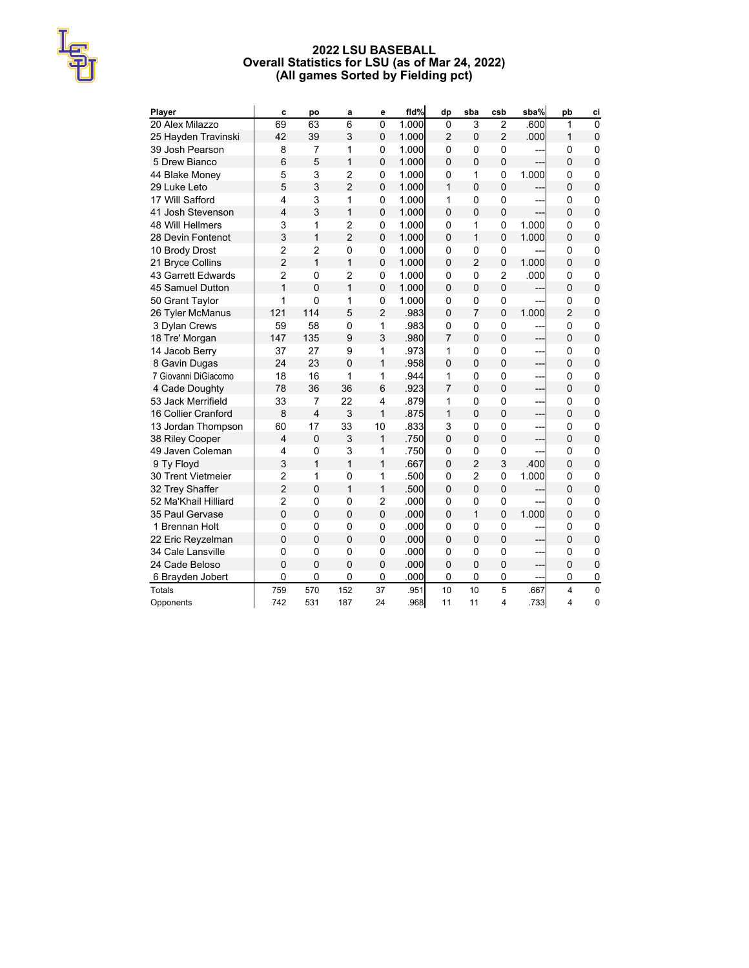### **2022 LSU BASEBALL Overall Statistics for LSU (as of Mar 24, 2022) (All games Sorted by Fielding pct)**

| Player                    | C              | po             | a              | е              | fld%  | dp             | sba            | csb                     | sba%  | pb             | ci             |
|---------------------------|----------------|----------------|----------------|----------------|-------|----------------|----------------|-------------------------|-------|----------------|----------------|
| 20 Alex Milazzo           | 69             | 63             | 6              | $\overline{0}$ | 1.000 | $\mathbf 0$    | 3              | $\overline{2}$          | .600  | 1              | $\overline{0}$ |
| 25 Hayden Travinski       | 42             | 39             | 3              | $\overline{0}$ | 1.000 | $\overline{2}$ | $\overline{0}$ | $\overline{2}$          | .000  | 1              | $\mathbf 0$    |
| 39 Josh Pearson           | 8              | 7              | 1              | 0              | 1.000 | $\Omega$       | $\Omega$       | 0                       |       | $\mathbf 0$    | 0              |
| 5 Drew Bianco             | 6              | 5              | 1              | $\overline{0}$ | 1.000 | $\Omega$       | $\Omega$       | $\overline{0}$          |       | $\Omega$       | $\mathbf 0$    |
| 44 Blake Money            | 5              | 3              | $\overline{2}$ | 0              | 1.000 | 0              | 1              | 0                       | 1.000 | 0              | 0              |
| 29 Luke Leto              | 5              | 3              | $\overline{2}$ | 0              | 1.000 | 1              | $\Omega$       | 0                       | ---   | 0              | $\pmb{0}$      |
| 17 Will Safford           | 4              | 3              | 1              | 0              | 1.000 | 1              | $\mathbf 0$    | 0                       | ---   | 0              | $\mathbf 0$    |
| 41 Josh Stevenson         | 4              | 3              | 1              | 0              | 1.000 | $\Omega$       | $\overline{0}$ | $\mathbf 0$             |       | $\Omega$       | $\pmb{0}$      |
| <b>48 Will Hellmers</b>   | 3              | 1              | $\overline{2}$ | 0              | 1.000 | 0              | 1              | 0                       | 1.000 | 0              | $\mathbf 0$    |
| 28 Devin Fontenot         | 3              | $\mathbf{1}$   | $\overline{2}$ | 0              | 1.000 | $\Omega$       | $\mathbf{1}$   | $\mathbf 0$             | 1.000 | $\Omega$       | $\mathbf 0$    |
| 10 Brody Drost            | $\overline{c}$ | $\overline{2}$ | 0              | 0              | 1.000 | $\mathbf 0$    | 0              | 0                       |       | $\mathbf 0$    | 0              |
| 21 Bryce Collins          | $\overline{2}$ | $\mathbf{1}$   | 1              | 0              | 1.000 | $\Omega$       | $\overline{2}$ | 0                       | 1.000 | $\Omega$       | $\mathbf 0$    |
| 43 Garrett Edwards        | $\overline{2}$ | $\overline{0}$ | $\overline{2}$ | 0              | 1.000 | $\mathbf 0$    | 0              | 2                       | .000  | 0              | 0              |
| 45 Samuel Dutton          | 1              | 0              | 1              | $\mathbf 0$    | 1.000 | 0              | $\Omega$       | 0                       |       | 0              | $\overline{0}$ |
| 50 Grant Taylor           | 1              | $\mathbf 0$    | 1              | 0              | 1.000 | $\mathbf 0$    | 0              | 0                       | ---   | $\mathbf 0$    | 0              |
| 26 Tyler McManus          | 121            | 114            | 5              | $\overline{2}$ | .983  | $\mathbf 0$    | $\overline{7}$ | $\overline{0}$          | 1.000 | $\overline{2}$ | $\pmb{0}$      |
| 3 Dylan Crews             | 59             | 58             | 0              | 1              | .983  | 0              | $\mathbf 0$    | 0                       | ---   | $\mathbf 0$    | $\mathbf 0$    |
| 18 Tre' Morgan            | 147            | 135            | 9              | 3              | .980  | $\overline{7}$ | $\Omega$       | $\overline{0}$          | ---   | $\Omega$       | $\mathbf 0$    |
| 14 Jacob Berry            | 37             | 27             | 9              | 1              | .973  | 1              | $\mathbf 0$    | 0                       | ---   | 0              | 0              |
| 8 Gavin Dugas             | 24             | 23             | $\Omega$       | 1              | .958  | $\Omega$       | $\Omega$       | 0                       | ---   | $\Omega$       | $\pmb{0}$      |
| 7 Giovanni DiGiacomo      | 18             | 16             | 1              | 1              | .944  | 1              | 0              | 0                       | ---   | 0              | 0              |
| 4 Cade Doughty            | 78             | 36             | 36             | 6              | .923  | 7              | $\overline{0}$ | 0                       | ---   | 0              | $\mathbf 0$    |
| 53 Jack Merrifield        | 33             | $\overline{7}$ | 22             | 4              | .879  | 1              | 0              | 0                       | ---   | 0              | 0              |
| 16 Collier Cranford       | 8              | $\overline{4}$ | 3              | 1              | .875  | 1              | $\Omega$       | $\overline{0}$          | ---   | $\Omega$       | $\mathbf 0$    |
| 13 Jordan Thompson        | 60             | 17             | 33             | 10             | .833  | 3              | 0              | 0                       | ---   | 0              | 0              |
| 38 Riley Cooper           | 4              | $\overline{0}$ | 3              | 1              | .750  | $\Omega$       | $\Omega$       | $\overline{0}$          | ---   | $\Omega$       | $\mathbf 0$    |
| 49 Javen Coleman          | 4              | $\mathbf 0$    | 3              | 1              | .750  | 0              | $\mathbf 0$    | 0                       | ---   | 0              | $\mathbf 0$    |
| 9 Ty Floyd                | 3              | 1              | $\mathbf{1}$   | 1              | .667  | $\Omega$       | $\overline{2}$ | 3                       | .400  | 0              | $\mathbf 0$    |
| <b>30 Trent Vietmeier</b> | $\overline{c}$ | 1              | $\mathbf 0$    | 1              | .500  | 0              | $\overline{2}$ | 0                       | 1.000 | 0              | $\mathbf 0$    |
| 32 Trey Shaffer           | $\overline{2}$ | $\overline{0}$ | 1              | $\mathbf{1}$   | .500  | $\overline{0}$ | $\overline{0}$ | 0                       |       | $\mathbf 0$    | $\pmb{0}$      |
| 52 Ma'Khail Hilliard      | $\overline{2}$ | $\mathbf 0$    | $\mathbf 0$    | $\overline{2}$ | .000  | $\mathbf 0$    | 0              | 0                       | ---   | $\mathbf 0$    | 0              |
| 35 Paul Gervase           | $\overline{0}$ | $\mathbf{0}$   | $\Omega$       | $\overline{0}$ | .000  | $\Omega$       | 1              | $\overline{0}$          | 1.000 | $\Omega$       | $\mathbf 0$    |
| 1 Brennan Holt            | 0              | $\mathbf 0$    | 0              | 0              | .000  | $\mathbf 0$    | 0              | 0                       |       | $\mathbf 0$    | 0              |
| 22 Eric Reyzelman         | $\overline{0}$ | $\mathbf{0}$   | $\mathbf{0}$   | $\overline{0}$ | .000  | $\Omega$       | $\Omega$       | $\overline{0}$          |       | $\Omega$       | 0              |
| 34 Cale Lansville         | 0              | $\mathbf 0$    | 0              | 0              | .000  | 0              | $\mathbf 0$    | 0                       | ---   | 0              | 0              |
| 24 Cade Beloso            | $\Omega$       | 0              | 0              | $\overline{0}$ | .000  | $\Omega$       | $\Omega$       | $\overline{0}$          | ---   | 0              | $\overline{0}$ |
| 6 Brayden Jobert          | 0              | $\mathbf 0$    | 0              | 0              | .000  | $\mathbf 0$    | 0              | 0                       | ---   | $\mathbf 0$    | $\overline{0}$ |
| <b>Totals</b>             | 759            | 570            | 152            | 37             | .951  | 10             | 10             | 5                       | .667  | 4              | $\mathbf 0$    |
| Opponents                 | 742            | 531            | 187            | 24             | .968  | 11             | 11             | $\overline{\mathbf{4}}$ | .7331 | 4              | 0              |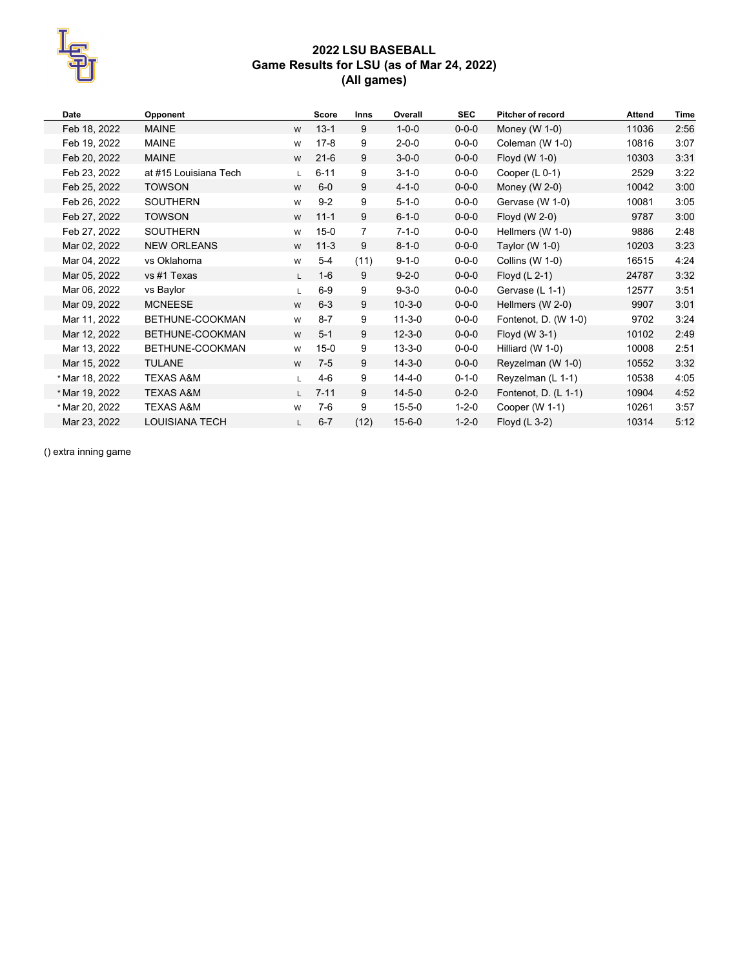

# **2022 LSU BASEBALL Game Results for LSU (as of Mar 24, 2022) (All games)**

| Date           | Opponent              |    | <b>Score</b> | Inns | Overall      | <b>SEC</b>  | <b>Pitcher of record</b> | <b>Attend</b> | <b>Time</b> |
|----------------|-----------------------|----|--------------|------|--------------|-------------|--------------------------|---------------|-------------|
| Feb 18, 2022   | <b>MAINE</b>          | W  | $13 - 1$     | 9    | $1 - 0 - 0$  | $0 - 0 - 0$ | Money (W $1-0$ )         | 11036         | 2:56        |
| Feb 19, 2022   | <b>MAINE</b>          | W  | $17 - 8$     | 9    | $2 - 0 - 0$  | $0 - 0 - 0$ | Coleman (W 1-0)          | 10816         | 3:07        |
| Feb 20, 2022   | <b>MAINE</b>          | W  | $21-6$       | 9    | $3 - 0 - 0$  | $0 - 0 - 0$ | Floyd (W 1-0)            | 10303         | 3:31        |
| Feb 23, 2022   | at #15 Louisiana Tech | L. | $6 - 11$     | 9    | $3 - 1 - 0$  | $0 - 0 - 0$ | Cooper (L 0-1)           | 2529          | 3:22        |
| Feb 25, 2022   | <b>TOWSON</b>         | W  | $6-0$        | 9    | $4 - 1 - 0$  | $0 - 0 - 0$ | Money (W $2-0$ )         | 10042         | 3:00        |
| Feb 26, 2022   | <b>SOUTHERN</b>       | W  | $9 - 2$      | 9    | $5 - 1 - 0$  | $0 - 0 - 0$ | Gervase (W 1-0)          | 10081         | 3:05        |
| Feb 27, 2022   | <b>TOWSON</b>         | W  | $11 - 1$     | 9    | $6 - 1 - 0$  | $0 - 0 - 0$ | Floyd (W 2-0)            | 9787          | 3:00        |
| Feb 27, 2022   | <b>SOUTHERN</b>       | W  | $15 - 0$     | 7    | $7 - 1 - 0$  | $0 - 0 - 0$ | Hellmers (W 1-0)         | 9886          | 2:48        |
| Mar 02, 2022   | <b>NEW ORLEANS</b>    | W  | $11 - 3$     | 9    | $8 - 1 - 0$  | $0 - 0 - 0$ | Taylor (W $1-0$ )        | 10203         | 3:23        |
| Mar 04, 2022   | vs Oklahoma           | W  | 5-4          | (11) | $9 - 1 - 0$  | $0 - 0 - 0$ | Collins (W 1-0)          | 16515         | 4:24        |
| Mar 05, 2022   | vs #1 Texas           | L. | $1-6$        | 9    | $9 - 2 - 0$  | $0 - 0 - 0$ | Floyd (L 2-1)            | 24787         | 3:32        |
| Mar 06, 2022   | vs Baylor             | L. | $6-9$        | 9    | $9 - 3 - 0$  | $0 - 0 - 0$ | Gervase (L 1-1)          | 12577         | 3:51        |
| Mar 09, 2022   | <b>MCNEESE</b>        | W  | $6 - 3$      | 9    | $10 - 3 - 0$ | $0 - 0 - 0$ | Hellmers (W 2-0)         | 9907          | 3:01        |
| Mar 11, 2022   | BETHUNE-COOKMAN       | W  | $8 - 7$      | 9    | $11 - 3 - 0$ | $0 - 0 - 0$ | Fontenot, D. (W 1-0)     | 9702          | 3:24        |
| Mar 12, 2022   | BETHUNE-COOKMAN       | W  | $5 - 1$      | 9    | $12 - 3 - 0$ | $0 - 0 - 0$ | Floyd (W 3-1)            | 10102         | 2:49        |
| Mar 13, 2022   | BETHUNE-COOKMAN       | W  | $15 - 0$     | 9    | $13 - 3 - 0$ | $0 - 0 - 0$ | Hilliard (W 1-0)         | 10008         | 2:51        |
| Mar 15, 2022   | <b>TULANE</b>         | W  | $7-5$        | 9    | $14 - 3 - 0$ | $0 - 0 - 0$ | Reyzelman (W 1-0)        | 10552         | 3:32        |
| * Mar 18, 2022 | <b>TEXAS A&amp;M</b>  | L. | 4-6          | 9    | $14 - 4 - 0$ | $0 - 1 - 0$ | Reyzelman (L 1-1)        | 10538         | 4:05        |
| * Mar 19, 2022 | <b>TEXAS A&amp;M</b>  | L. | $7 - 11$     | 9    | $14 - 5 - 0$ | $0 - 2 - 0$ | Fontenot, D. $(L 1-1)$   | 10904         | 4:52        |
| * Mar 20, 2022 | <b>TEXAS A&amp;M</b>  | W  | $7-6$        | 9    | $15 - 5 - 0$ | $1 - 2 - 0$ | Cooper (W 1-1)           | 10261         | 3:57        |
| Mar 23, 2022   | <b>LOUISIANA TECH</b> | L. | $6 - 7$      | (12) | $15 - 6 - 0$ | $1 - 2 - 0$ | Floyd (L 3-2)            | 10314         | 5:12        |

() extra inning game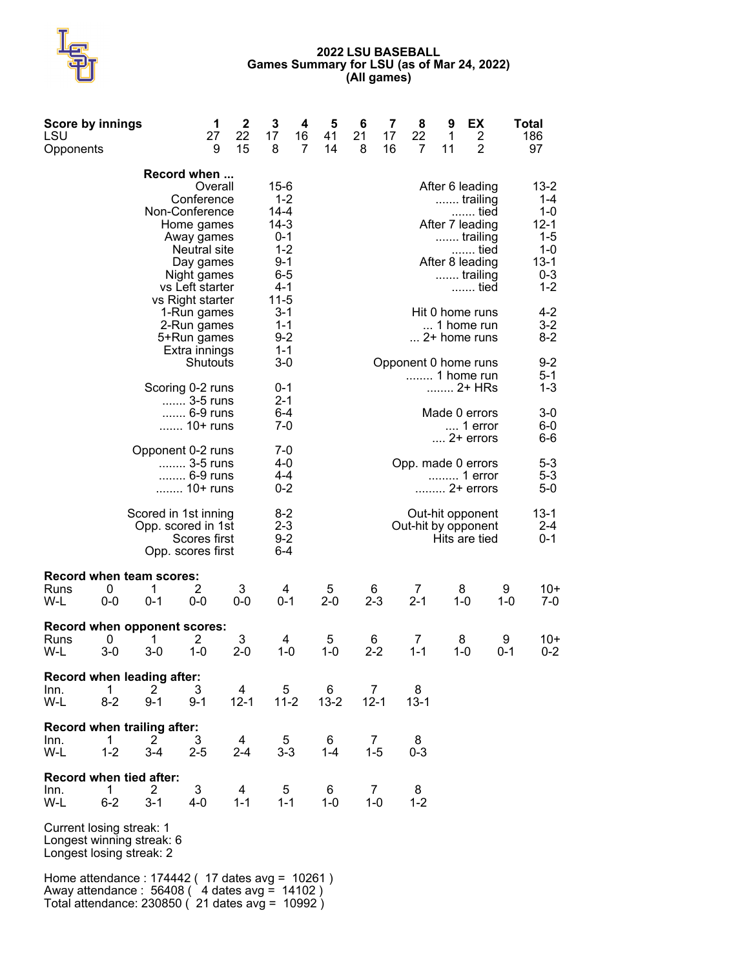### **2022 LSU BASEBALL Games Summary for LSU (as of Mar 24, 2022) (All games)**

| LSU<br>Opponents | <b>Score by innings</b>                                                           |                                  | 1<br>27<br>9                                                                                                                                      | 2<br>22<br>15 | 3<br>17<br>8                                                                                               | 4<br>16<br>7 | 5<br>41<br>14 | 6<br>21<br>8 | 7<br>17<br>16 | 8<br>22<br>7                            | 9<br>1<br>11 | EX<br>$\overline{2}$<br>$\overline{2}$                                                                                |              | Total<br>186<br>97                                                                     |
|------------------|-----------------------------------------------------------------------------------|----------------------------------|---------------------------------------------------------------------------------------------------------------------------------------------------|---------------|------------------------------------------------------------------------------------------------------------|--------------|---------------|--------------|---------------|-----------------------------------------|--------------|-----------------------------------------------------------------------------------------------------------------------|--------------|----------------------------------------------------------------------------------------|
|                  |                                                                                   |                                  | Record when<br>Overall<br>Conference<br>Non-Conference<br>Home games<br>Away games<br>Neutral site<br>Day games<br>Night games<br>vs Left starter |               | $15 - 6$<br>$1 - 2$<br>14-4<br>$14 - 3$<br>$0 - 1$<br>$1 - 2$<br>$9 - 1$<br>$6 - 5$<br>$4 - 1$<br>$11 - 5$ |              |               |              |               |                                         |              | After 6 leading<br>trailing<br>……. tied<br>After 7 leading<br>trailing<br>tied<br>After 8 leading<br>trailing<br>tied |              | $13 - 2$<br>1-4<br>1-0<br>$12 - 1$<br>1-5<br>$1 - 0$<br>$13 - 1$<br>$0 - 3$<br>$1 - 2$ |
|                  |                                                                                   |                                  | vs Right starter<br>1-Run games<br>2-Run games<br>5+Run games<br>Extra innings                                                                    |               | 3-1<br>$1 - 1$<br>$9 - 2$<br>$1 - 1$                                                                       |              |               |              |               |                                         |              | Hit 0 home runs<br>1 home run<br>$\dots$ 2+ home runs                                                                 |              | 4-2<br>$3-2$<br>$8 - 2$                                                                |
|                  |                                                                                   |                                  | Shutouts<br>Scoring 0-2 runs<br>3-5 runs<br>6-9 runs                                                                                              |               | $3-0$<br>$0 - 1$<br>$2 - 1$<br>$6 - 4$                                                                     |              |               |              |               | Opponent 0 home runs<br>1 home run      |              | 2+ HRs<br>Made 0 errors                                                                                               |              | $9 - 2$<br>5-1<br>$1 - 3$<br>3-0                                                       |
|                  |                                                                                   |                                  | 10+ runs                                                                                                                                          |               | $7-0$                                                                                                      |              |               |              |               |                                         |              | 1 error<br>$\dots$ 2+ errors                                                                                          |              | 6-0<br>6-6                                                                             |
|                  |                                                                                   |                                  | Opponent 0-2 runs<br>3-5 runs<br>6-9 runs<br>10+ runs                                                                                             |               | 7-0<br>4-0<br>$4 - 4$<br>$0 - 2$                                                                           |              |               |              |               | Opp. made 0 errors                      |              | 1 error<br>2+ errors                                                                                                  |              | $5 - 3$<br>$5 - 3$<br>$5-0$                                                            |
|                  |                                                                                   |                                  | Scored in 1st inning<br>Opp. scored in 1st<br>Scores first<br>Opp. scores first                                                                   |               | $8-2$<br>$2 - 3$<br>$9 - 2$<br>$6 - 4$                                                                     |              |               |              |               | Out-hit opponent<br>Out-hit by opponent |              | Hits are tied                                                                                                         |              | $13 - 1$<br>2-4<br>$0 - 1$                                                             |
| Runs<br>W-L      | Record when team scores:<br>0<br>$0-0$                                            | 1<br>$0 - 1$                     | 2<br>$0-0$                                                                                                                                        | 3<br>$0-0$    | 4<br>$0 - 1$                                                                                               |              | 5<br>$2 - 0$  |              | 6<br>$2 - 3$  | 7<br>$2 - 1$                            |              | 8<br>$1 - 0$                                                                                                          | 9<br>1-0     | 10+<br>$7-0$                                                                           |
| Runs<br>W-L      | Record when opponent scores:<br>0<br>$3-0$                                        | 1<br>$3-0$                       | 2<br>1-0                                                                                                                                          | 3<br>$2 - 0$  | 4<br>1-0                                                                                                   |              | 5<br>1-0      | 6            | $2 - 2$       | 7<br>$1 - 1$                            |              | 8<br>$1 - 0$                                                                                                          | 9<br>$0 - 1$ | 10+<br>$0 - 2$                                                                         |
| Inn.<br>W-L      | Record when leading after:<br>1<br>$8-2$                                          | 2<br>$9 - 1$                     | 3<br>$9 - 1$                                                                                                                                      | 4<br>$12 - 1$ |                                                                                                            | 5<br>$11-2$  | 6<br>$13 - 2$ | $12 - 1$     | $\prime$      | 8<br>$13 - 1$                           |              |                                                                                                                       |              |                                                                                        |
| Inn.<br>W-L      | Record when trailing after:<br>1<br>$1 - 2$                                       | $\mathbf{2}^{\prime}$<br>$3 - 4$ | 3<br>$2 - 5$                                                                                                                                      | 4<br>$2 - 4$  | $3 - 3$                                                                                                    | 5            | 6<br>$1 - 4$  |              | 7<br>$1 - 5$  | 8<br>0-3                                |              |                                                                                                                       |              |                                                                                        |
| Inn.<br>W-L      | <b>Record when tied after:</b><br>1.<br>$6 - 2$                                   | 2<br>$3 - 1$                     | 3<br>4-0                                                                                                                                          | 4<br>$1 - 1$  | $1 - 1$                                                                                                    | 5            | 6<br>$1 - 0$  |              | 7<br>1-0      | 8<br>$1 - 2$                            |              |                                                                                                                       |              |                                                                                        |
|                  | Current losing streak: 1<br>Longest winning streak: 6<br>Longest losing streak: 2 |                                  |                                                                                                                                                   |               |                                                                                                            |              |               |              |               |                                         |              |                                                                                                                       |              |                                                                                        |
|                  |                                                                                   |                                  |                                                                                                                                                   |               |                                                                                                            |              |               |              |               |                                         |              |                                                                                                                       |              |                                                                                        |

Home attendance : 174442 ( 17 dates avg = 10261 ) Away attendance : 56408 ( 4 dates avg = 14102 ) Total attendance: 230850 ( 21 dates avg = 10992 )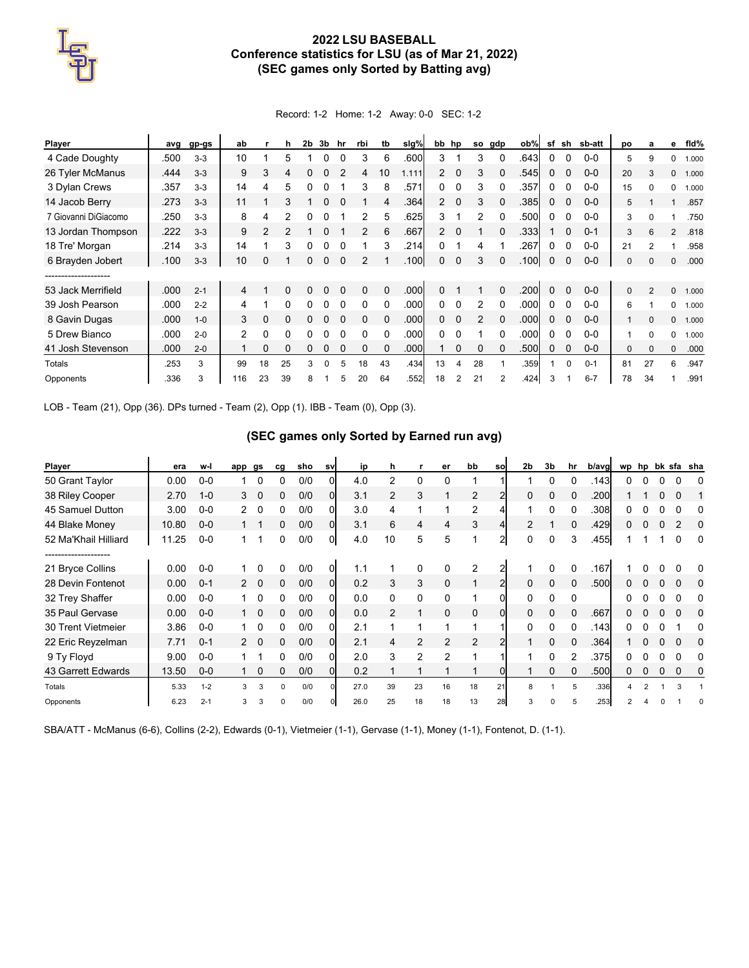# **2022 LSU BASEBALL Conference statistics for LSU (as of Mar 21, 2022) (SEC games only Sorted by Batting avg)**

Record: 1-2 Home: 1-2 Away: 0-0 SEC: 1-2

| Player               | avg  | gp-gs   | ab             |    | h            | 2b | 3b       | hr       | rbi           | tb       | slg%  | bb hp                |          | <b>SO</b> | gdp      | ob%  | sf       | sh       | sb-att  | pо           | a        | е              | fid%  |
|----------------------|------|---------|----------------|----|--------------|----|----------|----------|---------------|----------|-------|----------------------|----------|-----------|----------|------|----------|----------|---------|--------------|----------|----------------|-------|
| 4 Cade Doughty       | .500 | $3-3$   | 10             |    | 5            |    | ი        |          | 3             | 6        | .600  | 3                    |          | 3         |          | .643 | 0        |          | $0-0$   | 5            | 9        | $\Omega$       | 1.000 |
| 26 Tyler McManus     | .444 | $3 - 3$ | 9              | 3  | 4            |    |          |          | 4             | 10       | 1.111 | $\mathbf{2}^{\circ}$ | $\Omega$ | 3         |          | .545 | 0        |          | $0-0$   | 20           | 3        | $\mathbf{0}$   | 1.000 |
| 3 Dylan Crews        | .357 | $3-3$   | 14             | 4  | 5            | 0  |          |          | 3             | 8        | .571  | 0                    | 0        | 3         |          | .357 | 0        | 0        | $0-0$   | 15           | $\Omega$ | $\mathbf 0$    | 1.000 |
| 14 Jacob Berry       | .273 | $3 - 3$ | 11             |    | 3            |    | 0        |          |               | 4        | .364  | $\mathbf{2}^{\circ}$ | $\Omega$ | 3         | 0        | .385 | 0        | $\Omega$ | $0-0$   | 5            |          |                | .857  |
| 7 Giovanni DiGiacomo | .250 | $3-3$   | 8              | 4  | 2            |    |          |          | 2             | 5        | .625  | 3                    |          | 2         |          | .500 | 0        |          | $0 - 0$ | 3            | ŋ        |                | .750  |
| 13 Jordan Thompson   | .222 | $3 - 3$ | 9              | 2  | 2            |    |          |          | 2             | 6        | .667  | $\overline{2}$       |          |           |          | .333 |          |          | $0 - 1$ | 3            | 6        | $\overline{2}$ | .818  |
| 18 Tre' Morgan       | .214 | $3-3$   | 14             |    | 3            |    |          |          |               | 3        | .214  | 0                    |          | 4         |          | .267 | 0        |          | $0-0$   | 21           |          |                | .958  |
| 6 Brayden Jobert     | .100 | $3 - 3$ | 10             |    |              |    | 0        | $\Omega$ | $\mathcal{P}$ |          | 100   | 0                    | $\Omega$ | 3         |          | .100 | 0        | $\Omega$ | $0 - 0$ | $\mathbf{0}$ | $\Omega$ | $\mathbf{0}$   | .000  |
|                      |      |         |                |    |              |    |          |          |               |          |       |                      |          |           |          |      |          |          |         |              |          |                |       |
| 53 Jack Merrifield   | .000 | $2 - 1$ | 4              |    | 0            | 0  | 0        | $\Omega$ | $\Omega$      | $\Omega$ | .000  | 0                    |          |           | $\Omega$ | .200 | $\Omega$ | $\Omega$ | $0 - 0$ | $\mathbf{0}$ | 2        | $\Omega$       | 1.000 |
| 39 Josh Pearson      | .000 | $2 - 2$ | 4              |    | <sup>0</sup> |    |          |          | 0             | $\Omega$ | .000  | 0                    |          | 2         |          | .000 | 0        |          | $0 - 0$ | 6            |          | 0              | 1.000 |
| 8 Gavin Dugas        | .000 | $1 - 0$ | 3              | 0  | 0            |    |          |          | $\Omega$      |          | .000  | 0                    | 0        | 2         |          | .000 | 0        |          | $0-0$   |              | $\Omega$ | $\mathbf{0}$   | 1.000 |
| 5 Drew Bianco        | .000 | $2 - 0$ | $\overline{2}$ | 0  | 0            |    |          |          | $\Omega$      |          | .000  | 0                    | $\Omega$ |           | $\Omega$ | .000 | 0        |          | $0-0$   |              | $\Omega$ | $\Omega$       | 1.000 |
| 41 Josh Stevenson    | .000 | $2 - 0$ |                | 0  | 0            | 0  |          | $\Omega$ | $\Omega$      | $\Omega$ | .000  |                      | 0        | $\Omega$  | 0        | .500 | 0        | $\Omega$ | $0-0$   | $\mathbf{0}$ | $\Omega$ | $\mathbf{0}$   | .000  |
| Totals               | .253 | 3       | 99             | 18 | 25           | 3  | $\Omega$ | 5        | 18            | 43       | .434  | 13                   | 4        | 28        |          | .359 |          | $\Omega$ | $0 - 1$ | 81           | 27       | 6              | .947  |
| Opponents            | .336 | 3       | 116            | 23 | 39           | 8  |          | 5        | 20            | 64       | .552  | 18                   | 2        | 21        | 2        | .424 | 3        |          | $6 - 7$ | 78           | 34       |                | .991  |

LOB - Team (21), Opp (36). DPs turned - Team (2), Opp (1). IBB - Team (0), Opp (3).

### **(SEC games only Sorted by Earned run avg)**

| Player               | era   | w-l     | app            | gs                      | ca       | sho | sv             | ip   | h              |          | er            | bb       | sol            | 2 <sub>b</sub> | 3 <sub>b</sub> | hr | b/avg | wp | hp |                | bk sfa sha |
|----------------------|-------|---------|----------------|-------------------------|----------|-----|----------------|------|----------------|----------|---------------|----------|----------------|----------------|----------------|----|-------|----|----|----------------|------------|
| 50 Grant Taylor      | 0.00  | $0-0$   |                | 0                       | 0        | 0/0 |                | 4.0  | 2              | $\Omega$ | 0             |          |                |                | 0              |    | .143  |    |    |                | 0          |
| 38 Riley Cooper      | 2.70  | $1 - 0$ | 3              | $\Omega$                | 0        | 0/0 | 0              | 3.1  | $\overline{2}$ | 3        |               | 2        |                |                | 0              | 0  | .200  |    |    | 0              |            |
| 45 Samuel Dutton     | 3.00  | $0-0$   | 2              | 0                       | 0        | 0/0 | 0              | 3.0  | 4              |          |               | 2        |                |                | 0              | 0  | .308  |    |    | 0              | 0          |
| 44 Blake Money       | 10.80 | $0-0$   |                |                         | 0        | 0/0 | $\overline{0}$ | 3.1  | 6              | 4        | 4             | 3        |                | $\mathcal{P}$  |                | 0  | .429  | 0  |    | $\overline{2}$ | $\Omega$   |
| 52 Ma'Khail Hilliard | 11.25 | $0 - 0$ | 1              | 1                       | 0        | 0/0 | $\Omega$       | 4.0  | 10             | 5        | 5             | 1        | $\overline{2}$ | 0              | 0              | 3  | 455   |    |    | $\Omega$       | 0          |
| ------------------   |       |         |                |                         |          |     |                |      |                |          |               |          |                |                |                |    |       |    |    |                |            |
| 21 Bryce Collins     | 0.00  | $0-0$   |                | 0                       | 0        | 0/0 | 0              | 1.1  |                | 0        | 0             | 2        |                |                | 0              |    | .167  |    |    |                | 0          |
| 28 Devin Fontenot    | 0.00  | $0 - 1$ | $\overline{2}$ | $\overline{\mathbf{0}}$ | 0        | 0/0 | 0              | 0.2  | 3              | 3        | $\mathbf 0$   |          | 2              |                | 0              | 0  | .500  |    |    |                | 0          |
| 32 Trey Shaffer      | 0.00  | $0-0$   |                | 0                       | 0        | 0/0 | 0              | 0.0  | 0              | 0        | 0             |          |                | 0              | 0              | 0  |       |    |    | 0              | 0          |
| 35 Paul Gervase      | 0.00  | $0 - 0$ |                | $\Omega$                | 0        | 0/0 | $\Omega$       | 0.0  | 2              | 1        | $\Omega$      | $\Omega$ | $\Omega$       | $\Omega$       | $\Omega$       | 0  | .667  |    |    | $\Omega$       | $\Omega$   |
| 30 Trent Vietmeier   | 3.86  | $0 - 0$ |                | 0                       | 0        | 0/0 | 0              | 2.1  |                | и        |               |          |                | 0              | 0              |    | .143  |    |    |                | 0          |
| 22 Eric Reyzelman    | 7.71  | $0 - 1$ | $\mathcal{P}$  | $\Omega$                | 0        | 0/0 | Οl             | 2.1  | 4              | 2        | $\mathcal{P}$ | 2        |                |                | 0              | 0  | .364  |    |    |                | 0          |
| 9 Ty Floyd           | 9.00  | $0-0$   |                |                         | 0        | 0/0 |                | 2.0  | 3              | 2        | $\mathcal{P}$ |          |                |                | 0              | 2  | .375  |    |    |                | 0          |
| 43 Garrett Edwards   | 13.50 | $0-0$   |                | $\Omega$                | 0        | 0/0 | 0              | 0.2  |                |          |               |          |                |                | 0              |    | .500  |    |    | 0              | 0          |
| Totals               | 5.33  | $1 - 2$ | 3              | 3                       | $\Omega$ | 0/0 |                | 27.0 | 39             | 23       | 16            | 18       | 21             | 8              |                | 5  | .336  | Δ  |    | 3              |            |
| Opponents            | 6.23  | $2 - 1$ | 3              | 3                       | $\Omega$ | 0/0 |                | 26.0 | 25             | 18       | 18            | 13       | 28             | 3              |                | 5  | .253  |    |    |                |            |

SBA/ATT - McManus (6-6), Collins (2-2), Edwards (0-1), Vietmeier (1-1), Gervase (1-1), Money (1-1), Fontenot, D. (1-1).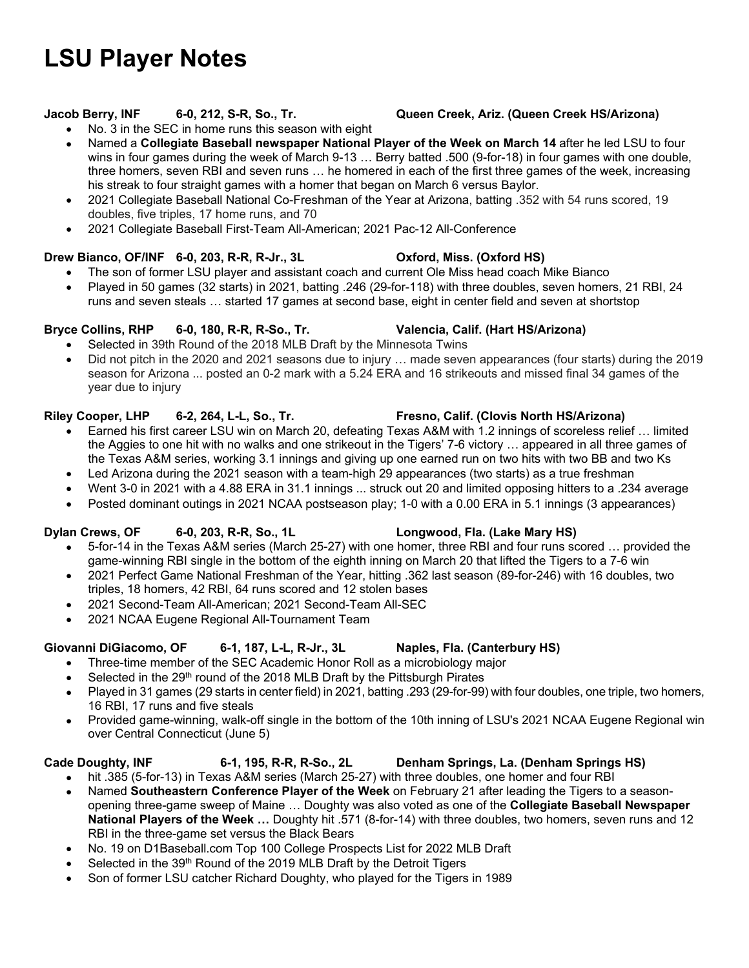# **LSU Player Notes**

- No. 3 in the SEC in home runs this season with eight
- Named a **Collegiate Baseball newspaper National Player of the Week on March 14** after he led LSU to four wins in four games during the week of March 9-13 … Berry batted .500 (9-for-18) in four games with one double, three homers, seven RBI and seven runs … he homered in each of the first three games of the week, increasing his streak to four straight games with a homer that began on March 6 versus Baylor.
- 2021 Collegiate Baseball National Co-Freshman of the Year at Arizona, batting .352 with 54 runs scored, 19 doubles, five triples, 17 home runs, and 70
- 2021 Collegiate Baseball First-Team All-American; 2021 Pac-12 All-Conference

# **Drew Bianco, OF/INF 6-0, 203, R-R, R-Jr., 3L Oxford, Miss. (Oxford HS)**

- The son of former LSU player and assistant coach and current Ole Miss head coach Mike Bianco
- Played in 50 games (32 starts) in 2021, batting .246 (29-for-118) with three doubles, seven homers, 21 RBI, 24 runs and seven steals … started 17 games at second base, eight in center field and seven at shortstop

# **Bryce Collins, RHP 6-0, 180, R-R, R-So., Tr. Valencia, Calif. (Hart HS/Arizona)**

- Selected in 39th Round of the 2018 MLB Draft by the Minnesota Twins
- Did not pitch in the 2020 and 2021 seasons due to injury … made seven appearances (four starts) during the 2019 season for Arizona ... posted an 0-2 mark with a 5.24 ERA and 16 strikeouts and missed final 34 games of the year due to injury

# **Riley Cooper, LHP 6-2, 264, L-L, So., Tr. Fresno, Calif. (Clovis North HS/Arizona)**

- Earned his first career LSU win on March 20, defeating Texas A&M with 1.2 innings of scoreless relief … limited the Aggies to one hit with no walks and one strikeout in the Tigers' 7-6 victory … appeared in all three games of the Texas A&M series, working 3.1 innings and giving up one earned run on two hits with two BB and two Ks
- Led Arizona during the 2021 season with a team-high 29 appearances (two starts) as a true freshman
- Went 3-0 in 2021 with a 4.88 ERA in 31.1 innings ... struck out 20 and limited opposing hitters to a .234 average
- Posted dominant outings in 2021 NCAA postseason play; 1-0 with a 0.00 ERA in 5.1 innings (3 appearances)

# Dylan Crews, OF 6-0, 203, R-R, So., 1L Longwood, Fla. (Lake Mary HS)

- 5-for-14 in the Texas A&M series (March 25-27) with one homer, three RBI and four runs scored … provided the game-winning RBI single in the bottom of the eighth inning on March 20 that lifted the Tigers to a 7-6 win
- 2021 Perfect Game National Freshman of the Year, hitting .362 last season (89-for-246) with 16 doubles, two triples, 18 homers, 42 RBI, 64 runs scored and 12 stolen bases
- 2021 Second-Team All-American; 2021 Second-Team All-SEC
- 2021 NCAA Eugene Regional All-Tournament Team

# **Giovanni DiGiacomo, OF 6-1, 187, L-L, R-Jr., 3L Naples, Fla. (Canterbury HS)**

- Three-time member of the SEC Academic Honor Roll as a microbiology major
	- Selected in the 29<sup>th</sup> round of the 2018 MLB Draft by the Pittsburgh Pirates
- Played in 31 games (29 starts in center field) in 2021, batting .293 (29-for-99) with four doubles, one triple, two homers, 16 RBI, 17 runs and five steals
- Provided game-winning, walk-off single in the bottom of the 10th inning of LSU's 2021 NCAA Eugene Regional win over Central Connecticut (June 5)

# Cade Doughty, INF 6-1, 195, R-R, R-So., 2L Denham Springs, La. (Denham Springs HS)

- hit .385 (5-for-13) in Texas A&M series (March 25-27) with three doubles, one homer and four RBI
- Named **Southeastern Conference Player of the Week** on February 21 after leading the Tigers to a seasonopening three-game sweep of Maine … Doughty was also voted as one of the **Collegiate Baseball Newspaper National Players of the Week …** Doughty hit .571 (8-for-14) with three doubles, two homers, seven runs and 12 RBI in the three-game set versus the Black Bears
- No. 19 on D1Baseball.com Top 100 College Prospects List for 2022 MLB Draft
- Selected in the 39<sup>th</sup> Round of the 2019 MLB Draft by the Detroit Tigers
- Son of former LSU catcher Richard Doughty, who played for the Tigers in 1989

# **Jacob Berry, INF 6-0, 212, S-R, So., Tr. Queen Creek, Ariz. (Queen Creek HS/Arizona)**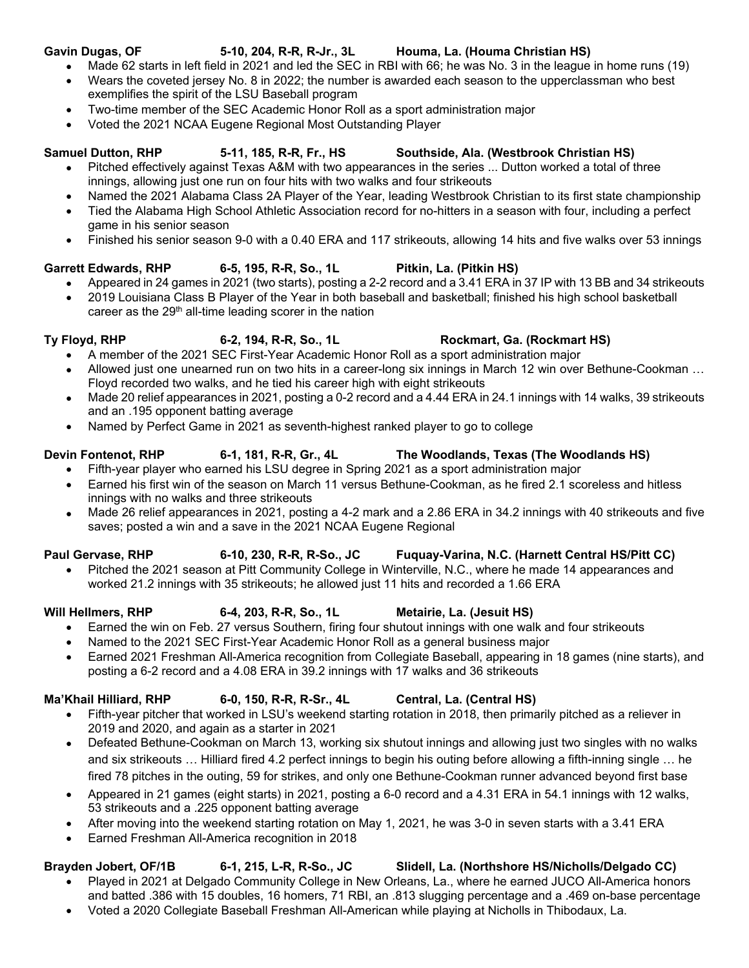- **Gavin Dugas, OF 5-10, 204, R-R, R-Jr., 3L Houma, La. (Houma Christian HS)**  Made 62 starts in left field in 2021 and led the SEC in RBI with 66; he was No. 3 in the league in home runs (19)
	- Wears the coveted jersey No. 8 in 2022; the number is awarded each season to the upperclassman who best exemplifies the spirit of the LSU Baseball program
	- Two-time member of the SEC Academic Honor Roll as a sport administration major
	- Voted the 2021 NCAA Eugene Regional Most Outstanding Player

- Samuel Dutton, RHP 5-11, 185, R-R, Fr., HS Southside, Ala. (Westbrook Christian HS) Pitched effectively against Texas A&M with two appearances in the series ... Dutton worked a total of three innings, allowing just one run on four hits with two walks and four strikeouts
	- Named the 2021 Alabama Class 2A Player of the Year, leading Westbrook Christian to its first state championship
	- Tied the Alabama High School Athletic Association record for no-hitters in a season with four, including a perfect game in his senior season
	- Finished his senior season 9-0 with a 0.40 ERA and 117 strikeouts, allowing 14 hits and five walks over 53 innings

# **Garrett Edwards, RHP 6-5, 195, R-R, So., 1L Pitkin, La. (Pitkin HS)**

- Appeared in 24 games in 2021 (two starts), posting a 2-2 record and a 3.41 ERA in 37 IP with 13 BB and 34 strikeouts
- 2019 Louisiana Class B Player of the Year in both baseball and basketball; finished his high school basketball career as the 29<sup>th</sup> all-time leading scorer in the nation

- A member of the 2021 SEC First-Year Academic Honor Roll as a sport administration major
- Allowed just one unearned run on two hits in a career-long six innings in March 12 win over Bethune-Cookman … Floyd recorded two walks, and he tied his career high with eight strikeouts
- Made 20 relief appearances in 2021, posting a 0-2 record and a 4.44 ERA in 24.1 innings with 14 walks, 39 strikeouts and an .195 opponent batting average
- Named by Perfect Game in 2021 as seventh-highest ranked player to go to college

# **Devin Fontenot, RHP 6-1, 181, R-R, Gr., 4L The Woodlands, Texas (The Woodlands HS)**

- Fifth-year player who earned his LSU degree in Spring 2021 as a sport administration major
- Earned his first win of the season on March 11 versus Bethune-Cookman, as he fired 2.1 scoreless and hitless innings with no walks and three strikeouts
- Made 26 relief appearances in 2021, posting a 4-2 mark and a 2.86 ERA in 34.2 innings with 40 strikeouts and five saves; posted a win and a save in the 2021 NCAA Eugene Regional

# **Paul Gervase, RHP 6-10, 230, R-R, R-So., JC Fuquay-Varina, N.C. (Harnett Central HS/Pitt CC)**

 Pitched the 2021 season at Pitt Community College in Winterville, N.C., where he made 14 appearances and worked 21.2 innings with 35 strikeouts; he allowed just 11 hits and recorded a 1.66 ERA

- Earned the win on Feb. 27 versus Southern, firing four shutout innings with one walk and four strikeouts
- Named to the 2021 SEC First-Year Academic Honor Roll as a general business major
- Earned 2021 Freshman All-America recognition from Collegiate Baseball, appearing in 18 games (nine starts), and posting a 6-2 record and a 4.08 ERA in 39.2 innings with 17 walks and 36 strikeouts

# **Ma'Khail Hilliard, RHP 6-0, 150, R-R, R-Sr., 4L Central, La. (Central HS)**

- Fifth-year pitcher that worked in LSU's weekend starting rotation in 2018, then primarily pitched as a reliever in 2019 and 2020, and again as a starter in 2021
- Defeated Bethune-Cookman on March 13, working six shutout innings and allowing just two singles with no walks and six strikeouts … Hilliard fired 4.2 perfect innings to begin his outing before allowing a fifth-inning single … he fired 78 pitches in the outing, 59 for strikes, and only one Bethune-Cookman runner advanced beyond first base
- Appeared in 21 games (eight starts) in 2021, posting a 6-0 record and a 4.31 ERA in 54.1 innings with 12 walks, 53 strikeouts and a .225 opponent batting average
- After moving into the weekend starting rotation on May 1, 2021, he was 3-0 in seven starts with a 3.41 ERA
- Earned Freshman All-America recognition in 2018

# **Brayden Jobert, OF/1B 6-1, 215, L-R, R-So., JC Slidell, La. (Northshore HS/Nicholls/Delgado CC)**

- Played in 2021 at Delgado Community College in New Orleans, La., where he earned JUCO All-America honors and batted .386 with 15 doubles, 16 homers, 71 RBI, an .813 slugging percentage and a .469 on-base percentage
- Voted a 2020 Collegiate Baseball Freshman All-American while playing at Nicholls in Thibodaux, La.

# **Ty Floyd, RHP 6-2, 194, R-R, So., 1L Rockmart, Ga. (Rockmart HS)**

# **Will Hellmers, RHP 6-4, 203, R-R, So., 1L Metairie, La. (Jesuit HS)**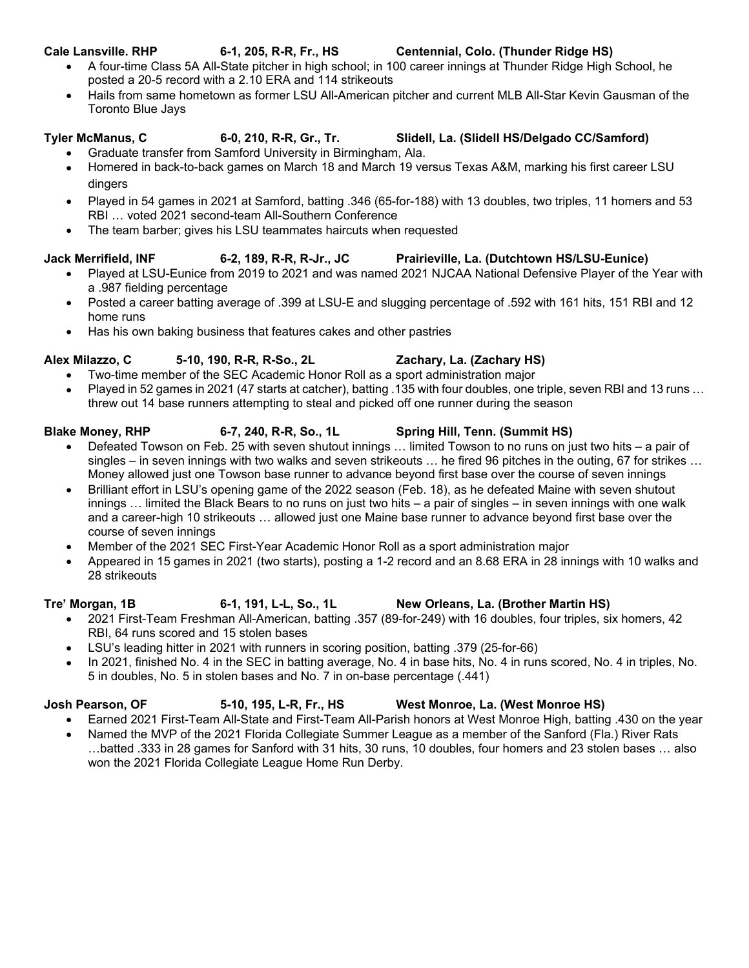- A four-time Class 5A All-State pitcher in high school; in 100 career innings at Thunder Ridge High School, he posted a 20-5 record with a 2.10 ERA and 114 strikeouts
- Hails from same hometown as former LSU All-American pitcher and current MLB All-Star Kevin Gausman of the Toronto Blue Jays

# **Tyler McManus, C 6-0, 210, R-R, Gr., Tr. Slidell, La. (Slidell HS/Delgado CC/Samford)**

- Graduate transfer from Samford University in Birmingham, Ala.
- Homered in back-to-back games on March 18 and March 19 versus Texas A&M, marking his first career LSU dingers
- Played in 54 games in 2021 at Samford, batting .346 (65-for-188) with 13 doubles, two triples, 11 homers and 53 RBI … voted 2021 second-team All-Southern Conference
- The team barber; gives his LSU teammates haircuts when requested

# **Jack Merrifield, INF 6-2, 189, R-R, R-Jr., JC Prairieville, La. (Dutchtown HS/LSU-Eunice)**

- Played at LSU-Eunice from 2019 to 2021 and was named 2021 NJCAA National Defensive Player of the Year with a .987 fielding percentage
- Posted a career batting average of .399 at LSU-E and slugging percentage of .592 with 161 hits, 151 RBI and 12 home runs
- Has his own baking business that features cakes and other pastries

# **Alex Milazzo, C 5-10, 190, R-R, R-So., 2L Zachary, La. (Zachary HS)**

- Two-time member of the SEC Academic Honor Roll as a sport administration major
- Played in 52 games in 2021 (47 starts at catcher), batting .135 with four doubles, one triple, seven RBI and 13 runs … threw out 14 base runners attempting to steal and picked off one runner during the season

- Defeated Towson on Feb. 25 with seven shutout innings … limited Towson to no runs on just two hits a pair of singles – in seven innings with two walks and seven strikeouts … he fired 96 pitches in the outing, 67 for strikes … Money allowed just one Towson base runner to advance beyond first base over the course of seven innings
- Brilliant effort in LSU's opening game of the 2022 season (Feb. 18), as he defeated Maine with seven shutout innings … limited the Black Bears to no runs on just two hits – a pair of singles – in seven innings with one walk and a career-high 10 strikeouts … allowed just one Maine base runner to advance beyond first base over the course of seven innings
- Member of the 2021 SEC First-Year Academic Honor Roll as a sport administration major
- Appeared in 15 games in 2021 (two starts), posting a 1-2 record and an 8.68 ERA in 28 innings with 10 walks and 28 strikeouts

### **Tre' Morgan, 1B 6-1, 191, L-L, So., 1L New Orleans, La. (Brother Martin HS)**  2021 First-Team Freshman All-American, batting .357 (89-for-249) with 16 doubles, four triples, six homers, 42 RBI, 64 runs scored and 15 stolen bases

- LSU's leading hitter in 2021 with runners in scoring position, batting .379 (25-for-66)
- In 2021, finished No. 4 in the SEC in batting average, No. 4 in base hits, No. 4 in runs scored, No. 4 in triples, No. 5 in doubles, No. 5 in stolen bases and No. 7 in on-base percentage (.441)

- **Josh Pearson, OF 5-10, 195, L-R, Fr., HS West Monroe, La. (West Monroe HS)**  Earned 2021 First-Team All-State and First-Team All-Parish honors at West Monroe High, batting .430 on the year
	- Named the MVP of the 2021 Florida Collegiate Summer League as a member of the Sanford (Fla.) River Rats
	- …batted .333 in 28 games for Sanford with 31 hits, 30 runs, 10 doubles, four homers and 23 stolen bases … also won the 2021 Florida Collegiate League Home Run Derby.

# **Blake Money, RHP 6-7, 240, R-R, So., 1L Spring Hill, Tenn. (Summit HS)**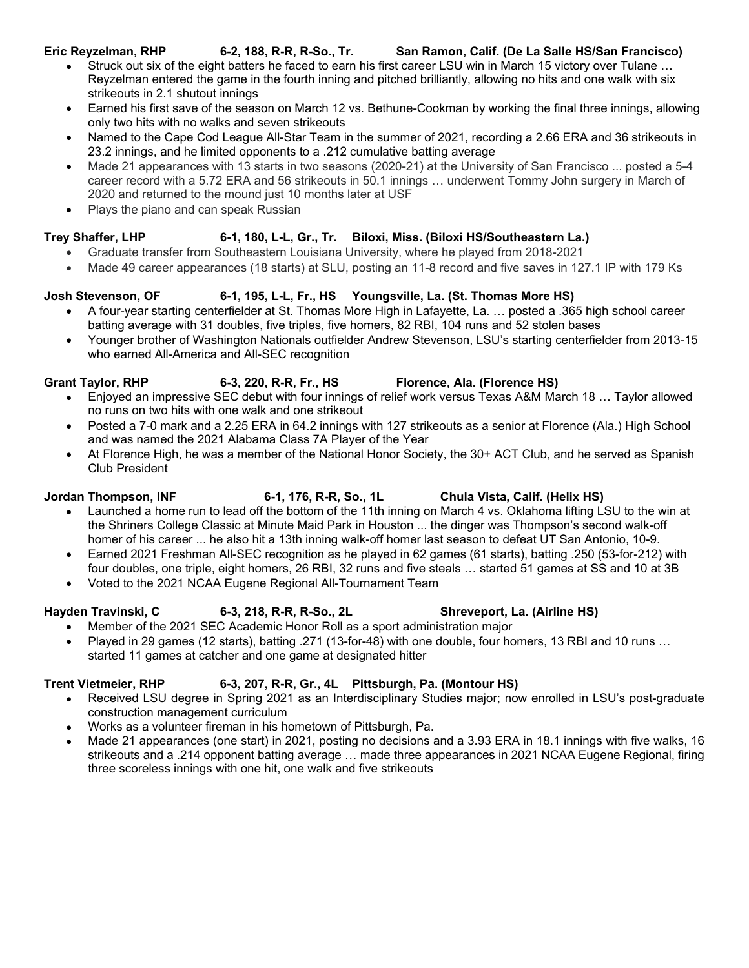### **Eric Reyzelman, RHP 6-2, 188, R-R, R-So., Tr. San Ramon, Calif. (De La Salle HS/San Francisco)**

- Struck out six of the eight batters he faced to earn his first career LSU win in March 15 victory over Tulane … Reyzelman entered the game in the fourth inning and pitched brilliantly, allowing no hits and one walk with six strikeouts in 2.1 shutout innings
- Earned his first save of the season on March 12 vs. Bethune-Cookman by working the final three innings, allowing only two hits with no walks and seven strikeouts
- Named to the Cape Cod League All-Star Team in the summer of 2021, recording a 2.66 ERA and 36 strikeouts in 23.2 innings, and he limited opponents to a .212 cumulative batting average
- Made 21 appearances with 13 starts in two seasons (2020-21) at the University of San Francisco ... posted a 5-4 career record with a 5.72 ERA and 56 strikeouts in 50.1 innings … underwent Tommy John surgery in March of 2020 and returned to the mound just 10 months later at USF
- Plays the piano and can speak Russian

# **Trey Shaffer, LHP 6-1, 180, L-L, Gr., Tr. Biloxi, Miss. (Biloxi HS/Southeastern La.)**

- Graduate transfer from Southeastern Louisiana University, where he played from 2018-2021
- Made 49 career appearances (18 starts) at SLU, posting an 11-8 record and five saves in 127.1 IP with 179 Ks

# **Josh Stevenson, OF 6-1, 195, L-L, Fr., HS Youngsville, La. (St. Thomas More HS)**

- A four-year starting centerfielder at St. Thomas More High in Lafayette, La. … posted a .365 high school career batting average with 31 doubles, five triples, five homers, 82 RBI, 104 runs and 52 stolen bases
- Younger brother of Washington Nationals outfielder Andrew Stevenson, LSU's starting centerfielder from 2013-15 who earned All-America and All-SEC recognition

- Grant Taylor, RHP 6-3, 220, R-R, Fr., HS Florence, Ala. (Florence HS) Enjoyed an impressive SEC debut with four innings of relief work versus Texas A&M March 18 … Taylor allowed
	- no runs on two hits with one walk and one strikeout
	- Posted a 7-0 mark and a 2.25 ERA in 64.2 innings with 127 strikeouts as a senior at Florence (Ala.) High School and was named the 2021 Alabama Class 7A Player of the Year
	- At Florence High, he was a member of the National Honor Society, the 30+ ACT Club, and he served as Spanish Club President

# **Jordan Thompson, INF 6-1, 176, R-R, So., 1L Chula Vista, Calif. (Helix HS)**

- Launched a home run to lead off the bottom of the 11th inning on March 4 vs. Oklahoma lifting LSU to the win at the Shriners College Classic at Minute Maid Park in Houston ... the dinger was Thompson's second walk-off homer of his career ... he also hit a 13th inning walk-off homer last season to defeat UT San Antonio, 10-9.
- Earned 2021 Freshman All-SEC recognition as he played in 62 games (61 starts), batting .250 (53-for-212) with four doubles, one triple, eight homers, 26 RBI, 32 runs and five steals … started 51 games at SS and 10 at 3B
- Voted to the 2021 NCAA Eugene Regional All-Tournament Team

# Hayden Travinski, C 6-3, 218, R-R, R-So., 2L Shreveport, La. (Airline HS)

- Member of the 2021 SEC Academic Honor Roll as a sport administration major
- Played in 29 games (12 starts), batting .271 (13-for-48) with one double, four homers, 13 RBI and 10 runs … started 11 games at catcher and one game at designated hitter

# **Trent Vietmeier, RHP 6-3, 207, R-R, Gr., 4L Pittsburgh, Pa. (Montour HS)**

- Received LSU degree in Spring 2021 as an Interdisciplinary Studies major; now enrolled in LSU's post-graduate construction management curriculum
- Works as a volunteer fireman in his hometown of Pittsburgh, Pa.
- Made 21 appearances (one start) in 2021, posting no decisions and a 3.93 ERA in 18.1 innings with five walks, 16 strikeouts and a .214 opponent batting average … made three appearances in 2021 NCAA Eugene Regional, firing three scoreless innings with one hit, one walk and five strikeouts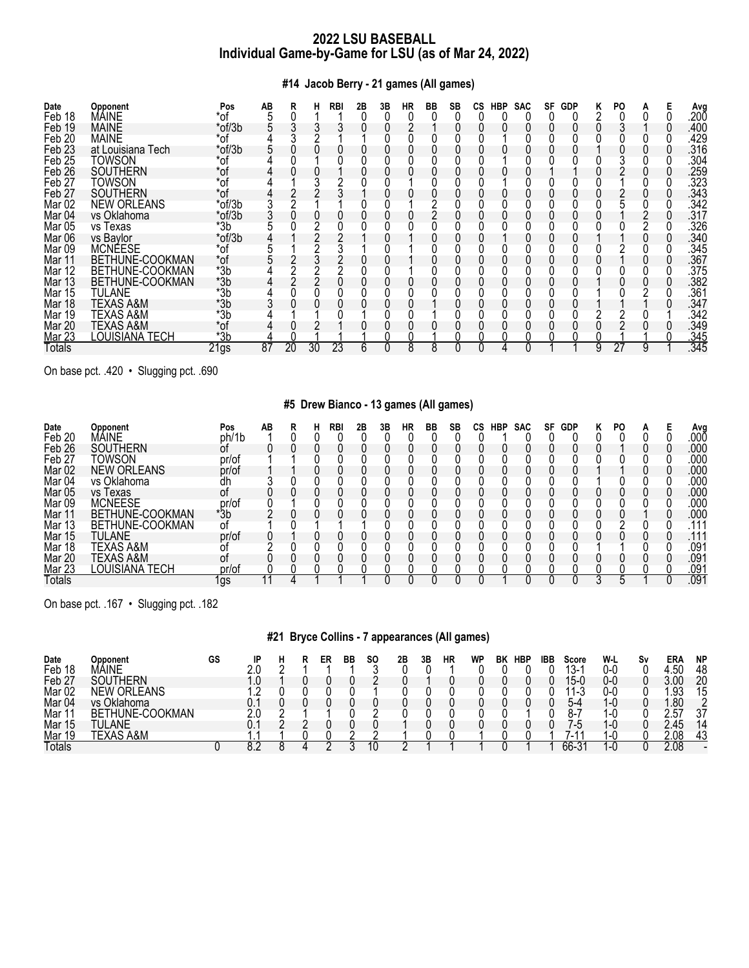# **#14 Jacob Berry - 21 games (All games)**

| Date<br>Feb 18    | Opponent<br>MÁINE  | Pos<br>*of | AB              | ĸ  |    | <b>RBI</b> | 2Β | 3B | НR | BB | SB | CS | <b>HBP</b> | <b>SAC</b> | SF | <b>GDP</b> | ĸ | PO. |   | Ava<br>.20Ō |
|-------------------|--------------------|------------|-----------------|----|----|------------|----|----|----|----|----|----|------------|------------|----|------------|---|-----|---|-------------|
| Feb 19            | <b>MAINE</b>       | *of/3b     |                 |    |    |            |    |    |    |    |    |    |            |            |    |            |   |     |   | .400        |
| Feb <sub>20</sub> | <b>MAINE</b>       | $*$ of     |                 |    |    |            |    |    |    |    |    |    |            |            |    |            |   |     |   | .429        |
| Feb <sub>23</sub> | at Louisiana Tech  | $*$ of/3b  |                 |    |    |            |    |    |    |    |    |    |            |            |    |            |   |     |   | .316        |
| Feb <sub>25</sub> | TOWSON             | *of        |                 |    |    |            |    |    |    |    |    |    |            |            |    |            |   |     |   | .304        |
| Feb <sub>26</sub> | SOUTHERN           | *of        |                 |    |    |            |    |    |    |    |    |    |            |            |    |            |   |     |   | .259        |
| Feb <sub>27</sub> | TOWSON             | *of        |                 |    |    |            |    |    |    |    |    |    |            |            |    |            |   |     |   | .323        |
| Feb <sub>27</sub> | <b>SOUTHERN</b>    | *of        |                 |    |    |            |    |    |    |    |    |    |            |            |    |            |   |     |   | .343        |
| Mar <sub>02</sub> | <b>NEW ORLEANS</b> | *of/3b     |                 |    |    |            |    |    |    |    |    |    |            |            |    |            |   |     |   | .342        |
| Mar <sub>04</sub> | vs Oklahoma        | $*$ of/3b  |                 |    |    |            |    |    |    |    |    |    |            |            |    |            |   |     |   | .317        |
| <b>Mar 05</b>     | vs Texas           | *3b        |                 |    |    |            |    |    |    |    |    |    |            |            |    |            |   |     |   | .326        |
| Mar 06            | vs Baylor          | *of/3b     |                 |    |    |            |    |    |    |    |    |    |            |            |    |            |   |     |   | .340        |
| Mar <sub>09</sub> | <b>MCNEESE</b>     | *of        |                 |    |    |            |    |    |    |    |    |    |            |            |    |            |   |     |   | .345        |
| Mar 11            | BETHUNE-COOKMAN    | *of        |                 |    |    |            |    |    |    |    |    |    |            |            |    |            |   |     |   | .367        |
| Mar 12            | BETHUNE-COOKMAN    | $*3b$      |                 |    |    |            |    |    |    |    |    |    |            |            |    |            |   |     |   | .375        |
| Mar 13            | BETHUNE-COOKMAN    | $*3b$      |                 |    |    |            |    |    |    |    |    |    |            |            |    |            |   |     |   | .382        |
| Mar 15            | TULANE             | $*3b$      |                 |    |    |            |    |    |    |    |    |    |            |            |    |            |   |     |   | .361        |
| Mar 18            | TEXAS A&M          | *3b        |                 |    |    |            |    |    |    |    |    |    |            |            |    |            |   |     |   | .347        |
| Mar 19            | TEXAS A&M          | $*3b$      |                 |    |    |            |    |    |    |    |    |    |            |            |    |            |   |     |   | .342        |
| Mar 20            | TEXAS A&M          | *of        |                 |    |    |            |    |    |    |    |    |    |            |            |    |            |   |     |   | .349        |
| <b>Mar 23</b>     | LOUISIANA TECH     | $*3b$      |                 |    |    |            |    |    |    |    |    |    |            |            |    |            |   |     |   | .345        |
| Totals            |                    | 21gs       | $\overline{87}$ | 20 | 30 | 23         | 6  |    | 8  | 8  |    |    |            | C          |    |            | 9 | 27  | 9 | .345        |

On base pct. .420 • Slugging pct. .690

# **#5 Drew Bianco - 13 games (All games)**

| Date<br>Feb 20    | Opponent<br>MÁINE  | Pos<br>ph/1b | AВ |  | RBI | 2Β | 3B | НR | BB | SB | СS | HBP | <b>SAC</b> | SF | <b>GDP</b> | κ | PO |  | Avg<br>.00Ō      |
|-------------------|--------------------|--------------|----|--|-----|----|----|----|----|----|----|-----|------------|----|------------|---|----|--|------------------|
| Feb <sub>26</sub> | <b>SOUTHERN</b>    | Οt           |    |  |     |    |    |    |    |    |    |     |            |    |            |   |    |  | .000             |
| Feb <sub>27</sub> | Towson             | pr/of        |    |  |     |    |    |    |    |    |    |     |            |    |            |   |    |  | .000             |
| Mar <sub>02</sub> | <b>NEW ORLEANS</b> | pr/of        |    |  |     |    |    |    |    |    |    |     |            |    |            |   |    |  | .000             |
| Mar <sub>04</sub> | vs Oklahoma        | dh           |    |  |     |    |    |    |    |    |    |     |            |    |            |   |    |  | .000             |
| Mar 05            | vs Texas           | 0t           |    |  |     |    |    |    |    |    |    |     |            |    |            |   |    |  | .000             |
| Mar 09            | <b>MCNEESE</b>     | pr/of        |    |  |     |    |    |    |    |    |    |     |            |    |            |   |    |  | .00C             |
| Mar 11            | BETHUNE-COOKMAN    | *3b          |    |  |     |    |    |    |    |    |    |     |            |    |            |   |    |  | .000             |
| Mar 13            | BETHUNE-COOKMAN    | 0t           |    |  |     |    |    |    |    |    |    |     |            |    |            |   |    |  | .111             |
| Mar 15            | TULANE             | pr/of        |    |  |     |    |    |    |    |    |    |     |            |    |            |   |    |  | .111             |
| Mar 18            | TEXAS A&M          |              |    |  |     |    |    |    |    |    |    |     |            |    |            |   |    |  | .091             |
| <b>Mar 20</b>     | TEXAS A&M          | 0t           |    |  |     |    |    |    |    |    |    |     |            |    |            |   |    |  | .091             |
| <b>Mar 23</b>     | LOUISIANA TECH     | pr/of        |    |  |     |    |    |    |    |    |    |     |            |    |            |   |    |  | .09 <sup>1</sup> |
| Totals            |                    | lgs          |    |  |     |    |    |    |    |    |    |     |            |    |            |   |    |  | .091             |

On base pct. .167 • Slugging pct. .182

# **#21 Bryce Collins - 7 appearances (All games)**

| Date<br>Feb 18    | Opponent<br>MÁINE     | GS | ID |  | ER | BB | <b>SO</b> | 2Β | 3Β | НR | WP | ΒK | HBP | IBB | Score<br>10.<br>∵-ٽ            | W-L<br>0-C | Sν | ERA<br>$\mathbf{h}$ | <b>NP</b><br>48 |
|-------------------|-----------------------|----|----|--|----|----|-----------|----|----|----|----|----|-----|-----|--------------------------------|------------|----|---------------------|-----------------|
| Feb 27            | <b>ITHERN</b><br>SOU. |    |    |  |    |    |           |    |    |    |    |    |     |     | 15-0                           | 0-C        |    |                     | 20              |
| Mar <sub>02</sub> | <b>NEW ORLEANS</b>    |    |    |  |    |    |           |    |    |    |    |    |     |     | $\overline{A}$<br>$\mathsf{I}$ | 0-0        |    | ิดว                 | 15              |
| Mar 04            | vs Oklahoma           |    |    |  |    |    |           |    |    |    |    |    |     |     | $5-4$                          | 1-0        |    | .80                 |                 |
| Mar               | THUNE-COOKMAN<br>BF.  |    |    |  |    |    |           |    |    |    |    |    |     |     | 8-.                            | <b>.</b>   |    | -57                 | 27              |
| Mar 15            | .ANE<br>TUL.          |    |    |  |    |    |           |    |    |    |    |    |     |     | / -⊱                           | 1-∩        |    | 2.45                | 14              |
| Mar<br>19         | TEXAS A&M             |    |    |  |    |    |           |    |    |    |    |    |     |     | ا - ،                          |            |    | 2.08                | 43              |
| Totals            |                       |    |    |  |    |    |           |    |    |    |    |    |     |     | 66-3                           | . –        |    | 2.08                |                 |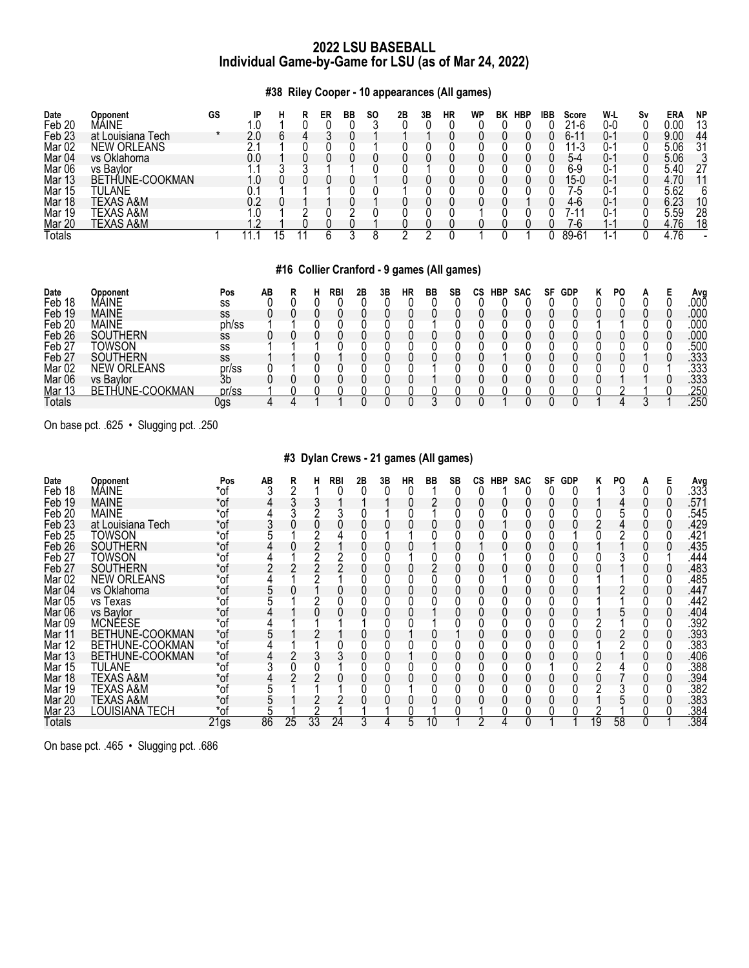**#38 Riley Cooper - 10 appearances (All games)**

| Date              | Opponent           | GS |    |  | ER | BB | SO. | 2B | 3Β | HR | <b>WP</b> | BK | <b>HBP</b> | <b>IBB</b> | <b>Score</b>     | W-L                      | Sν | ERA  | <b>NP</b> |
|-------------------|--------------------|----|----|--|----|----|-----|----|----|----|-----------|----|------------|------------|------------------|--------------------------|----|------|-----------|
| Feb <sub>20</sub> | MAINE              |    |    |  |    |    |     |    |    |    |           |    |            |            | 21-6             | 0-0                      |    | 0.00 | 13        |
| Feb <sub>23</sub> | at Louisiana Tech  |    |    |  |    |    |     |    |    |    |           |    |            |            | 6-1              | O-1                      |    | 9.00 | 44        |
| Mar <sub>02</sub> | <b>NEW ORLEANS</b> |    |    |  |    |    |     |    |    |    |           |    |            |            | ∣1-3             | J- 1                     |    | 5.06 | 31        |
| Mar <sub>04</sub> | vs Oklahoma        |    |    |  |    |    |     |    |    |    |           |    |            |            | 5-4              | O-.                      |    | 5.06 |           |
| Mar <sub>06</sub> | vs Bavlor          |    |    |  |    |    |     |    |    |    |           |    |            |            | 6-9              | J-                       |    | 5.40 |           |
| Mar 13            | BETHUNE-COOKMAN    |    |    |  |    |    |     |    |    |    |           |    |            |            | 15-0             | 0-.                      |    | 4.70 |           |
| Mar 15            | TULANE             |    |    |  |    |    |     |    |    |    |           |    |            |            | -5               | U-.                      |    | 5.62 |           |
| Mar 18            | TEXAS A&M          |    | በጋ |  |    |    |     |    |    |    |           |    |            |            | 4-6              | O-1                      |    | 6.23 |           |
| Mar 19            | TEXAS A&M          |    |    |  |    |    |     |    |    |    |           |    |            |            | 1-1              | ı-                       |    | 5.59 | 28        |
| Mar 20            | TEXAS A&M          |    |    |  |    |    |     |    |    |    |           |    |            |            | 7-6              | ı —                      |    | 4.76 | 18        |
| Totals            |                    |    |    |  |    |    |     |    |    |    |           |    |            |            | $89 - 6^{\circ}$ | $\overline{\phantom{0}}$ |    | 4.76 |           |

# **#16 Collier Cranford - 9 games (All games)**

| Date              | Opponent             | Pos   | AB |  | RBI | 2Β | 3Β | НR | ВB | SB | СS | HBP | <b>SAC</b> | SF | <b>GDP</b> | PO |  | Avo  |
|-------------------|----------------------|-------|----|--|-----|----|----|----|----|----|----|-----|------------|----|------------|----|--|------|
| Feb 18            | MÁINE                | SS    |    |  |     |    |    |    |    |    |    |     |            |    |            |    |  | 000  |
| Feb 19            | <b>MAINE</b>         | SS    |    |  |     |    |    |    |    |    |    |     |            |    |            |    |  | .000 |
| Feb <sub>20</sub> | <b>MAINE</b>         | ph/ss |    |  |     |    |    |    |    |    |    |     |            |    |            |    |  | 000  |
| Feb 26            | SOUTHERN             | SS    |    |  |     |    |    |    |    |    |    |     |            |    |            |    |  | .000 |
| Feb <sub>27</sub> | TOWSON               | SS    |    |  |     |    |    |    |    |    |    |     |            |    |            |    |  | .500 |
| Feb <sub>27</sub> | <b>SOUTHERN</b>      | SS    |    |  |     |    |    |    |    |    |    |     |            |    |            |    |  | .333 |
| Mar <sub>02</sub> | <b>NEW ORLEANS</b>   | pr/ss |    |  |     |    |    |    |    |    |    |     |            |    |            |    |  | .333 |
| Mar 06            | vs Baylor            | 3b    |    |  |     |    |    |    |    |    |    |     |            |    |            |    |  | .333 |
| <u>Mar 13</u>     | THUNE-COOKMAN<br>BET | pr/ss |    |  |     |    |    |    |    |    |    |     |            |    |            |    |  | .250 |
| Totals            |                      | Jgs   |    |  |     |    |    |    |    |    |    |     |            |    |            |    |  | 250  |

On base pct. .625 • Slugging pct. .250

# **#3 Dylan Crews - 21 games (All games)**

| Date<br>Feb 18    | <b>Opponent</b><br>MÁINE | Pos<br>*of | AB | R  | н  | RBI | 2Β | 3B | HR | BB | SВ | СS | HBP | <b>SAC</b> | SF | <b>GDP</b> | κ  | PO. | А | Avg<br>.333       |
|-------------------|--------------------------|------------|----|----|----|-----|----|----|----|----|----|----|-----|------------|----|------------|----|-----|---|-------------------|
| Feb 19            | <b>MAINE</b>             | *of        |    |    |    |     |    |    |    |    |    |    |     |            |    |            |    |     |   | .571              |
| Feb <sub>20</sub> | <b>MAINE</b>             | $*$ of     |    |    |    |     |    |    |    |    |    |    |     |            |    |            |    |     |   | 545               |
|                   |                          |            |    |    |    |     |    |    |    |    |    |    |     |            |    |            |    |     |   |                   |
| Feb <sub>23</sub> | at Louisiana Tech        | *of        |    |    |    |     |    |    |    |    |    |    |     |            |    |            |    |     |   | .429              |
| Feb <sub>25</sub> | TOWSON                   | *of        |    |    |    |     |    |    |    |    |    |    |     |            |    |            |    |     |   | .421              |
| Feb <sub>26</sub> | SOUTHERN                 | *of        |    |    |    |     |    |    |    |    |    |    |     |            |    |            |    |     |   | .435              |
| Feb <sub>27</sub> | TOWSON                   | *of        |    |    |    |     |    |    |    |    |    |    |     |            |    |            |    |     |   | .444              |
| Feb 27            | SOUTHERN                 | *of        |    |    |    |     |    |    |    |    |    |    |     |            |    |            |    |     |   | .483              |
| Mar <sub>02</sub> | <b>NEW ORLEANS</b>       | *of        |    |    |    |     |    |    |    |    |    |    |     |            |    |            |    |     |   | .485              |
| Mar 04            | vs Oklahoma              | *of        |    |    |    |     |    |    |    |    |    |    |     |            |    |            |    |     |   | .447              |
| Mar <sub>05</sub> | vs Texas                 | *of        |    |    |    |     |    |    |    |    |    |    |     |            |    |            |    |     |   | .442              |
| Mar 06            | vs Bavlor                | *of        |    |    |    |     |    |    |    |    |    |    |     |            |    |            |    |     |   | .404              |
| Mar <sub>09</sub> | <b>MCNÉESE</b>           | *of        |    |    |    |     |    |    |    |    |    |    |     |            |    |            |    |     |   | .392              |
| Mar 11            | BETHUNE-COOKMAN          | *of        |    |    |    |     |    |    |    |    |    |    |     |            |    |            |    |     |   | .393              |
| Mar 12            | BETHUNE-COOKMAN          | *of        |    |    |    |     |    |    |    |    |    |    |     |            |    |            |    |     |   | .383              |
| Mar 13            | BETHUNE-COOKMAN          | *of        |    |    |    |     |    |    |    |    |    |    |     |            |    |            |    |     |   | .406              |
| Mar 15            | TULANE                   | *of        |    |    |    |     |    |    |    |    |    |    |     |            |    |            |    |     |   | .388              |
| Mar 18            | TEXAS A&M                | *of        |    |    |    |     |    |    |    |    |    |    |     |            |    |            |    |     |   | .394              |
| Mar 19            | <b>TEXAS A&amp;M</b>     | *of        |    |    |    |     |    |    |    |    |    |    |     |            |    |            |    |     |   | .382              |
| Mar 20            | TEXAS A&M                | *of        |    |    |    |     |    |    |    |    |    |    |     |            |    |            |    |     |   | .383              |
| <b>Mar 23</b>     | LOUISIANA TECH           | $*$ of     |    |    |    |     |    |    |    |    |    |    |     |            |    |            |    |     |   | .384              |
| Totals            |                          | 21gs       | 86 | 25 | 33 | 24  |    |    | 5  | 10 |    |    |     |            |    |            | 19 | 58  |   | $\overline{.384}$ |

On base pct. .465 • Slugging pct. .686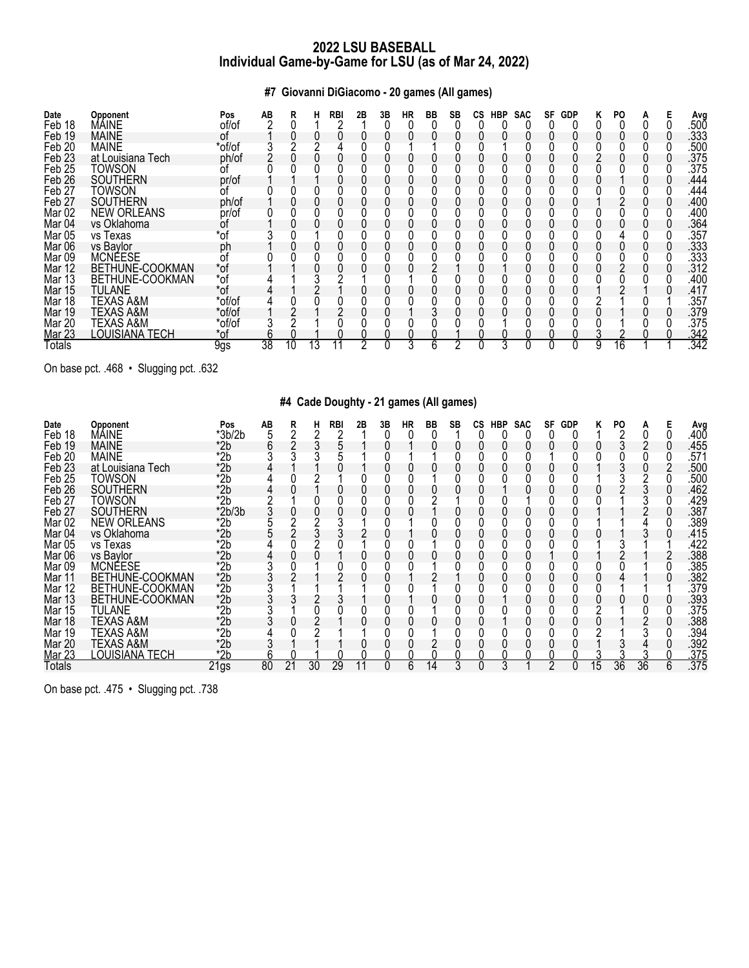**#7 Giovanni DiGiacomo - 20 games (All games)**

| Date<br>Feb 18    | Opponent<br>MÁINE     | Pos<br>of/of | AB | R  |    | <b>RBI</b> | 2Β | 3B | HR | BB | SB | <b>CS</b> | HBP | <b>SAC</b> | SF | <b>GDP</b> | PO. |  | Avg<br>.50Ŏ |
|-------------------|-----------------------|--------------|----|----|----|------------|----|----|----|----|----|-----------|-----|------------|----|------------|-----|--|-------------|
|                   |                       |              |    |    |    |            |    |    |    |    |    |           |     |            |    |            |     |  |             |
| Feb 19            | <b>MAINE</b>          | 0t           |    |    |    |            |    |    |    |    |    |           |     |            |    |            |     |  | .333        |
| Feb 20            | <b>MAINE</b>          | *of/of       |    |    |    |            |    |    |    |    |    |           |     |            |    |            |     |  | .500        |
| Feb <sub>23</sub> | at Louisiana Tech     | ph/of        |    |    |    |            |    |    |    |    |    |           |     |            |    |            |     |  | .375        |
| Feb <sub>25</sub> | TOWSON                |              |    |    |    |            |    |    |    |    |    |           |     |            |    |            |     |  | .375        |
| Feb <sub>26</sub> | <b>SOUTHERN</b>       | pr/of        |    |    |    |            |    |    |    |    |    |           |     |            |    |            |     |  | .444        |
| Feb 27            | TOWSON                | 0t           |    |    |    |            |    |    |    |    |    |           |     |            |    |            |     |  | .444        |
| Feb <sub>27</sub> | <b>SOUTHERN</b>       | ph/of        |    |    |    |            |    |    |    |    |    |           |     |            |    |            |     |  | .400        |
| Mar <sub>02</sub> | <b>NEW ORLEANS</b>    | pr/of        |    |    |    |            |    |    |    |    |    |           |     |            |    |            |     |  | .400        |
| Mar <sub>04</sub> | vs Oklahoma           | Οt           |    |    |    |            |    |    |    |    |    |           |     |            |    |            |     |  | 364         |
| <b>Mar 05</b>     | vs Texas              | *of          |    |    |    |            |    |    |    |    |    |           |     |            |    |            |     |  | .357        |
| Mar 06            | vs Baylor             | рh           |    |    |    |            |    |    |    |    |    |           |     |            |    |            |     |  | .333        |
| Mar <sub>09</sub> | <b>MCNÉESE</b>        | Οt           |    |    |    |            |    |    |    |    |    |           |     |            |    |            |     |  | .333        |
| Mar 12            | BETHUNE-COOKMAN       | $*$ of       |    |    |    |            |    |    |    |    |    |           |     |            |    |            |     |  | .312        |
| <b>Mar 13</b>     | BETHUNE-COOKMAN       | *of          |    |    |    |            |    |    |    |    |    |           |     |            |    |            |     |  | .400        |
| Mar 15            | TULANE                | *of          |    |    |    |            |    |    |    |    |    |           |     |            |    |            |     |  | .417        |
| Mar 18            | TEXAS A&M             | *of/of       |    |    |    |            |    |    |    |    |    |           |     |            |    |            |     |  | .357        |
| Mar 19            | TEXAS A&M             | *of/of       |    |    |    |            |    |    |    |    |    |           |     |            |    |            |     |  | .379        |
| <b>Mar 20</b>     | TEXAS A&M             | *of/of       |    |    |    |            |    |    |    |    |    |           |     |            |    |            |     |  | .375        |
| <b>Mar 23</b>     | <b>LOUISIANA TECH</b> | *of          |    |    |    |            |    |    |    |    |    |           |     |            |    |            |     |  | .342        |
| Totals            |                       | 9gs          | 38 | 10 | 13 |            |    |    |    |    |    |           |     |            |    |            |     |  | .342        |

On base pct. .468 • Slugging pct. .632

# **#4 Cade Doughty - 21 games (All games)**

| Date<br>Feb 18    | <b>Opponent</b><br>MÁINE | Pos<br>$*3b/2b$ | AB | R  | н  | RBI | 2Β | 3B | HR | ВB | <b>SB</b> | СS | HBP | <b>SAC</b> | SF | <b>GDP</b> |    | PO |    |   | Avg<br>.40Ō |
|-------------------|--------------------------|-----------------|----|----|----|-----|----|----|----|----|-----------|----|-----|------------|----|------------|----|----|----|---|-------------|
|                   |                          |                 |    |    |    |     |    |    |    |    |           |    |     |            |    |            |    |    |    |   |             |
| Feb 19            | <b>MAINE</b>             | $*2b$           |    |    |    |     |    |    |    |    |           |    |     |            |    |            |    |    |    |   | .455        |
| Feb <sub>20</sub> | <b>MAINE</b>             | $*2b$           |    |    |    |     |    |    |    |    |           |    |     |            |    |            |    |    |    |   | .571        |
| Feb <sub>23</sub> | at Louisiana Tech        | *2b             |    |    |    |     |    |    |    |    |           |    |     |            |    |            |    |    |    |   | .500        |
| Feb <sub>25</sub> | <b>TOWSON</b>            | $*$ 2b          |    |    |    |     |    |    |    |    |           |    |     |            |    |            |    |    |    |   | .500        |
| Feb <sub>26</sub> | <b>SOUTHERN</b>          | $*2b$           |    |    |    |     |    |    |    |    |           |    |     |            |    |            |    |    |    |   | .462        |
| Feb 27            | TOWSON                   | *2b             |    |    |    |     |    |    |    |    |           |    |     |            |    |            |    |    |    |   | .429        |
| Feb 27            | <b>SOUTHERN</b>          | $*2b/3b$        |    |    |    |     |    |    |    |    |           |    |     |            |    |            |    |    |    |   | .387        |
| Mar <sub>02</sub> | <b>NEW ORLEANS</b>       | $*$ 2b          |    |    |    |     |    |    |    |    |           |    |     |            |    |            |    |    |    |   | .389        |
| Mar <sub>04</sub> | vs Oklahoma              | $*2b$           |    |    |    |     |    |    |    |    |           |    |     |            |    |            |    |    |    |   | .415        |
| Mar <sub>05</sub> | vs Texas                 | $*2b$           |    |    |    |     |    |    |    |    |           |    |     |            |    |            |    |    |    |   | 422         |
| Mar 06            | vs Baylor                | *2b             |    |    |    |     |    |    |    |    |           |    |     |            |    |            |    |    |    |   | .388        |
| Mar <sub>09</sub> | <b>MCNEESE</b>           | $*2b$           |    |    |    |     |    |    |    |    |           |    |     |            |    |            |    |    |    |   | .385        |
| Mar 11            | BETHUNE-COOKMAN          | *2b             |    |    |    |     |    |    |    |    |           |    |     |            |    |            |    |    |    |   | .382        |
| Mar 12            | BETHUNE-COOKMAN          | $*$ 2b          |    |    |    |     |    |    |    |    |           |    |     |            |    |            |    |    |    |   | 379         |
| Mar 13            | BETHUNE-COOKMAN          | $*2b$           |    |    |    |     |    |    |    |    |           |    |     |            |    |            |    |    |    |   | .393        |
| Mar 15            | TULANE                   | $*2b$           |    |    |    |     |    |    |    |    |           |    |     |            |    |            |    |    |    |   | .375        |
| Mar 18            | TEXAS A&M                | *2b             |    |    |    |     |    |    |    |    |           |    |     |            |    |            |    |    |    |   | .388        |
| Mar 19            | TEXAS A&M                | $*2b$           |    |    |    |     |    |    |    |    |           |    |     |            |    |            |    |    |    |   | .394        |
| Mar 20            | TEXAS A&M                | *2b             |    |    |    |     |    |    |    |    |           |    |     |            |    |            |    |    |    |   | .392        |
| <b>Mar 23</b>     | <u>LOUISIANA TECH</u>    | $*2b$           |    |    |    |     |    |    |    |    |           |    |     |            |    |            |    |    |    |   | .375        |
| Totals            |                          | 21gs            | 80 | 21 | 30 | 29  |    | 0  | 6  | 14 | 3         |    | 3   |            | c  |            | 15 | 36 | 36 | 6 | .375        |

On base pct. .475 • Slugging pct. .738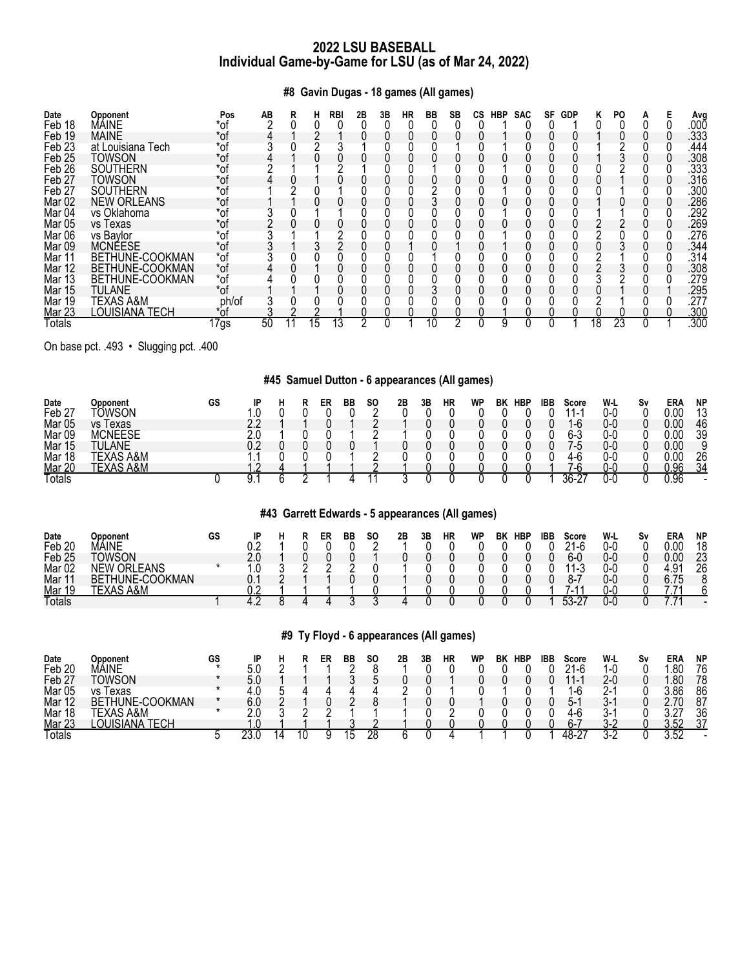**#8 Gavin Dugas - 18 games (All games)**

| Date<br>Feb 18    | Opponent<br>MÁINE  | Pos<br>*of | AВ | R | н  | RBI | 2Β | 3B | НR | BB | SB | CS. | <b>HBP</b> | <b>SAC</b> | SF | <b>GDP</b> | n  | PO |  | Avg<br>.00Ō |
|-------------------|--------------------|------------|----|---|----|-----|----|----|----|----|----|-----|------------|------------|----|------------|----|----|--|-------------|
| Feb 19            | <b>MAINE</b>       | *of        |    |   |    |     |    |    |    |    |    |     |            |            |    |            |    |    |  | .333        |
| Feb <sub>23</sub> | at Louisiana Tech  | *of        |    |   |    |     |    |    |    |    |    |     |            |            |    |            |    |    |  | .444        |
| Feb <sub>25</sub> | TOWSON             | *of        |    |   |    |     |    |    |    |    |    |     |            |            |    |            |    |    |  | .308        |
| Feb <sub>26</sub> | <b>SOUTHERN</b>    | *of        |    |   |    |     |    |    |    |    |    |     |            |            |    |            |    |    |  | .333        |
| Feb <sub>27</sub> | TOWSON             | *of        |    |   |    |     |    |    |    |    |    |     |            |            |    |            |    |    |  | 316         |
| Feb <sub>27</sub> | <b>SOUTHERN</b>    | $*$ of     |    |   |    |     |    |    |    |    |    |     |            |            |    |            |    |    |  | .300        |
| Mar 02            | <b>NEW ORLEANS</b> | *of        |    |   |    |     |    |    |    |    |    |     |            |            |    |            |    |    |  | .286        |
| Mar <sub>04</sub> | vs Oklahoma        | *of        |    |   |    |     |    |    |    |    |    |     |            |            |    |            |    |    |  | 292         |
| Mar 05            | vs lexas           | *of        |    |   |    |     |    |    |    |    |    |     |            |            |    |            |    |    |  | .269        |
| Mar 06            | vs Bavlor          | *of        |    |   |    |     |    |    |    |    |    |     |            |            |    |            |    |    |  | 276         |
| Mar 09            | <b>MCNÉESE</b>     | *of        |    |   |    |     |    |    |    |    |    |     |            |            |    |            |    |    |  | 344         |
| Mar 11            | BETHUNE-COOKMAN    | *of        |    |   |    |     |    |    |    |    |    |     |            |            |    |            |    |    |  | 314         |
| Mar 12            | BETHUNE-COOKMAN    | *of        |    |   |    |     |    |    |    |    |    |     |            |            |    |            |    |    |  | .308        |
| Mar 13            | BETHUNE-COOKMAN    | $*$ of     |    |   |    |     |    |    |    |    |    |     |            |            |    |            |    |    |  | .279        |
| Mar 15            | <b>TULANE</b>      | *of        |    |   |    |     |    |    |    |    |    |     |            |            |    |            |    |    |  | .295        |
| Mar 19            | TEXAS A&M          | ph/of      |    |   |    |     |    |    |    |    |    |     |            |            |    |            |    |    |  | .277        |
| Mar 23            | LOUISIANA TECH     | *of        |    |   |    |     |    |    |    |    |    |     |            |            |    |            |    |    |  | .300        |
| Totals            |                    | 17gs       | 50 |   | 15 |     | o  |    |    |    | c  |     |            |            |    |            | 18 | 23 |  | .300        |

On base pct. .493 • Slugging pct. .400

# **#45 Samuel Dutton - 6 appearances (All games)**

| Date              | Opponent       | GS | םו |  | ER | BB | SΟ | 2B | 3Β | НR | WP | BK | <b>HBP</b> | IBB | Score              | W-L | S٧ | ER/      | <b>NP</b> |
|-------------------|----------------|----|----|--|----|----|----|----|----|----|----|----|------------|-----|--------------------|-----|----|----------|-----------|
| Feb 27            | <b>TOWSON</b>  |    |    |  |    |    |    |    |    |    |    |    |            |     | . .                | 0-0 |    | $0.00\,$ | 12        |
| Mar 05            | vs Texas       |    |    |  |    |    |    |    |    |    |    |    |            |     | ı-6                | 0-0 |    | 0.00     | 46        |
| Mar <sub>09</sub> | <b>MCNEESE</b> |    |    |  |    |    |    |    |    |    |    |    |            |     | 6-3                | 0-0 |    | 0.00     | 39        |
| Mar 15            | TULANE         |    |    |  |    |    |    |    |    |    |    |    |            |     | -5                 | 0-0 |    | 0.00     |           |
| Mar 18            | \S A&M         |    |    |  |    |    |    |    |    |    |    |    |            |     | 4-6                | 0-0 |    | 0.00     | 26        |
| <b>Mar 20</b>     | A&M            |    |    |  |    |    |    |    |    |    |    |    |            |     | $\sqrt{ }$<br>$-b$ | 0-0 |    | 0.96     | 34        |
| Totals            |                |    |    |  |    |    |    |    |    |    |    |    |            |     | 36.27<br>∵-0∪      | 0 ር |    | 0.96     |           |

# **#43 Garrett Edwards - 5 appearances (All games)**

| Date              | <b>Doponent</b>             | GS | IP |  | ER | BB | <b>SO</b> | 2B | 3Β | HR | WP | BK | <b>HBP</b> | <b>IBB</b> | Score               | W-L | S٧ | ERA                  | <b>NP</b> |
|-------------------|-----------------------------|----|----|--|----|----|-----------|----|----|----|----|----|------------|------------|---------------------|-----|----|----------------------|-----------|
| Feb <sub>20</sub> | MAINE                       |    |    |  |    |    |           |    |    |    |    |    |            |            | ິ<br>$\sim$<br>. -r | 0-0 |    | nn.                  | 18        |
| Feb <sub>25</sub> | <b>TOWSON</b>               |    |    |  |    |    |           |    |    |    |    |    |            |            | 6-0                 | 0-0 |    | $\cdot$ 0 $\sim$     | റാ<br>za  |
| Mar <sub>02</sub> | EANS<br>∩RI<br>NEW          |    |    |  |    |    |           |    |    |    |    |    |            |            | 1-J                 | 0-C |    | ۵                    | 26        |
| Mar 1             | E-COOKMAN<br>'HUNE-<br>BETI |    |    |  |    |    |           |    |    |    |    |    |            |            | ი-                  | 0-0 |    | $\sim$ $\sim$ $\sim$ |           |
| Mar 19            | A&N<br>TEY                  |    |    |  |    |    |           |    |    |    |    |    |            |            | . - ۱               | U-l |    |                      |           |
| <b>Totals</b>     |                             |    |    |  |    |    |           |    |    |    |    |    |            |            | 52<br>`-            | U-L |    |                      | -         |

# **#9 Ty Floyd - 6 appearances (All games)**

| Date              | Opponent                           | GS |     |  | ER | BB | <b>SO</b> | 2B | 3Β | НR | WF | ΒK | <b>HBP</b> | IBB | Score                    | W-L  | S٧ | ERA               | <b>NP</b> |
|-------------------|------------------------------------|----|-----|--|----|----|-----------|----|----|----|----|----|------------|-----|--------------------------|------|----|-------------------|-----------|
| Feb 20            | MÁINE                              |    | 5.0 |  |    |    |           |    |    |    |    |    |            |     | $\sim$<br>1-r            | ำ−เ. |    | .80               | 76        |
| Feb 27            | Towson                             |    | 5.0 |  |    |    |           |    |    |    |    |    |            |     | $\overline{\phantom{0}}$ | Z-۱  |    | .80               | 78        |
| Mar <sub>05</sub> | l exas<br>٧S                       |    | .∪  |  |    |    |           |    |    |    |    |    |            |     | −ւ                       | ,    |    | .86               | 86        |
| Mar 12            | <b>UNE-COOKMAN</b><br>Ήl<br>BE.    |    | 6.0 |  |    |    |           |    |    |    |    |    |            |     | ე-                       |      |    |                   | 87        |
| Mar<br>18         | A&M                                |    |     |  |    |    |           |    |    |    |    |    |            |     | 4-c                      | `-   |    | $\sim$            | 36        |
| <b>Mar 23</b>     | _OI<br>IANA<br><b>TECL</b><br>EVL. |    | .u  |  |    |    |           |    |    |    |    |    |            |     | ∩–                       |      |    | -50<br>n<br>U.U.L | 37        |
| Totals            |                                    |    | ∠∪. |  |    |    | 28        |    |    |    |    |    |            |     | 48-2<br>$\sim$           | s.,  |    | 3.52              |           |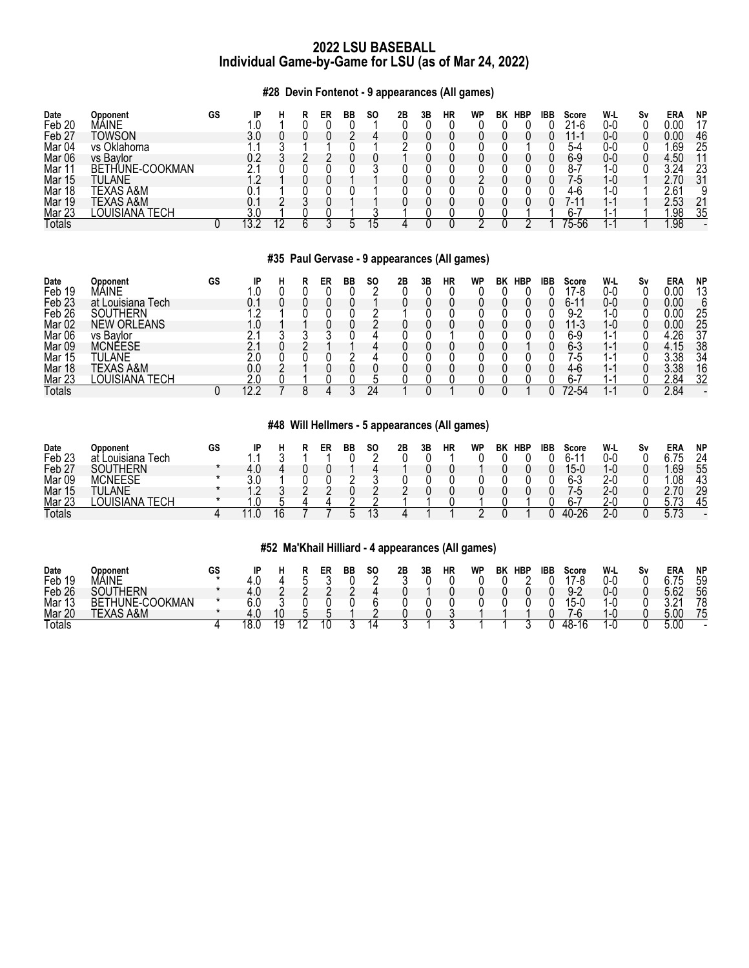# **#28 Devin Fontenot - 9 appearances (All games)**

| Date              | Opponent                              | GS | IP |  | ER | BB | <b>SO</b> | 2B | 3Β | НR | WP | BK | <b>HBP</b> | IBB | Score                | W-L                      | S٧ | ERA  | <b>NP</b> |
|-------------------|---------------------------------------|----|----|--|----|----|-----------|----|----|----|----|----|------------|-----|----------------------|--------------------------|----|------|-----------|
| Feb <sub>20</sub> | Viaine                                |    |    |  |    |    |           |    |    |    |    |    |            |     | 21-6                 | 0-0                      |    | 0.00 |           |
| Feb <sub>27</sub> | <b>TOWSON</b>                         |    |    |  |    |    |           |    |    |    |    |    |            |     | 44<br>$\overline{ }$ | 0-0                      |    | 0.00 | 46        |
| Mar <sub>04</sub> | vs Oklahoma                           |    |    |  |    |    |           |    |    |    |    |    |            |     | 5-4                  | 0-C                      |    | .69  | 25        |
| Mar 06            | vs Bavlor                             |    |    |  |    |    |           |    |    |    |    |    |            |     | 6-9                  | 0-0                      |    | l.5C |           |
| Mar 1             | BETHUNE-COOKMAN                       |    |    |  |    |    |           |    |    |    |    |    |            |     |                      | 1-ເ                      |    | 3 24 | 23        |
| Mar 15            | TULANE                                |    |    |  |    |    |           |    |    |    |    |    |            |     | / - ს                | 1-0                      |    | n    | 31        |
| Mar 18            | TEXAS A&M                             |    |    |  |    |    |           |    |    |    |    |    |            |     | 4-r                  | 1-ເ                      |    | 2.61 |           |
| Mar 19            | TEXAS A&M                             |    |    |  |    |    |           |    |    |    |    |    |            |     | 7-11                 |                          |    | 2.53 | າ 1       |
| Mar 23            | LOUISIANA <sup>:</sup><br><b>TECH</b> |    |    |  |    |    |           |    |    |    |    |    |            |     | հ ՝                  | . .                      |    | .98  | 35        |
| Totals            |                                       |    |    |  |    |    |           |    |    |    |    |    |            |     | 75-56                | $\overline{\phantom{0}}$ |    | .98  |           |

# **#35 Paul Gervase - 9 appearances (All games)**

| Date              | Opponent           | GS |         |  | ER | ВB | SO. | 2Β | 3Β | HR | <b>WP</b> | BK | <b>HBP</b> | IBB | Score          | W-L                      | S٧ | ERA  | <b>NP</b> |
|-------------------|--------------------|----|---------|--|----|----|-----|----|----|----|-----------|----|------------|-----|----------------|--------------------------|----|------|-----------|
| Feb 19            | MAINE              |    |         |  |    |    |     |    |    |    |           |    |            |     | 17-8           | 0-0                      |    | 0.00 | 13        |
| Feb <sub>23</sub> | at Louisiana Tech  |    |         |  |    |    |     |    |    |    |           |    |            |     | 6-1            | 0-0                      |    | 0.00 |           |
| Feb <sub>26</sub> | <b>SOUTHERN</b>    |    |         |  |    |    |     |    |    |    |           |    |            |     | a_s            | 1 0                      |    | 0.00 | 25        |
| Mar 02            | <b>NEW ORLEANS</b> |    |         |  |    |    |     |    |    |    |           |    |            |     | 11-3           | 1-0                      |    | 0.00 | 25        |
| Mar <sub>06</sub> | vs Bavlor          |    |         |  |    |    |     |    |    |    |           |    |            |     | 6-9            | $\overline{\phantom{0}}$ |    | .26  | 37        |
| Mar 09            | <b>MCNÉESE</b>     |    |         |  |    |    |     |    |    |    |           |    |            |     | 6-3            | $1 -$                    |    | 4.   | 38        |
| Mar 15            | TULANE             |    |         |  |    |    |     |    |    |    |           |    |            |     | 7-5            | $\overline{\phantom{0}}$ |    | .38  | 34        |
| Mar 18            | TEXAS A&M          |    |         |  |    |    |     |    |    |    |           |    |            |     | 4-6            | 1-1                      |    | 3.38 | 16        |
| <b>Mar 23</b>     | .OUISIANA<br>TECH  |    |         |  |    |    |     |    |    |    |           |    |            |     | ካ-.            |                          |    | 2.84 | 32        |
| Totals            |                    |    | $-12.2$ |  |    |    | 24  |    |    |    |           |    |            |     | $2 - 54$<br>77 | ı-l                      |    | 2.84 |           |

# **#48 Will Hellmers - 5 appearances (All games)**

| Date              | Opponent                           | GS |     |  | ER | BB | <b>SO</b> | 2B | 3Β | HR | WP | BK | <b>HBP</b> | IBB | Score                | W-L | S٧ | ER/        | <b>NP</b> |
|-------------------|------------------------------------|----|-----|--|----|----|-----------|----|----|----|----|----|------------|-----|----------------------|-----|----|------------|-----------|
| Feb <sub>23</sub> | l ech                              |    |     |  |    |    |           |    |    |    |    |    |            |     | ົ່າ-                 | 0-0 |    |            | 24        |
| Feb <sub>27</sub> | <b>HERN</b><br>וחס                 |    |     |  |    |    |           |    |    |    |    |    |            |     | $15-f$               | 1-0 |    | .69        | 55        |
| Mar <sub>09</sub> | <b>MCNEESE</b>                     |    | ^ ^ |  |    |    |           |    |    |    |    |    |            |     | $\sim$ $\sim$<br>h-. | ን በ |    | .08        | 43        |
| Mar 15            | <b>TULANE</b>                      |    |     |  |    |    |           |    |    |    |    |    |            |     | -5                   | 2-0 |    | 70         | 29        |
| <b>Mar 23</b>     | TECH<br>$\bigcap$ $\bigcap$<br>ANA |    |     |  |    |    |           |    |    |    |    |    |            |     | ∩–∶                  | Z-U |    | <u>. v</u> | 45        |
| <b>Totals</b>     |                                    |    |     |  |    |    |           |    |    |    |    |    |            |     | ጋፍ                   | 2-l |    |            |           |

# **#52 Ma'Khail Hilliard - 4 appearances (All games)**

| Date          | Opponent                         | GS |             |             |     | ER | BB | <b>SO</b> | 2Β | 3Β | <b>HR</b> | WP | BK | <b>HBP</b> | <b>IBB</b> | Score             | W-L      | S٧ | ERA                      | <b>NP</b> |
|---------------|----------------------------------|----|-------------|-------------|-----|----|----|-----------|----|----|-----------|----|----|------------|------------|-------------------|----------|----|--------------------------|-----------|
| Feb<br>19     | MÁINE                            |    |             |             |     |    |    |           |    |    |           |    |    |            |            | 17 <sub>-</sub> 8 | 0-0      |    | $\overline{\phantom{a}}$ | 59        |
| Feb 26        | SOUTHERN                         |    |             |             |     |    |    |           |    |    |           |    |    |            |            | $9-2$             | ົ<br>U-U |    | 5.62                     | 56        |
| Mar 1<br>ιυ   | <b>THUNE-CL</b><br>OOKMAN<br>BET |    |             |             |     |    |    |           |    |    |           |    |    |            |            | 15-ι              |          |    | $\Omega$                 | 78        |
| <b>Mar 20</b> | A&M<br>TEYA-                     |    | $T_{\rm f}$ | 10          |     |    |    |           |    |    |           |    |    |            |            | -ი                |          |    | 5.00                     | 75        |
| Totals        |                                  |    | 10.<br>v.v  | 1 C<br>l sa | 1 C | ີ  |    |           |    |    |           |    |    |            |            | 48.<br>-16<br>ີ   |          |    | 5.00                     | $\sim$    |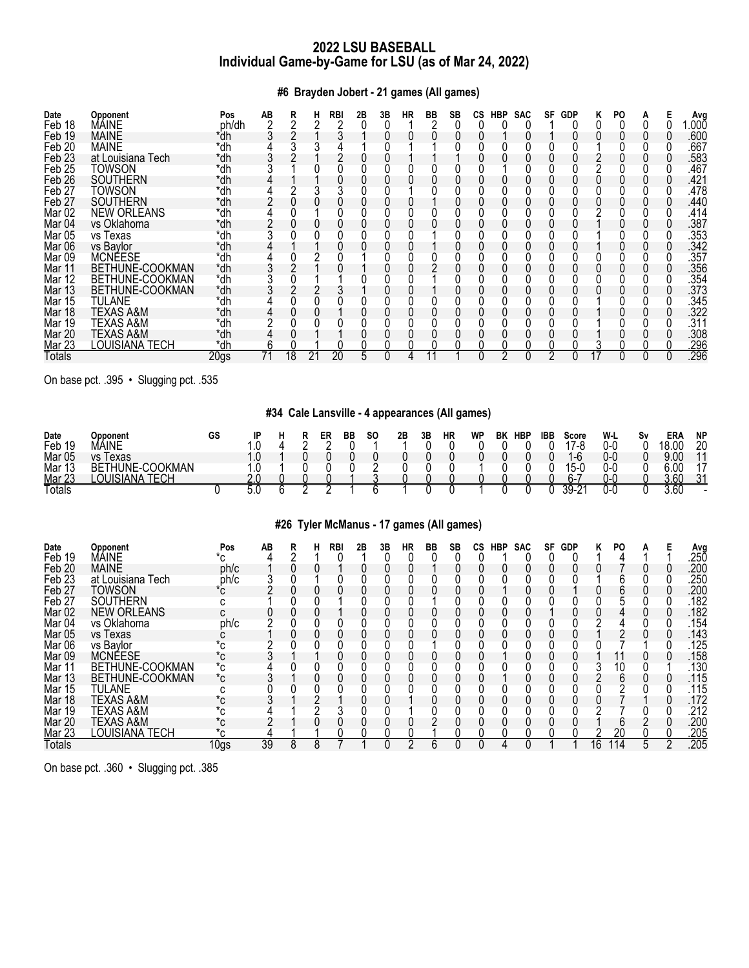# **#6 Brayden Jobert - 21 games (All games)**

| Date<br>Feb 18    | <b>Opponent</b><br>MÁINE | Pos<br>ph/dh     | AB | R  |    | <b>RBI</b> | 2Β | 3B | HR | BB | SB | CS | HBP | <b>SAC</b> | SF | <b>GDP</b> | ĸ | PO |  | Avg<br>.000 |
|-------------------|--------------------------|------------------|----|----|----|------------|----|----|----|----|----|----|-----|------------|----|------------|---|----|--|-------------|
| Feb 19            | <b>MAINE</b>             | *dh              |    |    |    |            |    |    |    |    |    |    |     |            |    |            |   |    |  | .600        |
| Feb <sub>20</sub> | <b>MAINE</b>             | *dh              |    |    |    |            |    |    |    |    |    |    |     |            |    |            |   |    |  | .667        |
| Feb <sub>23</sub> | at Louisiana Tech        | *dh              |    |    |    |            |    |    |    |    |    |    |     |            |    |            |   |    |  | .583        |
| Feb <sub>25</sub> | TOWSON                   | *dh              |    |    |    |            |    |    |    |    |    |    |     |            |    |            |   |    |  | .467        |
| Feb <sub>26</sub> | <b>SOUTHERN</b>          | *dh              |    |    |    |            |    |    |    |    |    |    |     |            |    |            |   |    |  | .421        |
| Feb <sub>27</sub> | TOWSON                   | *dh              |    |    |    |            |    |    |    |    |    |    |     |            |    |            |   |    |  | .478        |
| Feb <sub>27</sub> | <b>SOUTHERN</b>          | *dh              |    |    |    |            |    |    |    |    |    |    |     |            |    |            |   |    |  | .440        |
| Mar <sub>02</sub> | <b>NEW ORLEANS</b>       | *dh              |    |    |    |            |    |    |    |    |    |    |     |            |    |            |   |    |  | .414        |
| Mar <sub>04</sub> | vs Oklahoma              | *dh              |    |    |    |            |    |    |    |    |    |    |     |            |    |            |   |    |  | .387        |
| <b>Mar 05</b>     | vs Texas                 | *dh              |    |    |    |            |    |    |    |    |    |    |     |            |    |            |   |    |  | .353        |
| Mar 06            | vs Baylor                | *dh              |    |    |    |            |    |    |    |    |    |    |     |            |    |            |   |    |  | .342        |
| Mar 09            | <b>MCNÉESE</b>           | *dh              |    |    |    |            |    |    |    |    |    |    |     |            |    |            |   |    |  | .357        |
| Mar 11            | BETHUNE-COOKMAN          | *dh              |    |    |    |            |    |    |    |    |    |    |     |            |    |            |   |    |  | .356        |
| Mar 12            | BETHUNE-COOKMAN          | *dh              |    |    |    |            |    |    |    |    |    |    |     |            |    |            |   |    |  | .354        |
| Mar 13            | BETHUNE-COOKMAN          | *dh              |    |    |    |            |    |    |    |    |    |    |     |            |    |            |   |    |  | .373        |
| Mar 15            | TULANE                   | *dh              |    |    |    |            |    |    |    |    |    |    |     |            |    |            |   |    |  | .345        |
| Mar 18            | <b>TEXAS A&amp;M</b>     | *dh              |    |    |    |            |    |    |    |    |    |    |     |            |    |            |   |    |  | .322        |
| Mar 19            | TEXAS A&M                | *dh              |    |    |    |            |    |    |    |    |    |    |     |            |    |            |   |    |  | .311        |
| Mar 20            | TEXAS A&M                | *dh              |    |    |    |            |    |    |    |    |    |    |     |            |    |            |   |    |  | .308        |
| Mar 23            | LOUISIANA TECH           | *dh              |    |    |    |            |    |    |    |    |    |    |     |            |    |            |   |    |  | .296        |
| Totals            |                          | 20 <sub>gs</sub> |    | 18 | 21 | 20         | 5  |    |    |    |    |    | ∩   |            | っ  |            |   |    |  | .296        |

On base pct. .395 • Slugging pct. .535

# **#34 Cale Lansville - 4 appearances (All games)**

| Date          | Opponent                        | GS |               |  | ER | ВB | <b>SO</b> | 2Β | 3Β | HR | <b>WP</b> | BK | <b>HBP</b> | <b>IBB</b> | Score    | W-L | S٧ | ERA  | <b>NP</b>                |
|---------------|---------------------------------|----|---------------|--|----|----|-----------|----|----|----|-----------|----|------------|------------|----------|-----|----|------|--------------------------|
| Feb 19        | MÁINE                           |    |               |  |    |    |           |    |    |    |           |    |            |            | 17-8     | 0-0 |    | 18 N | 20                       |
| Mar 05        | Texas<br>$\overline{10}$        |    |               |  |    |    |           |    |    |    |           |    |            |            | $1-b$    | 0-C |    | a nn | $\overline{11}$          |
| Mar 1<br>ιυ   | <b>COOKMAN</b><br>'HUNE-<br>BE1 |    |               |  |    |    |           |    |    |    |           |    |            |            | $15 - 6$ | 0-0 |    | ົດ   | 17                       |
| <b>Mar 23</b> | ECH<br>או ור<br>iana            |    | ົ<br><u>.</u> |  |    |    |           |    |    |    |           |    |            |            | 6-7      | 0-0 |    | 3.60 | $-21$<br>ັບເ             |
| <b>Totals</b> |                                 |    |               |  |    |    |           |    |    |    |           |    |            |            | 30       | บ-เ |    | 3.60 | $\overline{\phantom{0}}$ |

# **#26 Tyler McManus - 17 games (All games)**

| Date<br>Feb 19    | Opponent<br>MÁINE    | Pos<br>*c | AB | R | RBI | 2Β | 3B | ΗR | ВB | SB | СS | <b>HBP</b> | <b>SAC</b> | SF | <b>GDP</b> | Κ  | PO |   |   | Avg<br>.25Ō |
|-------------------|----------------------|-----------|----|---|-----|----|----|----|----|----|----|------------|------------|----|------------|----|----|---|---|-------------|
| Feb <sub>20</sub> | <b>MAINE</b>         | ph/c      |    |   |     |    |    |    |    |    |    |            |            |    |            |    |    |   |   | .200        |
| Feb <sub>23</sub> | at Louisiana Tech    | ph/c      |    |   |     |    |    |    |    |    |    |            |            |    |            |    |    |   |   | .250        |
| Feb <sub>27</sub> | TOWSON               | *c        |    |   |     |    |    |    |    |    |    |            |            |    |            |    |    |   |   | .200        |
| Feb 27            | <b>SOUTHERN</b>      | C         |    |   |     |    |    |    |    |    |    |            |            |    |            |    |    |   |   | 182         |
| Mar <sub>02</sub> | <b>NEW ORLEANS</b>   | C.        |    |   |     |    |    |    |    |    |    |            |            |    |            |    |    |   |   | .182        |
| Mar 04            | vs Oklahoma          | ph/c      |    |   |     |    |    |    |    |    |    |            |            |    |            |    |    |   |   | .154        |
| Mar 05            | vs Texas             |           |    |   |     |    |    |    |    |    |    |            |            |    |            |    |    |   |   | .143        |
| Mar <sub>06</sub> | vs Bavlor            | °C        |    |   |     |    |    |    |    |    |    |            |            |    |            |    |    |   |   | 125         |
| Mar 09            | <b>MCNÉESE</b>       | *c        |    |   |     |    |    |    |    |    |    |            |            |    |            |    |    |   |   | .158        |
| Mar 11            | BETHUNE-COOKMAN      | *c        |    |   |     |    |    |    |    |    |    |            |            |    |            |    | 10 |   |   | 130         |
| Mar 13            | BETHUNE-COOKMAN      | *c        |    |   |     |    |    |    |    |    |    |            |            |    |            |    | 6  |   |   | .115        |
| Mar 15            | TULANE               | U         |    |   |     |    |    |    |    |    |    |            |            |    |            |    |    |   |   | .115        |
| Mar 18            | TEXAS A&M            | *c        |    |   |     |    |    |    |    |    |    |            |            |    |            |    |    |   |   | .172        |
| Mar 19            | TEXAS A&M            | *c        |    |   |     |    |    |    |    |    |    |            |            |    |            |    |    |   |   | 212         |
| Mar 20            | <b>TEXAS A&amp;M</b> | *c        |    |   |     |    |    |    |    |    |    |            |            |    |            |    |    |   |   | .200        |
| <b>Mar 23</b>     | <b>OUISIANA TECH</b> | *ς.       |    |   |     |    |    |    |    |    |    |            |            |    |            |    | 20 |   |   | .205        |
| Totals            |                      | 10gs      | 39 | 8 |     |    |    |    | 6  |    |    |            |            |    |            | 16 | 14 | 5 | റ | .205        |

On base pct. .360 • Slugging pct. .385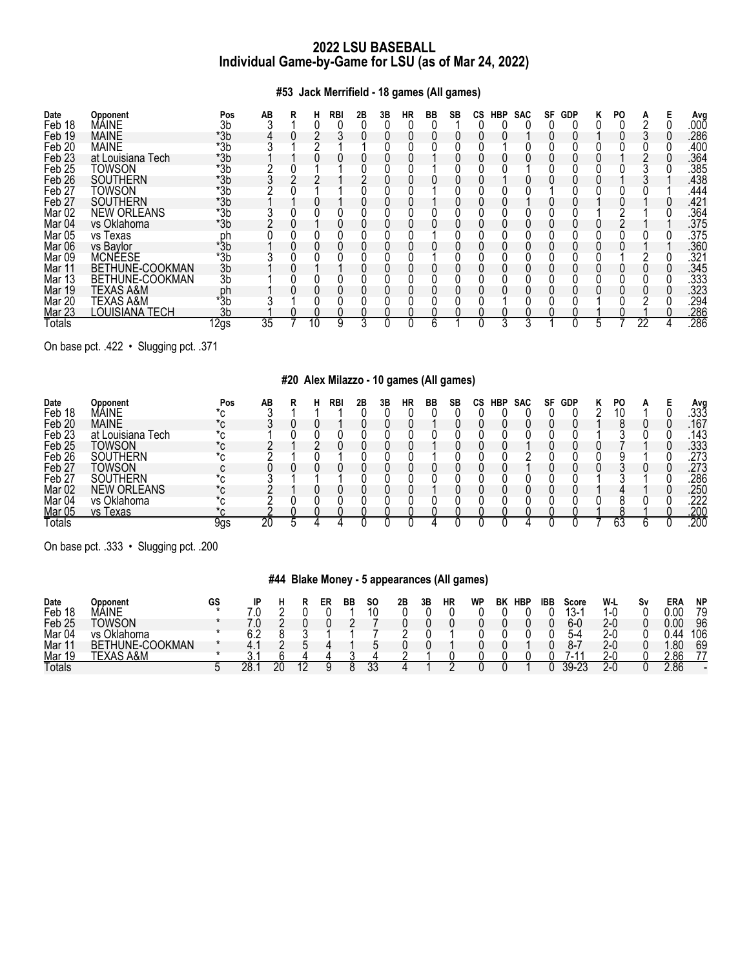**#53 Jack Merrifield - 18 games (All games)**

| Date              | Opponent             | Pos            | AВ | R | н  | RBI | 2Β | 3B | НR | BB | SВ | СS | <b>HBP</b> | <b>SAC</b> | SF | <b>GDP</b> | ĸ | PO. |    | Ava  |
|-------------------|----------------------|----------------|----|---|----|-----|----|----|----|----|----|----|------------|------------|----|------------|---|-----|----|------|
| Feb 18            | MÁINE                | 3b             |    |   |    |     |    |    |    |    |    |    |            |            |    |            |   |     |    | .00Ō |
| Feb 19            | <b>MAINE</b>         | *3b            |    |   |    |     |    |    |    |    |    |    |            |            |    |            |   |     |    | .286 |
| Feb <sub>20</sub> | <b>MAINE</b>         | $*3b$          |    |   |    |     |    |    |    |    |    |    |            |            |    |            |   |     |    | .400 |
| Feb <sub>23</sub> | at Louisiana Tech    | $*3b$          |    |   |    |     |    |    |    |    |    |    |            |            |    |            |   |     |    | .364 |
| Feb <sub>25</sub> | TOWSON               | $*3b$          |    |   |    |     |    |    |    |    |    |    |            |            |    |            |   |     |    | 385  |
| Feb <sub>26</sub> | <b>SOUTHERN</b>      | $*3b$          |    |   |    |     |    |    |    |    |    |    |            |            |    |            |   |     |    | .438 |
| Feb <sub>27</sub> | Towson               | $*3b$          |    |   |    |     |    |    |    |    |    |    |            |            |    |            |   |     |    | .444 |
| Feb <sub>27</sub> | <b>SOUTHERN</b>      | $*3b$          |    |   |    |     |    |    |    |    |    |    |            |            |    |            |   |     |    | .421 |
| Mar <sub>02</sub> | <b>NEW ORLEANS</b>   | $*3b$          |    |   |    |     |    |    |    |    |    |    |            |            |    |            |   |     |    | .364 |
| Mar <sub>04</sub> | vs Oklahoma          | $*3b$          |    |   |    |     |    |    |    |    |    |    |            |            |    |            |   |     |    | .375 |
| Mar <sub>05</sub> | vs Texas             | ph             |    |   |    |     |    |    |    |    |    |    |            |            |    |            |   |     |    | .375 |
| Mar 06            | vs Bavlor            | $*3b$          |    |   |    |     |    |    |    |    |    |    |            |            |    |            |   |     |    | .360 |
| Mar <sub>09</sub> | <b>MCNÉESE</b>       | *3b            |    |   |    |     |    |    |    |    |    |    |            |            |    |            |   |     |    | .321 |
| Mar 11            | BETHUNE-COOKMAN      | 3b             |    |   |    |     |    |    |    |    |    |    |            |            |    |            |   |     |    | .345 |
| Mar 13            | BETHUNE-COOKMAN      | 3b             |    |   |    |     |    |    |    |    |    |    |            |            |    |            |   |     |    | .333 |
| Mar 19            | <b>TEXAS A&amp;M</b> | ph             |    |   |    |     |    |    |    |    |    |    |            |            |    |            |   |     |    | .323 |
| Mar 20            | TEXAS A&M            | *3b            |    |   |    |     |    |    |    |    |    |    |            |            |    |            |   |     |    | 294  |
| Mar 23            | LOUISIANA TECH       | 3 <sub>b</sub> |    |   |    |     |    |    |    |    |    |    |            |            |    |            |   |     |    | .286 |
| Totals            |                      | 12gs           | 35 |   | 10 |     |    |    |    | h  |    |    |            |            |    |            | h |     | 22 | .286 |

On base pct. .422 • Slugging pct. .371

# **#20 Alex Milazzo - 10 games (All games)**

| Date              | Opponent           | Pos            | AВ |  | RBI | 2Β | 3B | НR | BB | SB | СS | <b>HBP</b> | <b>SAC</b> | SF | <b>GDP</b> | PO |  | Avg  |
|-------------------|--------------------|----------------|----|--|-----|----|----|----|----|----|----|------------|------------|----|------------|----|--|------|
| Feb 18            | MÁINE              |                |    |  |     |    |    |    |    |    |    |            |            |    |            |    |  | .333 |
| Feb 20            | <b>MAINE</b>       |                |    |  |     |    |    |    |    |    |    |            |            |    |            |    |  | 167  |
| Feb <sub>23</sub> | at Louisiana Tech  |                |    |  |     |    |    |    |    |    |    |            |            |    |            |    |  | 143  |
| Feb <sub>25</sub> | TOWSON             |                |    |  |     |    |    |    |    |    |    |            |            |    |            |    |  | .333 |
| Feb 26            | <b>SOUTHERN</b>    | 【⌒             |    |  |     |    |    |    |    |    |    |            |            |    |            |    |  | 273  |
| Feb <sub>27</sub> | TOWSON             |                |    |  |     |    |    |    |    |    |    |            |            |    |            |    |  | .273 |
| Feb <sub>27</sub> | SOUTHERN           |                |    |  |     |    |    |    |    |    |    |            |            |    |            |    |  | 286  |
| Mar <sub>02</sub> | <b>NEW ORLEANS</b> |                |    |  |     |    |    |    |    |    |    |            |            |    |            |    |  | 250  |
| Mar <sub>04</sub> | vs Oklahoma        |                |    |  |     |    |    |    |    |    |    |            |            |    |            |    |  | 222  |
| Mar 05            | vs Texas           | $\overline{N}$ |    |  |     |    |    |    |    |    |    |            |            |    |            |    |  | .200 |
| Гotals            |                    | 9gs            | 20 |  |     |    |    |    |    |    |    |            |            |    |            | 63 |  | 200  |

On base pct. .333 • Slugging pct. .200

# **#44 Blake Money - 5 appearances (All games)**

| Date              | Opponent                                 | GS | םו |    | ER | ВB | SΟ       | 2Β | 3Β | НR | WP | BK | <b>HBP</b> | IBB | Score                                    | W-L          | S٧ | ER/  | <b>NP</b> |
|-------------------|------------------------------------------|----|----|----|----|----|----------|----|----|----|----|----|------------|-----|------------------------------------------|--------------|----|------|-----------|
| Feb 18            | MAINE                                    |    |    |    |    |    |          |    |    |    |    |    |            |     | 13-                                      | -1           |    | 00.ر | 79        |
| Feb <sub>25</sub> | <b>TOWSON</b>                            |    |    |    |    |    |          |    |    |    |    |    |            |     | 6-C                                      | 2-۱          |    | ი იი | 96        |
| Mar 04            | Oklahoma<br>vs i                         |    |    |    |    |    |          |    |    |    |    |    |            |     | ົົ້ີ່                                    | / - I        |    |      | 106       |
| Mar               | <b>COOKMAN</b><br><b>"HUNE-C\</b><br>BET |    |    |    |    |    |          |    |    |    |    |    |            |     | ┒–                                       | <u>⁄ -</u> । |    | .80  | 69        |
| Mar               | A&M                                      |    |    |    |    |    |          |    |    |    |    |    |            |     | $\mathbf{A}$<br>$\overline{\phantom{0}}$ | ∕ – 1        |    | 2.86 |           |
| <b>Totals</b>     |                                          |    | 28 | 20 |    |    | n,<br>uu |    |    |    |    |    |            |     | 2C                                       | ∠-/          |    | 2.86 |           |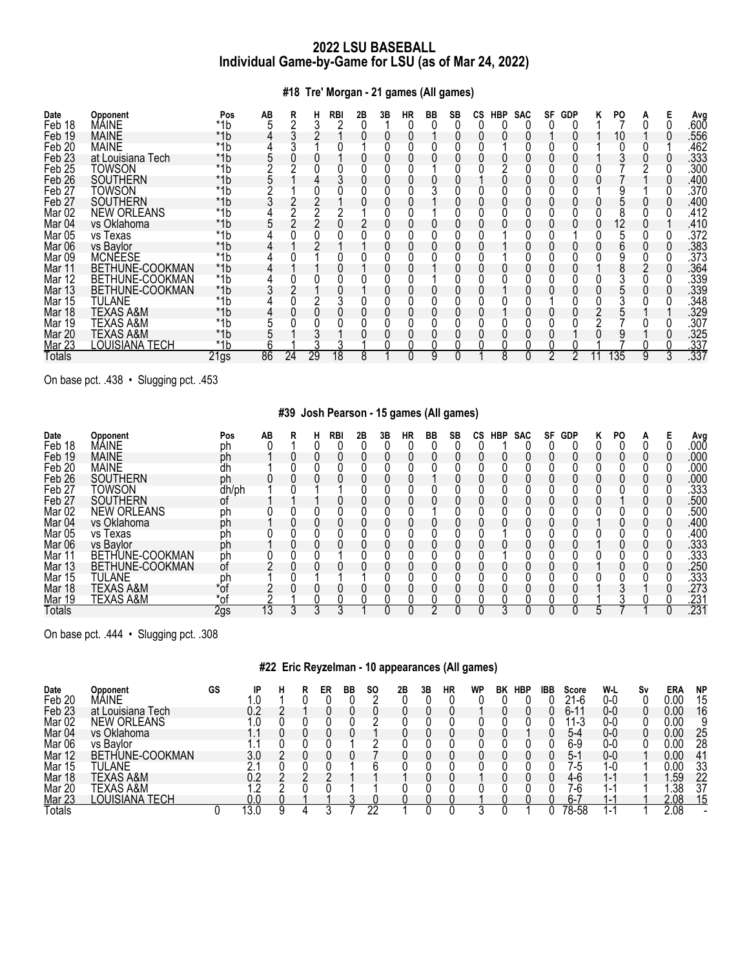**#18 Tre' Morgan - 21 games (All games)**

| Date<br>Feb 18    | Opponent<br>MÁINE  | Pos<br>*1b       | AB | R<br>⌒ | н  | <b>RBI</b> | 2Β | 3B | НR | BB | SB | СS | <b>HBP</b> | <b>SAC</b> | SF | <b>GDP</b> | ĸ | PO  | A |   | Ava<br>.60Ŏ |
|-------------------|--------------------|------------------|----|--------|----|------------|----|----|----|----|----|----|------------|------------|----|------------|---|-----|---|---|-------------|
| Feb 19            | <b>MAINE</b>       | *1b              |    |        |    |            |    |    |    |    |    |    |            |            |    |            |   | 10  |   |   | .556        |
| Feb <sub>20</sub> | <b>MAINE</b>       | *1b              |    |        |    |            |    |    |    |    |    |    |            |            |    |            |   |     |   |   | .462        |
| Feb <sub>23</sub> | at Louisiana Tech  | *1b              |    |        |    |            |    |    |    |    |    |    |            |            |    |            |   |     |   |   | .333        |
| Feb <sub>25</sub> | TOWSON             | *1b              |    |        |    |            |    |    |    |    |    |    |            |            |    |            |   |     |   |   | .300        |
| Feb <sub>26</sub> | <b>SOUTHERN</b>    | *1b              |    |        |    |            |    |    |    |    |    |    |            |            |    |            |   |     |   |   | .400        |
| Feb <sub>27</sub> | TOWSON             | *1b              |    |        |    |            |    |    |    |    |    |    |            |            |    |            |   |     |   |   | .370        |
| Feb <sub>27</sub> | <b>SOUTHERN</b>    | *1b              |    |        |    |            |    |    |    |    |    |    |            |            |    |            |   |     |   |   | .400        |
| Mar <sub>02</sub> | <b>NEW ORLEANS</b> | *1b              |    |        |    |            |    |    |    |    |    |    |            |            |    |            |   |     |   |   | .412        |
| Mar <sub>04</sub> | vs Oklahoma        | *1b              |    |        |    |            |    |    |    |    |    |    |            |            |    |            |   | 12  |   |   | .410        |
| <b>Mar 05</b>     | vs Texas           | $*1b$            |    |        |    |            |    |    |    |    |    |    |            |            |    |            |   |     |   |   | .372        |
| Mar 06            | vs Baylor          | *1b              |    |        |    |            |    |    |    |    |    |    |            |            |    |            |   |     |   |   | .383        |
| Mar 09            | <b>MCNÉESE</b>     | *1b              |    |        |    |            |    |    |    |    |    |    |            |            |    |            |   |     |   |   | .373        |
| Mar 11            | BETHUNE-COOKMAN    | *1b              |    |        |    |            |    |    |    |    |    |    |            |            |    |            |   |     |   |   | .364        |
| Mar 12            | BETHUNE-COOKMAN    | $*1b$            |    |        |    |            |    |    |    |    |    |    |            |            |    |            |   |     |   |   | .339        |
| Mar 13            | BETHUNE-COOKMAN    | *1b              |    |        |    |            |    |    |    |    |    |    |            |            |    |            |   |     |   |   | .339        |
| Mar 15            | <b>TULANE</b>      | *1b              |    |        |    |            |    |    |    |    |    |    |            |            |    |            |   |     |   |   | .348        |
| Mar 18            | TEXAS A&M          | *1b              |    |        |    |            |    |    |    |    |    |    |            |            |    |            |   |     |   |   | .329        |
|                   | TEXAS A&M          | *1b              |    |        |    |            |    |    |    |    |    |    |            |            |    |            |   |     |   |   | .307        |
| Mar 19            |                    |                  |    |        |    |            |    |    |    |    |    |    |            |            |    |            |   |     |   |   | .325        |
| Mar 20            | TEXAS A&M          | *1b              |    |        |    |            |    |    |    |    |    |    |            |            |    |            |   |     |   |   |             |
| <b>Mar 23</b>     | LOUISIANA TECH     | *1b              |    |        |    |            |    |    |    |    |    |    |            |            |    |            |   |     |   |   | .337        |
| Totals            |                    | 21 <sub>gs</sub> | 86 | 24     | 29 | 18         | 8  |    |    | 9  |    |    | 8          |            | 2  |            |   | 135 |   | 3 | .337        |

On base pct. .438 • Slugging pct. .453

# **#39 Josh Pearson - 15 games (All games)**

| Date<br>Feb 18    | Opponent<br>MÁINE  | Pos<br>ph | AВ | R | н | RBI | 2Β | 3Β | НR | BB | SB | СS | HBP | <b>SAC</b> | SF | GDP | κ | PO |  | Avg<br>.00Ō |
|-------------------|--------------------|-----------|----|---|---|-----|----|----|----|----|----|----|-----|------------|----|-----|---|----|--|-------------|
| Feb 19            | <b>MAINE</b>       | ph        |    |   |   |     |    |    |    |    |    |    |     |            |    |     |   |    |  | 000         |
| Feb 20            | <b>MAINE</b>       | 'n        |    |   |   |     |    |    |    |    |    |    |     |            |    |     |   |    |  | .000        |
| Feb <sub>26</sub> | <b>SOUTHERN</b>    | ph        |    |   |   |     |    |    |    |    |    |    |     |            |    |     |   |    |  | 000         |
| Feb 27            | Towson             | dh/ph     |    |   |   |     |    |    |    |    |    |    |     |            |    |     |   |    |  | .333        |
| Feb <sub>27</sub> | <b>SOUTHERN</b>    | 0t        |    |   |   |     |    |    |    |    |    |    |     |            |    |     |   |    |  | .500        |
| Mar <sub>02</sub> | <b>NEW ORLEANS</b> |           |    |   |   |     |    |    |    |    |    |    |     |            |    |     |   |    |  | .500        |
| Mar 04            | vs Oklahoma        | ph<br>ph  |    |   |   |     |    |    |    |    |    |    |     |            |    |     |   |    |  | .400        |
| Mar <sub>05</sub> | vs Texas           | ph        |    |   |   |     |    |    |    |    |    |    |     |            |    |     |   |    |  | .400        |
| Mar 06            | vs Bavlor          | ph        |    |   |   |     |    |    |    |    |    |    |     |            |    |     |   |    |  | .333        |
| Mar 11            | BETHUNE-COOKMAN    | ph        |    |   |   |     |    |    |    |    |    |    |     |            |    |     |   |    |  | .333        |
| Mar 13            | BETHUNE-COOKMAN    | <b>of</b> |    |   |   |     |    |    |    |    |    |    |     |            |    |     |   |    |  | .250        |
| Mar 15            | TULANE             |           |    |   |   |     |    |    |    |    |    |    |     |            |    |     |   |    |  | .333        |
| Mar 18            | TEXAS A&M          | ph<br>*of |    |   |   |     |    |    |    |    |    |    |     |            |    |     |   |    |  | .273        |
| Mar 19            | TEXAS A&M          | *of       |    |   |   |     |    |    |    |    |    |    |     |            |    |     |   |    |  | .231        |
| Totals            |                    | 2gs       | 13 |   | 3 |     |    |    |    |    |    |    |     |            |    |     |   |    |  | .231        |

On base pct. .444 • Slugging pct. .308

# **#22 Eric Reyzelman - 10 appearances (All games)**

| Date              | Opponent           | GS | ID  |  | ER | ВB | SΟ | 2Β | 3Β | HR | WP | ВK | <b>HBP</b> | IBB | Score | W-L | Sv | ERA  | <b>NP</b> |
|-------------------|--------------------|----|-----|--|----|----|----|----|----|----|----|----|------------|-----|-------|-----|----|------|-----------|
| Feb 20            | MÁINE              |    |     |  |    |    |    |    |    |    |    |    |            |     | 21-6  | 0-0 |    | 0.00 | 15        |
| Feb <sub>23</sub> | at Louisiana Tech  |    | 0.2 |  |    |    |    |    |    |    |    |    |            |     | հ-11  | 0-0 |    | 0.00 | 16        |
| Mar <sub>02</sub> | <b>NEW ORLEANS</b> |    |     |  |    |    |    |    |    |    |    |    |            |     | 11-3  | 0-0 |    | 0.00 |           |
| Mar 04            | vs Oklahoma        |    |     |  |    |    |    |    |    |    |    |    |            |     | 5-4   | 0-C |    | 0.00 | 25        |
| Mar <sub>06</sub> | vs Bavlor          |    |     |  |    |    |    |    |    |    |    |    |            |     | 6-9   | 0-C |    | 0.OC | 28        |
| Mar 12            | BETHUNE-COOKMAN    |    | 3.0 |  |    |    |    |    |    |    |    |    |            |     | ს-    | 0-C |    | 0.00 | 41        |
| Mar 15            | TULANE             |    |     |  |    |    |    |    |    |    |    |    |            |     | '-ე   | l-C |    | 0.00 | 33        |
| Mar 18            | TEXAS A&M          |    |     |  |    |    |    |    |    |    |    |    |            |     | 4-6   | ı — |    | .59  | 22        |
| <b>Mar 20</b>     | TEXAS A&M          |    |     |  |    |    |    |    |    |    |    |    |            |     | 4-6   |     |    | .38  | 37        |
| Mar 23            | LOUISIANA TECH     |    | 0.0 |  |    |    |    |    |    |    |    |    |            |     | $6-$  |     |    | 2.08 | 15        |
| ⊺otals            |                    |    | 3.C |  |    |    | ŋr |    |    |    |    |    |            |     | 78-58 |     |    | 2.08 |           |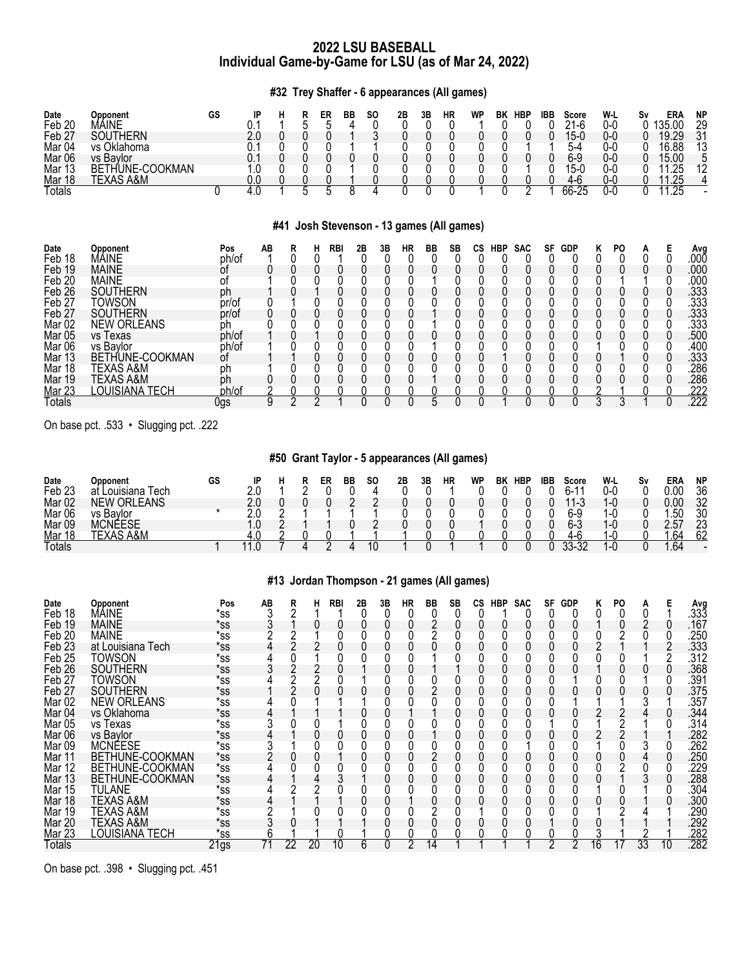**#32 Trey Shaffer - 6 appearances (All games)**

| Date<br>Feb 20<br>Feb <sub>27</sub><br>Mar <sub>04</sub><br>Mar <sub>06</sub><br>Mar 13<br>Mar 18<br>Totals | <b>Opponent</b><br>MÁINE<br><b>SOUTHERN</b><br>vs Oklahoma<br>vs Baylor<br>BETHUNE-COOKMAN<br><b>TEXAS A&amp;M</b> | GS<br>υ  | IP<br>0.1<br>2.0<br>0.1<br>0.1<br>1.0<br>0.0<br>4.0 | R<br>н<br>5<br>5<br>#41 | ER<br>5<br>5   | BB<br>8    | SO.<br>Josh Stevenson - 13 games (All games) | 2B<br>0<br>0<br>0 | 3B | <b>HR</b><br>0<br>0 | <b>WP</b> | <b>HBP</b><br>BK<br>0<br>0 | ᠊ᢆ | IBB<br>0<br>0<br>0<br>0<br>O. | <b>Score</b><br>$21-6$<br>$15 - 0$<br>5-4<br>$6-9$<br>$15 - 0$<br>4-6<br>$66 - 25$ |   | W-L<br>$0-0$<br>$0-0$<br>$0-0$<br>$0-0$<br>$0-0$<br>$0-0$<br>$\overline{0}$ - $\overline{0}$ | Sν | <b>ERA</b><br>135.00<br>19.29<br>16.88<br>15.00<br>11.25<br>11.25<br>11.25 | <b>NP</b><br>29<br>31<br>13<br>5<br>12<br>4 |
|-------------------------------------------------------------------------------------------------------------|--------------------------------------------------------------------------------------------------------------------|----------|-----------------------------------------------------|-------------------------|----------------|------------|----------------------------------------------|-------------------|----|---------------------|-----------|----------------------------|----|-------------------------------|------------------------------------------------------------------------------------|---|----------------------------------------------------------------------------------------------|----|----------------------------------------------------------------------------|---------------------------------------------|
| Date                                                                                                        | <b>Opponent</b>                                                                                                    | Pos      | AB                                                  | R                       | н              | <b>RBI</b> | 2Β<br>3B                                     | <b>HR</b>         | BB | <b>SB</b>           | CS        | HBP<br><b>SAC</b>          |    | <b>SF</b>                     | <b>GDP</b>                                                                         | Κ | PO.                                                                                          | A  | Е                                                                          | Avg                                         |
| Feb 18                                                                                                      | MÁINE                                                                                                              | ph/of    |                                                     | 0                       | 0              |            | 0<br>0                                       | 0                 | 0  | 0                   | 0         |                            | 0  | 0                             |                                                                                    | 0 | 0                                                                                            | 0  | 0                                                                          | .00Ŏ                                        |
| Feb 19                                                                                                      | <b>MAINE</b>                                                                                                       | οf       |                                                     |                         | 0              |            | 0                                            |                   | 0  | 0                   |           |                            |    |                               |                                                                                    | 0 |                                                                                              |    | 0                                                                          | .000                                        |
| Feb 20                                                                                                      | <b>MAINE</b>                                                                                                       | of       |                                                     |                         |                |            |                                              |                   |    |                     |           |                            |    |                               |                                                                                    |   |                                                                                              |    |                                                                            | .000                                        |
| Feb 26                                                                                                      | <b>SOUTHERN</b>                                                                                                    | ph       |                                                     |                         |                |            |                                              |                   | 0  |                     |           | 0                          |    |                               |                                                                                    |   |                                                                                              |    |                                                                            | .333                                        |
| Feb 27                                                                                                      | Towson                                                                                                             | pr/of    |                                                     |                         |                |            |                                              |                   |    |                     |           |                            |    |                               |                                                                                    |   |                                                                                              |    |                                                                            | .333                                        |
| Feb <sub>27</sub>                                                                                           | <b>SOUTHERN</b>                                                                                                    | pr/of    |                                                     |                         |                |            | 0<br>0                                       |                   |    | 0                   | 0         | 0                          |    |                               |                                                                                    | 0 |                                                                                              | 0  | 0                                                                          | .333                                        |
| Mar <sub>02</sub>                                                                                           | <b>NEW ORLEANS</b>                                                                                                 | ph       |                                                     |                         |                |            |                                              |                   |    |                     |           |                            |    |                               |                                                                                    |   |                                                                                              |    |                                                                            | .333                                        |
| Mar <sub>05</sub>                                                                                           | vs Texas                                                                                                           | ph/of    |                                                     |                         |                |            | 0<br>0                                       |                   | 0  |                     |           | 0                          |    |                               |                                                                                    |   |                                                                                              |    |                                                                            | .500                                        |
| Mar <sub>06</sub>                                                                                           | vs Baylor                                                                                                          | ph/of    |                                                     |                         | 0              |            |                                              |                   |    |                     |           |                            |    |                               |                                                                                    |   |                                                                                              |    |                                                                            | .400                                        |
| Mar 13                                                                                                      | BETHUNE-COOKMAN                                                                                                    | οf       |                                                     |                         |                |            |                                              |                   |    |                     |           |                            |    |                               |                                                                                    |   |                                                                                              |    |                                                                            | .333                                        |
| Mar 18                                                                                                      | TEXAS A&M                                                                                                          |          |                                                     |                         |                |            |                                              |                   |    |                     |           |                            |    |                               |                                                                                    |   |                                                                                              |    |                                                                            | .286                                        |
| Mar 19                                                                                                      | TEXAS A&M                                                                                                          | ph<br>ph |                                                     |                         |                |            |                                              |                   |    |                     |           |                            |    |                               |                                                                                    |   |                                                                                              |    |                                                                            | .286                                        |
| <b>Mar 23</b>                                                                                               | <b>OUISIANA TECH</b>                                                                                               | ph/of    |                                                     |                         |                |            |                                              |                   |    |                     |           |                            |    |                               |                                                                                    | ົ |                                                                                              |    |                                                                            | <u>.222</u>                                 |
| <b>Totals</b>                                                                                               |                                                                                                                    | 0gs      | 9                                                   | $\overline{2}$          | $\overline{2}$ |            | 0<br>0                                       | 0                 | 5  | $\overline{0}$      | 0         |                            | 0  | 0                             |                                                                                    | 3 | 3                                                                                            |    | 0                                                                          | .222                                        |

On base pct. .533 • Slugging pct. .222

# **#50 Grant Taylor - 5 appearances (All games)**

| Date              | <b>D</b> pponent            | GS | IP |  | ER | ВB | SΟ | 2B | 3Β | HR | WP | BK | <b>HBP</b> | <b>IBB</b> | Score              | W-L | S٧ | ERA       | <b>NP</b> |
|-------------------|-----------------------------|----|----|--|----|----|----|----|----|----|----|----|------------|------------|--------------------|-----|----|-----------|-----------|
| Feb <sub>23</sub> | Tech<br>ouisiana            |    |    |  |    |    |    |    |    |    |    |    |            |            | <b>C</b> 11<br>ר - | 0-0 |    | ഹ         | 36        |
| Mar 02            | 'ORLL<br><b>EANS</b><br>NEW |    |    |  |    |    |    |    |    |    |    |    |            |            | 44<br>1-3          |     |    | 0.00      | 32        |
| Mar <sub>06</sub> | vs Bavlor                   |    |    |  |    |    |    |    |    |    |    |    |            |            | 6-9                |     |    | .50       | 30        |
| Mar 09            | MCNÉESE                     |    |    |  |    |    |    |    |    |    |    |    |            |            | 6-3                |     |    | <b>E7</b> | 23        |
| Mar 1             | A&N<br>ℸ⊏⋎∧୧                |    |    |  |    |    |    |    |    |    |    |    |            |            | ∆_ŀ                |     |    | .64       | 62        |
| <b>Totals</b>     |                             |    |    |  |    |    |    |    |    |    |    |    |            |            | ົ<br>י ה           |     |    | .64       |           |

# **#13 Jordan Thompson - 21 games (All games)**

| Date<br>Feb 18    | <b>Opponent</b><br>MÁINE | Pos<br>*ss | AB | R<br>⌒ |    | <b>RBI</b> | 2Β | 3B | НR | ВB | SB | СS | HBP | <b>SAC</b> | SF | <b>GDP</b> |                 | PO. |    |    | Avg<br>.333 |
|-------------------|--------------------------|------------|----|--------|----|------------|----|----|----|----|----|----|-----|------------|----|------------|-----------------|-----|----|----|-------------|
| Feb 19            | <b>MAINE</b>             | *ss        |    |        |    |            |    |    |    |    |    |    |     |            |    |            |                 |     |    |    | .167        |
| Feb <sub>20</sub> | <b>MAINE</b>             | *ss        |    |        |    |            |    |    |    |    |    |    |     |            |    |            |                 |     |    |    | .250        |
| Feb <sub>23</sub> | at Louisiana Tech        | *ss        |    |        |    |            |    |    |    |    |    |    |     |            |    |            |                 |     |    |    | .333        |
| Feb <sub>25</sub> | TOWSON                   | *ss        |    |        |    |            |    |    |    |    |    |    |     |            |    |            |                 |     |    |    | .312        |
| Feb <sub>26</sub> | <b>SOUTHERN</b>          | *ss        |    |        |    |            |    |    |    |    |    |    |     |            |    |            |                 |     |    |    | .368        |
| Feb <sub>27</sub> | TOWSON                   | *ss        |    |        |    |            |    |    |    |    |    |    |     |            |    |            |                 |     |    |    | .391        |
| Feb <sub>27</sub> | <b>SOUTHERN</b>          | *ss        |    |        |    |            |    |    |    |    |    |    |     |            |    |            |                 |     |    |    | .375        |
| Mar <sub>02</sub> | <b>NEW ORLEANS</b>       | *ss        |    |        |    |            |    |    |    |    |    |    |     |            |    |            |                 |     |    |    | .357        |
| Mar 04            | vs Oklahoma              | *ss        |    |        |    |            |    |    |    |    |    |    |     |            |    |            |                 |     |    |    | .344        |
| Mar <sub>05</sub> | vs lexas                 | *ss        |    |        |    |            |    |    |    |    |    |    |     |            |    |            |                 |     |    |    | .314        |
| Mar <sub>06</sub> | vs Baylor                | *ss        |    |        |    |            |    |    |    |    |    |    |     |            |    |            |                 |     |    |    | 282         |
| Mar 09            | <b>MCNEESE</b>           | *ss        |    |        |    |            |    |    |    |    |    |    |     |            |    |            |                 |     |    |    | 262         |
| Mar 11            | BETHUNE-COOKMAN          | *ss        |    |        |    |            |    |    |    |    |    |    |     |            |    |            |                 |     |    |    | 250         |
| Mar 12            | BETHUNE-COOKMAN          | *ss        |    |        |    |            |    |    |    |    |    |    |     |            |    |            |                 |     |    |    | 229         |
| Mar 13            | BETHUNE-COOKMAN          | $^*$ ss    |    |        |    |            |    |    |    |    |    |    |     |            |    |            |                 |     |    |    | .288        |
| Mar 15            | TULANE                   | *ss        |    |        |    |            |    |    |    |    |    |    |     |            |    |            |                 |     |    |    | .304        |
| Mar 18            | TEXAS A&M                | *ss        |    |        |    |            |    |    |    |    |    |    |     |            |    |            |                 |     |    |    | .300        |
| Mar 19            | TEXAS A&M                | *ss        |    |        |    |            |    |    |    |    |    |    |     |            |    |            |                 |     |    |    | 290         |
| <b>Mar 20</b>     | TEXAS A&M                | *ss        |    |        |    |            |    |    |    |    |    |    |     |            |    |            |                 |     |    |    | 292         |
| <b>Mar 23</b>     | LOUISIANA TECH           | *ss        |    |        |    |            |    |    |    |    |    |    |     |            | າ  |            |                 |     |    |    | <u>.282</u> |
| Totals            |                          | 21gs       |    | 22     | 20 | 10         | 6  | 0  | 2  | 14 |    |    |     |            |    | 2          | $\overline{16}$ |     | 33 | 10 | .282        |

On base pct. .398 • Slugging pct. .451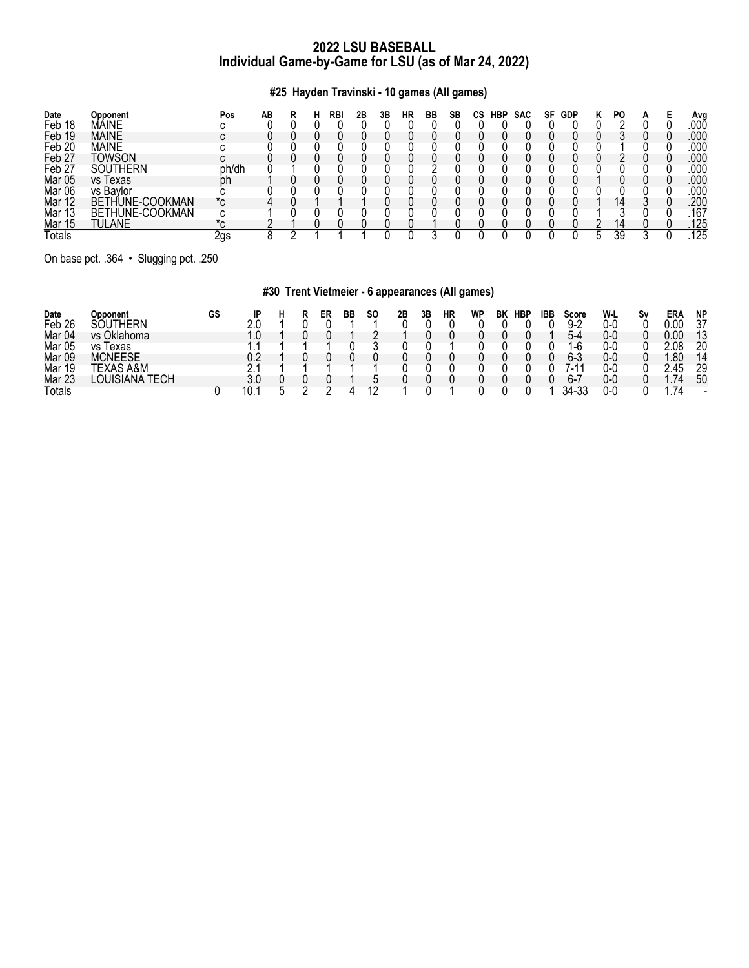# **#25 Hayden Travinski - 10 games (All games)**

| Date              | Opponent             | Pos            | AВ |  | RBI | 2Β | 3B | НR | ВB | SB | СS | <b>HBP</b> | <b>SAC</b> | SF | GDP | PO |  | Avg  |
|-------------------|----------------------|----------------|----|--|-----|----|----|----|----|----|----|------------|------------|----|-----|----|--|------|
| Feb 18            | MÁINE                |                |    |  |     |    |    |    |    |    |    |            |            |    |     |    |  | .00Ō |
| Feb 19            | <b>MAINE</b>         |                |    |  |     |    |    |    |    |    |    |            |            |    |     |    |  | .000 |
| Feb <sub>20</sub> | <b>MAINE</b>         |                |    |  |     |    |    |    |    |    |    |            |            |    |     |    |  | .000 |
| Feb <sub>27</sub> | Towson               |                |    |  |     |    |    |    |    |    |    |            |            |    |     |    |  | .000 |
| Feb <sub>27</sub> | <b>SOUTHERN</b>      | ph/dh          |    |  |     |    |    |    |    |    |    |            |            |    |     |    |  | .000 |
| <b>Mar 05</b>     | vs lexas             | ph             |    |  |     |    |    |    |    |    |    |            |            |    |     |    |  | .000 |
| Mar 06            | vs Bavlor            |                |    |  |     |    |    |    |    |    |    |            |            |    |     |    |  | 000  |
| Mar 12            | THUNE-COOKMAN<br>BET | $\pi_{\Omega}$ |    |  |     |    |    |    |    |    |    |            |            |    |     |    |  | 200  |
| <b>Mar 13</b>     | BETHUNE-COOKMAN      |                |    |  |     |    |    |    |    |    |    |            |            |    |     |    |  | .167 |
| Mar 15            | TULANE               |                |    |  |     |    |    |    |    |    |    |            |            |    |     |    |  | .125 |
| Totals            |                      | 2gs            |    |  |     |    |    |    |    |    |    |            |            |    |     | 39 |  | 125  |

On base pct. .364 • Slugging pct. .250

# **#30 Trent Vietmeier - 6 appearances (All games)**

| Date              | Opponent             | GS | םו  | в | ER | BB | SΟ | 2B | 3Β | НR | WP | BK | <b>HBP</b> | IBB | Score                         | W-L  | S٧ | ER/  | <b>NP</b> |
|-------------------|----------------------|----|-----|---|----|----|----|----|----|----|----|----|------------|-----|-------------------------------|------|----|------|-----------|
| Feb <sub>26</sub> | <b>HERN</b><br>⊥ו∩י  |    |     |   |    |    |    |    |    |    |    |    |            |     | 9. O                          | 0-0  |    | 0.00 | 27        |
| Mar 04            | vs Oklahoma          |    |     |   |    |    |    |    |    |    |    |    |            |     | 4−∆                           | 0-0  |    | 0.00 | 12        |
| Mar <sub>05</sub> | ٧S<br>l exas         |    |     |   |    |    |    |    |    |    |    |    |            |     | $\sqrt{2}$<br>-h              | 0-0  |    | 2.08 | 20        |
| Mar 09            | <b>MCNEESE</b>       |    | ∩ ′ |   |    |    |    |    |    |    |    |    |            |     | ჩ 3                           | 0-0  |    | .80  | 14        |
| Mar 19            | \S A&M               |    |     |   |    |    |    |    |    |    |    |    |            |     | А<br>$\overline{\phantom{0}}$ | 0-0  |    | n    | 29        |
| <b>Mar 23</b>     | ΈՐΗ<br>OUISIA<br>۱NA |    | v.u |   |    |    |    |    |    |    |    |    |            |     | <u>h-.</u>                    | 0-0  |    | .    | 50        |
| <b>Totals</b>     |                      |    | IU. |   |    |    |    |    |    |    |    |    |            |     | ົາ^<br>-34-                   | 'J-L |    | 74   |           |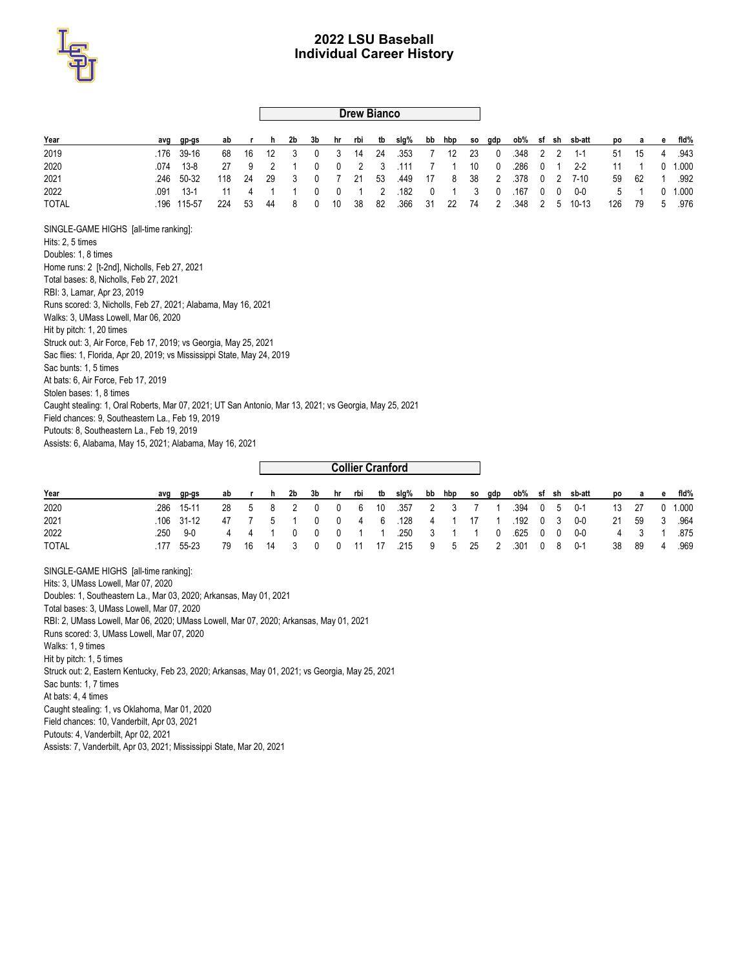

### **Drew Bianco**

| Year                                                                                                   | avg  | gp-gs    | ab  |    | h  | 2b | 3b | hr | rbi                     | tb | slg% | bb | hbp | SO. | gdp | ob%  |   |   | sf sh sb-att | po  | а  | е | fid%  |
|--------------------------------------------------------------------------------------------------------|------|----------|-----|----|----|----|----|----|-------------------------|----|------|----|-----|-----|-----|------|---|---|--------------|-----|----|---|-------|
| 2019                                                                                                   | .176 | 39-16    | 68  | 16 | 12 | 3  | 0  | 3  | 14                      | 24 | .353 | 7  | 12  | 23  | 0   | .348 | 2 | 2 | $1 - 1$      | 51  | 15 | 4 | .943  |
| 2020                                                                                                   | .074 | $13 - 8$ | 27  | 9  | 2  |    | 0  | 0  | 2                       | 3  | .111 | 7  |     | 10  | 0   | .286 | 0 |   | $2 - 2$      | 11  |    | 0 | 1.000 |
| 2021                                                                                                   | .246 | 50-32    | 118 | 24 | 29 | 3  | 0  | 7  | 21                      | 53 | .449 | 17 | 8   | 38  | 2   | .378 | 0 | 2 | $7 - 10$     | 59  | 62 |   | .992  |
| 2022                                                                                                   | .091 | $13-1$   | 11  | 4  | 1  |    | 0  | 0  |                         | 2  | .182 | 0  |     | 3   | 0   | .167 | 0 | 0 | $0-0$        | 5   |    | 0 | 1.000 |
| <b>TOTAL</b>                                                                                           | .196 | 115-57   | 224 | 53 | 44 | 8  | 0  | 10 | 38                      | 82 | .366 | 31 | 22  | 74  | 2   | .348 | 2 | 5 | $10 - 13$    | 126 | 79 | 5 | .976  |
| SINGLE-GAME HIGHS [all-time ranking]:                                                                  |      |          |     |    |    |    |    |    |                         |    |      |    |     |     |     |      |   |   |              |     |    |   |       |
| Hits: 2, 5 times                                                                                       |      |          |     |    |    |    |    |    |                         |    |      |    |     |     |     |      |   |   |              |     |    |   |       |
| Doubles: 1, 8 times                                                                                    |      |          |     |    |    |    |    |    |                         |    |      |    |     |     |     |      |   |   |              |     |    |   |       |
| Home runs: 2 [t-2nd], Nicholls, Feb 27, 2021                                                           |      |          |     |    |    |    |    |    |                         |    |      |    |     |     |     |      |   |   |              |     |    |   |       |
| Total bases: 8, Nicholls, Feb 27, 2021                                                                 |      |          |     |    |    |    |    |    |                         |    |      |    |     |     |     |      |   |   |              |     |    |   |       |
| RBI: 3, Lamar, Apr 23, 2019                                                                            |      |          |     |    |    |    |    |    |                         |    |      |    |     |     |     |      |   |   |              |     |    |   |       |
| Runs scored: 3, Nicholls, Feb 27, 2021; Alabama, May 16, 2021                                          |      |          |     |    |    |    |    |    |                         |    |      |    |     |     |     |      |   |   |              |     |    |   |       |
| Walks: 3, UMass Lowell, Mar 06, 2020                                                                   |      |          |     |    |    |    |    |    |                         |    |      |    |     |     |     |      |   |   |              |     |    |   |       |
| Hit by pitch: 1, 20 times                                                                              |      |          |     |    |    |    |    |    |                         |    |      |    |     |     |     |      |   |   |              |     |    |   |       |
| Struck out: 3, Air Force, Feb 17, 2019; vs Georgia, May 25, 2021                                       |      |          |     |    |    |    |    |    |                         |    |      |    |     |     |     |      |   |   |              |     |    |   |       |
| Sac flies: 1, Florida, Apr 20, 2019; vs Mississippi State, May 24, 2019                                |      |          |     |    |    |    |    |    |                         |    |      |    |     |     |     |      |   |   |              |     |    |   |       |
| Sac bunts: 1, 5 times                                                                                  |      |          |     |    |    |    |    |    |                         |    |      |    |     |     |     |      |   |   |              |     |    |   |       |
| At bats: 6, Air Force, Feb 17, 2019                                                                    |      |          |     |    |    |    |    |    |                         |    |      |    |     |     |     |      |   |   |              |     |    |   |       |
| Stolen bases: 1, 8 times                                                                               |      |          |     |    |    |    |    |    |                         |    |      |    |     |     |     |      |   |   |              |     |    |   |       |
| Caught stealing: 1, Oral Roberts, Mar 07, 2021; UT San Antonio, Mar 13, 2021; vs Georgia, May 25, 2021 |      |          |     |    |    |    |    |    |                         |    |      |    |     |     |     |      |   |   |              |     |    |   |       |
| Field chances: 9, Southeastern La., Feb 19, 2019                                                       |      |          |     |    |    |    |    |    |                         |    |      |    |     |     |     |      |   |   |              |     |    |   |       |
| Putouts: 8, Southeastern La., Feb 19, 2019                                                             |      |          |     |    |    |    |    |    |                         |    |      |    |     |     |     |      |   |   |              |     |    |   |       |
| Assists: 6, Alabama, May 15, 2021; Alabama, May 16, 2021                                               |      |          |     |    |    |    |    |    |                         |    |      |    |     |     |     |      |   |   |              |     |    |   |       |
|                                                                                                        |      |          |     |    |    |    |    |    |                         |    |      |    |     |     |     |      |   |   |              |     |    |   |       |
|                                                                                                        |      |          |     |    |    |    |    |    | <b>Collier Cranford</b> |    |      |    |     |     |     |      |   |   |              |     |    |   |       |

| Year         | avq | ap-as      |  | abr h |            |  |  |                                                           |  |  |  | 2b 3b hr rbi tb slg% bb hbp so gdp ob% sf sh sb-att |               | po a e  | fid%      |
|--------------|-----|------------|--|-------|------------|--|--|-----------------------------------------------------------|--|--|--|-----------------------------------------------------|---------------|---------|-----------|
| 2020         |     | .286 15-11 |  |       |            |  |  | 28  5  8  2  0  0  6  10  357  2  3  7  1  394  0  5  0-1 |  |  |  |                                                     | 13 27 0 1.000 |         |           |
| 2021         |     | 106 31-12  |  |       |            |  |  | 47 7 5 1 0 0 4 6 128 4 1 17 1 192 0 3                     |  |  |  | 0-0                                                 | 21 59 3 964   |         |           |
| 2022         | 250 | $9-0$      |  |       |            |  |  | 4 4 1 0 0 0 1 1 250 3 1 1 0 625 0 0 0-0                   |  |  |  |                                                     |               |         | 4 3 1 875 |
| <b>TOTAL</b> | 177 | 55-23      |  |       | 79 16 14 3 |  |  | 0 0 11 17 .215 9 5 25 2 .301 0 8 0-1                      |  |  |  |                                                     |               | 38 89 4 | .969      |

SINGLE-GAME HIGHS [all-time ranking]: Hits: 3, UMass Lowell, Mar 07, 2020 Doubles: 1, Southeastern La., Mar 03, 2020; Arkansas, May 01, 2021 Total bases: 3, UMass Lowell, Mar 07, 2020 RBI: 2, UMass Lowell, Mar 06, 2020; UMass Lowell, Mar 07, 2020; Arkansas, May 01, 2021 Runs scored: 3, UMass Lowell, Mar 07, 2020 Walks: 1, 9 times Hit by pitch: 1, 5 times Struck out: 2, Eastern Kentucky, Feb 23, 2020; Arkansas, May 01, 2021; vs Georgia, May 25, 2021 Sac bunts: 1, 7 times At bats: 4, 4 times Caught stealing: 1, vs Oklahoma, Mar 01, 2020 Field chances: 10, Vanderbilt, Apr 03, 2021 Putouts: 4, Vanderbilt, Apr 02, 2021 Assists: 7, Vanderbilt, Apr 03, 2021; Mississippi State, Mar 20, 2021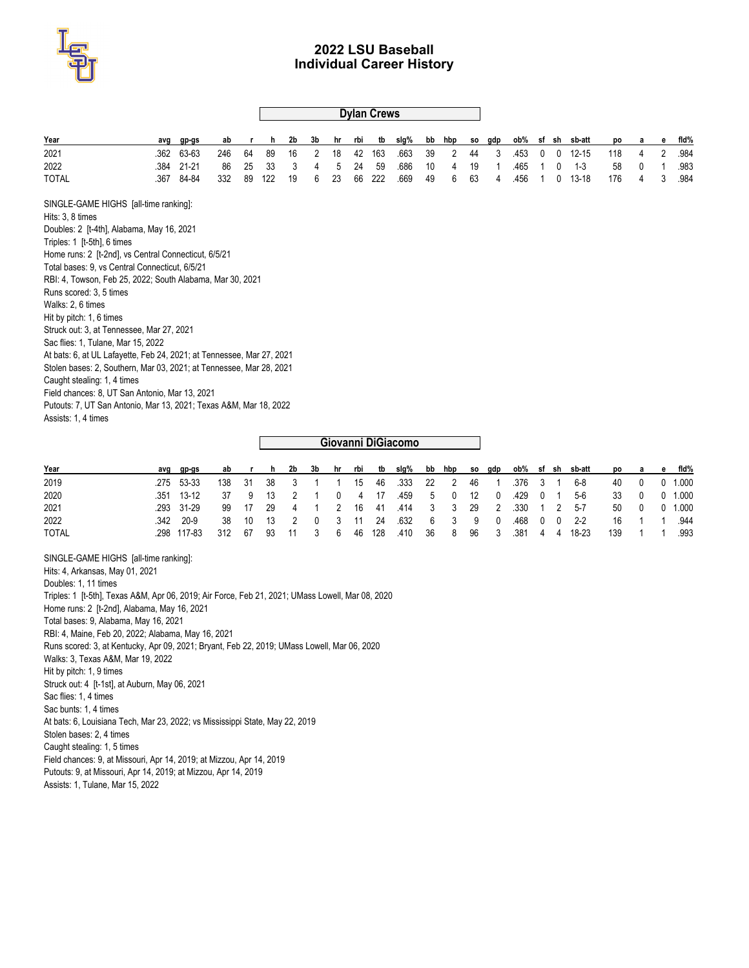

|                                                                       |      |           |     |    |     |    |    |    |     | <b>Dylan Crews</b> |                    |    |     |           |     |      |    |       |           |     |   |   |       |
|-----------------------------------------------------------------------|------|-----------|-----|----|-----|----|----|----|-----|--------------------|--------------------|----|-----|-----------|-----|------|----|-------|-----------|-----|---|---|-------|
| Year                                                                  | avg  | gp-gs     | ab  |    | h   | 2b | 3b | hr | rbi | tb                 | slg%               | bb | hbp | so        | gdp | ob%  |    | sf sh | sb-att    | po  | а | е | fid%  |
| 2021                                                                  | .362 | 63-63     | 246 | 64 | 89  | 16 | 2  | 18 | 42  | 163                | .663               | 39 | 2   | 44        | 3   | .453 | 0  | 0     | $12 - 15$ | 118 | 4 | 2 | .984  |
| 2022                                                                  | .384 | $21 - 21$ | 86  | 25 | 33  | 3  | 4  | 5  | 24  | 59                 | .686               | 10 | 4   | 19        |     | .465 |    | 0     | $1 - 3$   | 58  | 0 |   | .983  |
| <b>TOTAL</b>                                                          | .367 | 84-84     | 332 | 89 | 122 | 19 | 6  | 23 | 66  | 222                | .669               | 49 | 6   | 63        | 4   | .456 |    | 0     | $13 - 18$ | 176 | 4 | 3 | .984  |
| SINGLE-GAME HIGHS [all-time ranking]:                                 |      |           |     |    |     |    |    |    |     |                    |                    |    |     |           |     |      |    |       |           |     |   |   |       |
| Hits: 3, 8 times                                                      |      |           |     |    |     |    |    |    |     |                    |                    |    |     |           |     |      |    |       |           |     |   |   |       |
| Doubles: 2 [t-4th], Alabama, May 16, 2021                             |      |           |     |    |     |    |    |    |     |                    |                    |    |     |           |     |      |    |       |           |     |   |   |       |
| Triples: 1 [t-5th], 6 times                                           |      |           |     |    |     |    |    |    |     |                    |                    |    |     |           |     |      |    |       |           |     |   |   |       |
| Home runs: 2 [t-2nd], vs Central Connecticut, 6/5/21                  |      |           |     |    |     |    |    |    |     |                    |                    |    |     |           |     |      |    |       |           |     |   |   |       |
| Total bases: 9, vs Central Connecticut, 6/5/21                        |      |           |     |    |     |    |    |    |     |                    |                    |    |     |           |     |      |    |       |           |     |   |   |       |
| RBI: 4, Towson, Feb 25, 2022; South Alabama, Mar 30, 2021             |      |           |     |    |     |    |    |    |     |                    |                    |    |     |           |     |      |    |       |           |     |   |   |       |
| Runs scored: 3, 5 times                                               |      |           |     |    |     |    |    |    |     |                    |                    |    |     |           |     |      |    |       |           |     |   |   |       |
| Walks: 2, 6 times                                                     |      |           |     |    |     |    |    |    |     |                    |                    |    |     |           |     |      |    |       |           |     |   |   |       |
| Hit by pitch: 1, 6 times                                              |      |           |     |    |     |    |    |    |     |                    |                    |    |     |           |     |      |    |       |           |     |   |   |       |
| Struck out: 3, at Tennessee, Mar 27, 2021                             |      |           |     |    |     |    |    |    |     |                    |                    |    |     |           |     |      |    |       |           |     |   |   |       |
| Sac flies: 1, Tulane, Mar 15, 2022                                    |      |           |     |    |     |    |    |    |     |                    |                    |    |     |           |     |      |    |       |           |     |   |   |       |
| At bats: 6, at UL Lafayette, Feb 24, 2021; at Tennessee, Mar 27, 2021 |      |           |     |    |     |    |    |    |     |                    |                    |    |     |           |     |      |    |       |           |     |   |   |       |
| Stolen bases: 2, Southern, Mar 03, 2021; at Tennessee, Mar 28, 2021   |      |           |     |    |     |    |    |    |     |                    |                    |    |     |           |     |      |    |       |           |     |   |   |       |
| Caught stealing: 1, 4 times                                           |      |           |     |    |     |    |    |    |     |                    |                    |    |     |           |     |      |    |       |           |     |   |   |       |
| Field chances: 8, UT San Antonio, Mar 13, 2021                        |      |           |     |    |     |    |    |    |     |                    |                    |    |     |           |     |      |    |       |           |     |   |   |       |
| Putouts: 7, UT San Antonio, Mar 13, 2021; Texas A&M, Mar 18, 2022     |      |           |     |    |     |    |    |    |     |                    |                    |    |     |           |     |      |    |       |           |     |   |   |       |
| Assists: 1, 4 times                                                   |      |           |     |    |     |    |    |    |     |                    |                    |    |     |           |     |      |    |       |           |     |   |   |       |
|                                                                       |      |           |     |    |     |    |    |    |     |                    | Giovanni DiGiacomo |    |     |           |     |      |    |       |           |     |   |   |       |
|                                                                       |      |           |     |    |     |    |    |    |     |                    |                    |    |     |           |     |      |    |       |           |     |   |   |       |
| Year                                                                  | avg  | gp-gs     | ab  |    | h   | 2b | 3b | hr | rbi | tb                 | slg%               | bb | hbp | <b>SO</b> | gdp | ob%  | sf | sh    | sb-att    | po  | a | е | fid%  |
| 2019                                                                  | .275 | 53-33     | 138 | 31 | 38  | 3  | 1  |    | 15  | 46                 | .333               | 22 | 2   | 46        |     | .376 | 3  |       | $6 - 8$   | 40  | 0 | 0 | 1.000 |

| .            |             |       |  |  |  |                                             |  |  |  | where the contract of the contract of the contract of the contract of the contract of the contract of the contr |              |  |              |
|--------------|-------------|-------|--|--|--|---------------------------------------------|--|--|--|-----------------------------------------------------------------------------------------------------------------|--------------|--|--------------|
| 2019         | .275 53-33  |       |  |  |  |                                             |  |  |  | 138 31 38 3 1 1 15 46 333 22 2 46 1 376 3 1 6-8                                                                 |              |  | 40 0 0 1.000 |
| 2020         | 351 13-12   |       |  |  |  | 37 9 13 2 1 0 4 17 459 5 0 12 0 429 0 1 5-6 |  |  |  |                                                                                                                 | 33 0 0 1.000 |  |              |
| 2021         | 293 31-29   |       |  |  |  |                                             |  |  |  | 99 17 29 4 1 2 16 41 414 3 3 29 2 330 1 2 5-7                                                                   |              |  | 50 0 0 1.000 |
| 2022         | 342 20-9    |       |  |  |  |                                             |  |  |  | 38 10 13 2 0 3 11 24 632 6 3 9 0 468 0 0 2-2                                                                    |              |  | 16 1 1 944   |
| <b>TOTAL</b> | .298 117-83 | - 312 |  |  |  |                                             |  |  |  | 67 93 11 3 6 46 128 410 36 8 96 3 381 4 4 18-23                                                                 | 139 1 1      |  | .993         |

SINGLE-GAME HIGHS [all-time ranking]: Hits: 4, Arkansas, May 01, 2021 Doubles: 1, 11 times Triples: 1 [t-5th], Texas A&M, Apr 06, 2019; Air Force, Feb 21, 2021; UMass Lowell, Mar 08, 2020 Home runs: 2 [t-2nd], Alabama, May 16, 2021 Total bases: 9, Alabama, May 16, 2021 RBI: 4, Maine, Feb 20, 2022; Alabama, May 16, 2021 Runs scored: 3, at Kentucky, Apr 09, 2021; Bryant, Feb 22, 2019; UMass Lowell, Mar 06, 2020 Walks: 3, Texas A&M, Mar 19, 2022 Hit by pitch: 1, 9 times Struck out: 4 [t-1st], at Auburn, May 06, 2021 Sac flies: 1, 4 times Sac bunts: 1, 4 times At bats: 6, Louisiana Tech, Mar 23, 2022; vs Mississippi State, May 22, 2019 Stolen bases: 2, 4 times Caught stealing: 1, 5 times Field chances: 9, at Missouri, Apr 14, 2019; at Mizzou, Apr 14, 2019 Putouts: 9, at Missouri, Apr 14, 2019; at Mizzou, Apr 14, 2019 Assists: 1, Tulane, Mar 15, 2022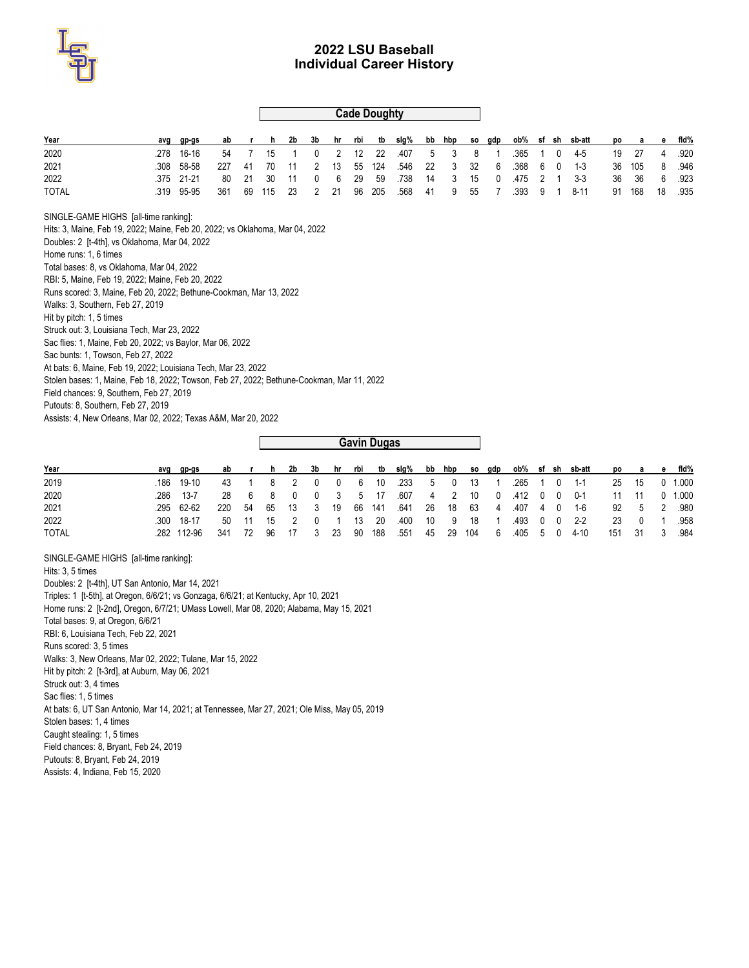

### **Cade Doughty**

| Year                                                                                      | avg  |           | ab  |    | h   | 2b | 3b | hr | rbi | tb                 | slg% | bb | hbp | SO. | gdp |      |   |              | ob% sf sh sb-att | po | а   | е  | fid% |
|-------------------------------------------------------------------------------------------|------|-----------|-----|----|-----|----|----|----|-----|--------------------|------|----|-----|-----|-----|------|---|--------------|------------------|----|-----|----|------|
|                                                                                           |      | gp-gs     |     |    |     |    |    |    |     |                    |      |    |     |     |     |      |   |              |                  |    |     |    |      |
| 2020                                                                                      | .278 | 16-16     | 54  | 7  | 15  |    | 0  | 2  | 12  | 22                 | .407 | 5  | 3   | 8   |     | .365 |   | 0            | $4-5$            | 19 | 27  |    | .920 |
| 2021                                                                                      | .308 | 58-58     | 227 | 41 | 70  | 11 | 2  | 13 | 55  | 124                | .546 | 22 | 3   | 32  | 6   | .368 | 6 | $\mathbf{0}$ | $1 - 3$          | 36 | 105 | 8  | .946 |
| 2022                                                                                      | .375 | $21 - 21$ | 80  | 21 | 30  | 11 | 0  | 6  | 29  | 59                 | .738 | 14 | 3   | 15  | 0   | .475 | 2 |              | $3-3$            | 36 | 36  | 6  | .923 |
| <b>TOTAL</b>                                                                              | .319 | 95-95     | 361 | 69 | 115 | 23 | 2  | 21 | 96  | 205                | .568 | 41 | 9   | 55  |     | .393 | 9 |              | $8 - 11$         | 91 | 168 | 18 | .935 |
| SINGLE-GAME HIGHS [all-time ranking]:                                                     |      |           |     |    |     |    |    |    |     |                    |      |    |     |     |     |      |   |              |                  |    |     |    |      |
| Hits: 3, Maine, Feb 19, 2022; Maine, Feb 20, 2022; vs Oklahoma, Mar 04, 2022              |      |           |     |    |     |    |    |    |     |                    |      |    |     |     |     |      |   |              |                  |    |     |    |      |
| Doubles: 2 [t-4th], vs Oklahoma, Mar 04, 2022                                             |      |           |     |    |     |    |    |    |     |                    |      |    |     |     |     |      |   |              |                  |    |     |    |      |
| Home runs: 1, 6 times                                                                     |      |           |     |    |     |    |    |    |     |                    |      |    |     |     |     |      |   |              |                  |    |     |    |      |
| Total bases: 8, vs Oklahoma, Mar 04, 2022                                                 |      |           |     |    |     |    |    |    |     |                    |      |    |     |     |     |      |   |              |                  |    |     |    |      |
| RBI: 5, Maine, Feb 19, 2022; Maine, Feb 20, 2022                                          |      |           |     |    |     |    |    |    |     |                    |      |    |     |     |     |      |   |              |                  |    |     |    |      |
| Runs scored: 3. Maine. Feb 20, 2022; Bethune-Cookman, Mar 13, 2022                        |      |           |     |    |     |    |    |    |     |                    |      |    |     |     |     |      |   |              |                  |    |     |    |      |
| Walks: 3, Southern, Feb 27, 2019                                                          |      |           |     |    |     |    |    |    |     |                    |      |    |     |     |     |      |   |              |                  |    |     |    |      |
| Hit by pitch: 1, 5 times                                                                  |      |           |     |    |     |    |    |    |     |                    |      |    |     |     |     |      |   |              |                  |    |     |    |      |
| Struck out: 3, Louisiana Tech, Mar 23, 2022                                               |      |           |     |    |     |    |    |    |     |                    |      |    |     |     |     |      |   |              |                  |    |     |    |      |
| Sac flies: 1, Maine, Feb 20, 2022; vs Baylor, Mar 06, 2022                                |      |           |     |    |     |    |    |    |     |                    |      |    |     |     |     |      |   |              |                  |    |     |    |      |
| Sac bunts: 1, Towson, Feb 27, 2022                                                        |      |           |     |    |     |    |    |    |     |                    |      |    |     |     |     |      |   |              |                  |    |     |    |      |
| At bats: 6, Maine, Feb 19, 2022; Louisiana Tech, Mar 23, 2022                             |      |           |     |    |     |    |    |    |     |                    |      |    |     |     |     |      |   |              |                  |    |     |    |      |
| Stolen bases: 1, Maine, Feb 18, 2022; Towson, Feb 27, 2022; Bethune-Cookman, Mar 11, 2022 |      |           |     |    |     |    |    |    |     |                    |      |    |     |     |     |      |   |              |                  |    |     |    |      |
| Field chances: 9, Southern, Feb 27, 2019                                                  |      |           |     |    |     |    |    |    |     |                    |      |    |     |     |     |      |   |              |                  |    |     |    |      |
| Putouts: 8, Southern, Feb 27, 2019                                                        |      |           |     |    |     |    |    |    |     |                    |      |    |     |     |     |      |   |              |                  |    |     |    |      |
|                                                                                           |      |           |     |    |     |    |    |    |     |                    |      |    |     |     |     |      |   |              |                  |    |     |    |      |
| Assists: 4, New Orleans, Mar 02, 2022; Texas A&M, Mar 20, 2022                            |      |           |     |    |     |    |    |    |     |                    |      |    |     |     |     |      |   |              |                  |    |     |    |      |
|                                                                                           |      |           |     |    |     |    |    |    |     |                    |      |    |     |     |     |      |   |              |                  |    |     |    |      |
|                                                                                           |      |           |     |    |     |    |    |    |     | <b>Gavin Dugas</b> |      |    |     |     |     |      |   |              |                  |    |     |    |      |

| Year         | avg gp-gs  | ab  | $\mathbf{r}$ | h 2b 3b hr rbi |       |       |  |  |  |  |                                                     | tb slg% bb hbp so gdp ob% sf sh sb-att po a e fld% |   |               |
|--------------|------------|-----|--------------|----------------|-------|-------|--|--|--|--|-----------------------------------------------------|----------------------------------------------------|---|---------------|
| 2019         | 186 19-10  |     |              |                |       |       |  |  |  |  | 43 1 8 2 0 0 6 10 233 5 0 13 1 265 1 0 1-1          |                                                    |   | 25 15 0 1.000 |
| 2020         | 286 13-7   |     | 28 6 8       | 0 0 3 5 17     |       |       |  |  |  |  | .607  4  2  10  0  412  0  0  0-1                   |                                                    |   | 11 11 0 1.000 |
| 2021         | .295 62-62 |     |              |                |       |       |  |  |  |  | 220 54 65 13 3 19 66 141 641 26 18 63 4 407 4 0 1-6 | 92 5 2 980                                         |   |               |
| 2022         | 300 18-17  |     |              | 50 11 15 2 0 1 |       | 13 20 |  |  |  |  | .400 10 9 18 1 .493 0 0 2-2                         | 23                                                 |   | 0 1 958       |
| <b>TOTAL</b> | 282 112-96 | 341 | - 72         | 96 17 3        | 23 90 | 188   |  |  |  |  | .551 45 29 104 6 .405 5 0 4-10                      | 151 31                                             | 3 | .984          |

SINGLE-GAME HIGHS [all-time ranking]: Hits: 3, 5 times Doubles: 2 [t-4th], UT San Antonio, Mar 14, 2021 Triples: 1 [t-5th], at Oregon, 6/6/21; vs Gonzaga, 6/6/21; at Kentucky, Apr 10, 2021 Home runs: 2 [t-2nd], Oregon, 6/7/21; UMass Lowell, Mar 08, 2020; Alabama, May 15, 2021 Total bases: 9, at Oregon, 6/6/21 RBI: 6, Louisiana Tech, Feb 22, 2021 Runs scored: 3, 5 times Walks: 3, New Orleans, Mar 02, 2022; Tulane, Mar 15, 2022 Hit by pitch: 2 [t-3rd], at Auburn, May 06, 2021 Struck out: 3, 4 times Sac flies: 1, 5 times At bats: 6, UT San Antonio, Mar 14, 2021; at Tennessee, Mar 27, 2021; Ole Miss, May 05, 2019 Stolen bases: 1, 4 times Caught stealing: 1, 5 times Field chances: 8, Bryant, Feb 24, 2019 Putouts: 8, Bryant, Feb 24, 2019 Assists: 4, Indiana, Feb 15, 2020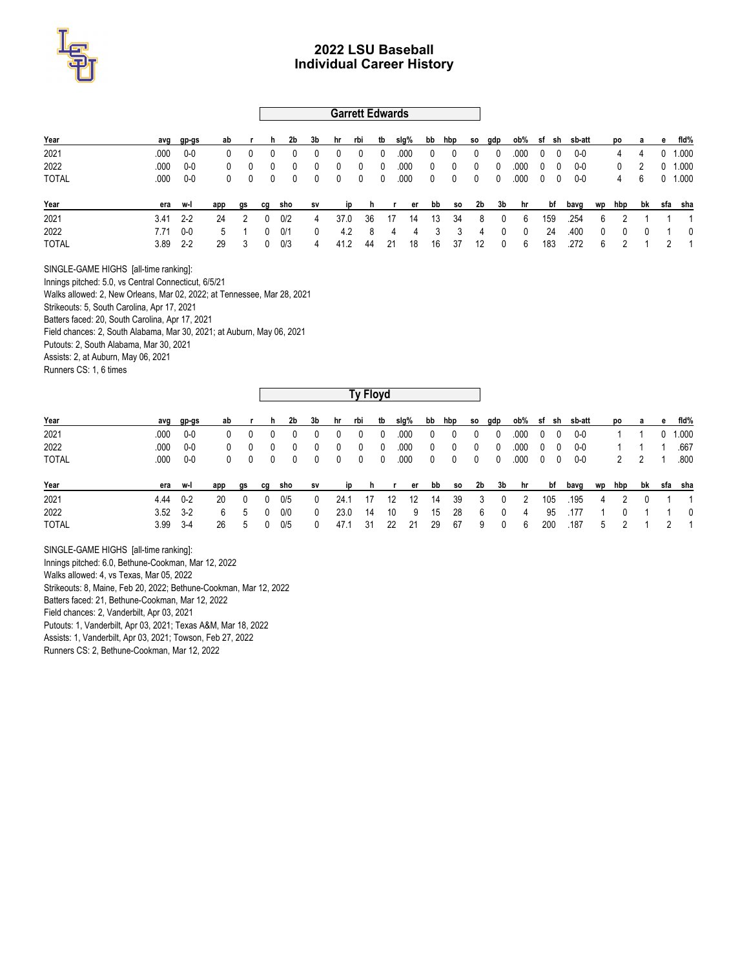

### **Garrett Edwards**

| Year         |      | avg gp-gs  | ab       |                | h.             | 2b             | 3b | hr rbi                   |              | tb                      | slg% |              | bb hbp so gdp           |              |                          |              |              |                          | ob% sf sh sb-att |            |                |              |              | po a e fld% |
|--------------|------|------------|----------|----------------|----------------|----------------|----|--------------------------|--------------|-------------------------|------|--------------|-------------------------|--------------|--------------------------|--------------|--------------|--------------------------|------------------|------------|----------------|--------------|--------------|-------------|
| 2021         | .000 | $0 - 0$    | 0        | $\Omega$       |                |                | 0  | 0                        | 0            | - 0                     | .000 | $\mathbf{0}$ | 0                       | $\mathbf 0$  | - 0                      | .000         | $\mathbf{0}$ | 0                        | 0-0              |            | 4              | 4            | $\mathbf{0}$ | 1.000       |
| 2022         | .000 | 0-0        | $^{0}$   | $\overline{0}$ | 0              | $\mathbf{0}$   | 0  | $\overline{\mathbf{0}}$  | 0            | $\mathbf{0}$            | .000 | $\mathbf 0$  | $^{\circ}$              | $\mathbf{0}$ | $\overline{\phantom{0}}$ | .000         | $\mathbf 0$  | $\overline{\phantom{0}}$ | 0-0              |            | 0              | -2           |              | $0$ 1.000   |
| <b>TOTAL</b> | .000 | 0-0        | $\Omega$ | $\overline{0}$ | $\overline{0}$ | $\overline{0}$ | 0  | $\overline{\phantom{0}}$ | $\mathbf{0}$ | $\overline{\mathbf{0}}$ | .000 | $\mathbf{0}$ | $\overline{\mathbf{0}}$ |              | $0\qquad 0$              | .000         |              | $0\quad 0$               | 0-0              |            | 4              | 6            |              | $0$ 1.000   |
| Year         |      | era w-l    | app      | gs             | cg             | sho            | sv | ip                       |              |                         |      |              | hrerbbso 2b 3b          |              |                          | hr           |              | bf                       | bavg wp hbp      |            |                |              |              | bk sfa sha  |
| 2021         |      | $3.41$ 2-2 | 24       | 2              | 0              | 0/2            | 4  | 37.0                     | 36           | - 17                    | 14   |              | -34<br>- 13             |              | 8<br>- 0                 | - 6          |              | 159                      | .254             | - 6        | $\overline{2}$ |              |              | 1 1         |
| 2022         | 7.71 | 0-0        | 5        |                |                | $0 \quad 0/1$  | 0  | 4.2                      |              | 84                      |      | 4            | 3<br>3                  |              | $\overline{0}$<br>4      | $\mathbf{0}$ |              | 24                       | .400             | $^{\circ}$ | $\mathbf 0$    | $\mathbf{0}$ |              | 1 0         |
| <b>TOTAL</b> | 3.89 | $2 - 2$    | 29       | - 3            | $\overline{0}$ | 0/3            | 4  | 41.2                     | 44           | - 21                    | 18   |              | 37<br>16                | 12           |                          | 6            |              | 183                      | .272             | 6          |                |              |              | 2 1         |

SINGLE-GAME HIGHS [all-time ranking]:

Innings pitched: 5.0, vs Central Connecticut, 6/5/21 Walks allowed: 2, New Orleans, Mar 02, 2022; at Tennessee, Mar 28, 2021 Strikeouts: 5, South Carolina, Apr 17, 2021 Batters faced: 20, South Carolina, Apr 17, 2021

Field chances: 2, South Alabama, Mar 30, 2021; at Auburn, May 06, 2021

Putouts: 2, South Alabama, Mar 30, 2021

Assists: 2, at Auburn, May 06, 2021

Runners CS: 1, 6 times

|              |      |              |     |              |              |              |              |      | Ty Floyd |              |          |             |              |              |     |           |            |     |        |   |        |              |   |         |
|--------------|------|--------------|-----|--------------|--------------|--------------|--------------|------|----------|--------------|----------|-------------|--------------|--------------|-----|-----------|------------|-----|--------|---|--------|--------------|---|---------|
| Year         |      | avg gp-gs    | ab  |              | h            | 2b           | 3b           | hr   | rbi      | tb           | slg%     | bb          | hbp          | so           | gdp | ob% sf sh |            |     | sb-att |   | po     | а            | е | fid%    |
| 2021         | .000 | $0-0$        |     |              |              | 0            | 0            | 0    | 0        | 0            | .000     | 0           | 0            | $\mathbf{0}$ | 0   | .000      | 0          | -0  | 0-0    |   |        |              |   | 1.000   |
| 2022         | .000 | 0-0          | 0   | $\Omega$     | $\mathbf{0}$ | 0            | 0            | 0    | 0        | $\mathbf{0}$ | .000     | $^{\circ}$  | 0            | $\mathbf{0}$ | 0   | .000      | 0          | 0   | 0-0    |   |        |              |   | .667    |
| <b>TOTAL</b> | .000 | 0-0          | 0   | $\mathbf{0}$ | $\bf{0}$     | $\mathbf{0}$ | $\bf{0}$     | 0    | 0        | 0            | .000     | $\mathbf 0$ | $\mathbf{0}$ | $\mathbf{0}$ | 0   | .000      | $^{\circ}$ | - 0 | 0-0    |   | 2      | 2            |   | .800    |
| Year         |      | era w-l      | app | gs           | cq           | sho          | s٧           | ip   | h        |              | er       | bb          | so           | 2b           | 3b  | hr        |            | bf  | bavg   |   | wp hbp | bk           |   | sfa sha |
| 2021         | 4.44 | $0 - 2$      | 20  | $\Omega$     | $\mathbf{0}$ | 0/5          | $\bf{0}$     | 24.1 | 17       |              | 12<br>12 | 14          | 39           | 3            | 0   | 2         |            | 105 | .195   | 4 | 2      | $\mathbf{0}$ |   |         |
| 2022         |      | $3.52$ $3-2$ | 6   | 5            | $\mathbf{0}$ | 0/0          | $\mathbf{0}$ | 23.0 | 14       |              | 10<br>9  | 15          | 28           | 6            | 0   | 4         |            | 95  | .177   |   | 0      |              |   | 0       |
| <b>TOTAL</b> | 3.99 | - 3-4        | 26  | 5            | $\mathbf{0}$ | 0/5          | 0            | 47.1 | 31       |              | 22<br>21 | 29          | 67           | 9            | 0   | 6         |            | 200 | .187   | 5 |        |              | 2 |         |

SINGLE-GAME HIGHS [all-time ranking]: Innings pitched: 6.0, Bethune-Cookman, Mar 12, 2022 Walks allowed: 4, vs Texas, Mar 05, 2022 Strikeouts: 8, Maine, Feb 20, 2022; Bethune-Cookman, Mar 12, 2022 Batters faced: 21, Bethune-Cookman, Mar 12, 2022 Field chances: 2, Vanderbilt, Apr 03, 2021 Putouts: 1, Vanderbilt, Apr 03, 2021; Texas A&M, Mar 18, 2022 Assists: 1, Vanderbilt, Apr 03, 2021; Towson, Feb 27, 2022 Runners CS: 2, Bethune-Cookman, Mar 12, 2022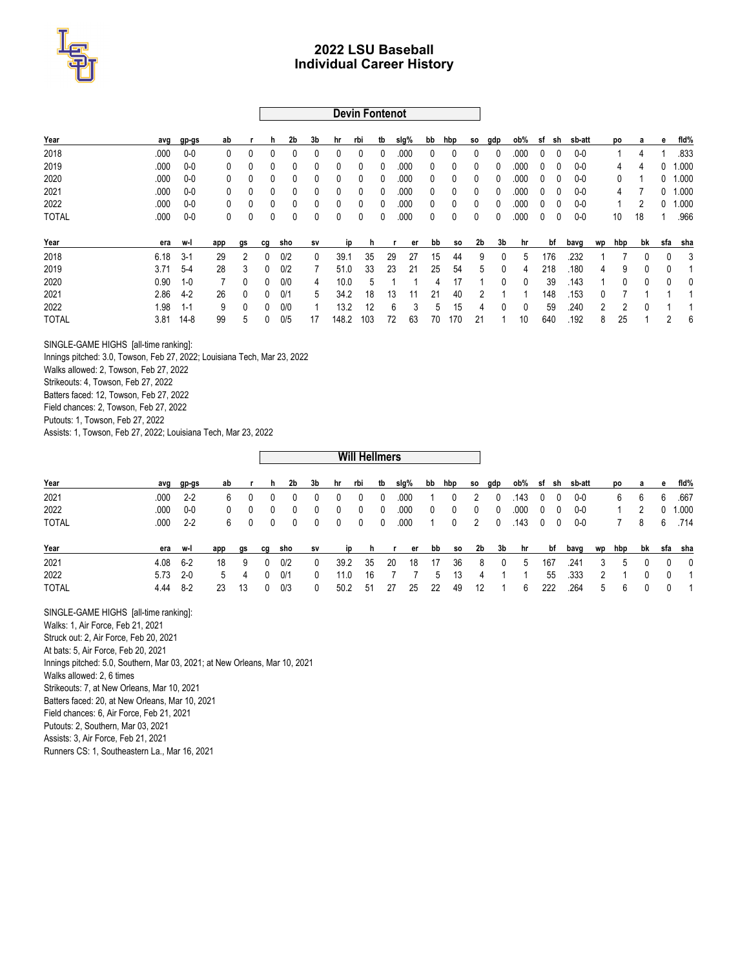

**Devin Fontenot**

| Year         | avg  | gp-gs    | ab           |                | h. | 2b           | 3b           | hr           | rbi          | tb           | slg%   | bb | hbp       | SO. | gdp          | ob%          | sf | sh  | sb-att |    | po  | a  | е   | fid%  |
|--------------|------|----------|--------------|----------------|----|--------------|--------------|--------------|--------------|--------------|--------|----|-----------|-----|--------------|--------------|----|-----|--------|----|-----|----|-----|-------|
| 2018         | .000 | $0-0$    | $\mathbf{0}$ | $\Omega$       | 0  | $\mathbf{0}$ | $\mathbf{0}$ | 0            | $\mathbf{0}$ | $\mathbf{0}$ | .000   | 0  | 0         | 0   | 0            | .000         | 0  |     | $0-0$  |    |     | 4  |     | .833  |
| 2019         | .000 | $0-0$    | 0            | 0              | 0  | 0            | 0            | $\mathbf{0}$ | $\mathbf{0}$ | $\mathbf{0}$ | .000   | 0  | 0         | 0   | $\mathbf{0}$ | 000          | 0  | ۵   | $0-0$  |    | 4   | 4  |     | 1.000 |
| 2020         | .000 | $0-0$    | $\mathbf{0}$ | 0              | 0  | 0            | 0            | 0            | $\mathbf{0}$ | $\mathbf{0}$ | .000   | 0  | 0         | 0   | $\mathbf{0}$ | .000         | 0  |     | $0-0$  |    | 0   |    |     | 1.000 |
| 2021         | .000 | $0-0$    | $\mathbf{0}$ | 0              | 0  | 0            | $\mathbf{0}$ | $\mathbf{0}$ | $\mathbf{0}$ | $\mathbf{0}$ | .000   | 0  | 0         | 0   | $\mathbf{0}$ | .000         | 0  | 0   | $0-0$  |    | 4   |    | 0   | 1.000 |
| 2022         | .000 | $0-0$    | 0            | 0              | 0  | 0            | $\mathbf{0}$ | $\mathbf{0}$ | $\mathbf{0}$ | 0            | .000   | 0  | 0         | 0   | $\mathbf{0}$ | .000         | 0  | Ω   | $0-0$  |    |     |    | 0   | 1.000 |
| <b>TOTAL</b> | .000 | $0-0$    | 0            | 0              | 0  | 0            | 0            | 0            | 0            | 0            | .000   | 0  | 0         | 0   | 0            | .000         | 0  |     | $0-0$  |    | 10  | 18 |     | 966   |
|              |      |          |              |                |    |              |              |              |              |              |        |    |           |     |              |              |    |     |        |    |     |    |     |       |
| Year         | era  | w-l      | app          | gs             | cq | sho          | sv           | <b>ip</b>    | h            |              | er     | bb | <b>SO</b> | 2b  | 3b           | hr           |    | bf  | bavg   | wp | hbp | bk | sfa | sha   |
| 2018         | 6.18 | $3-1$    | 29           | $\overline{2}$ | 0  | 0/2          | 0            | 39.1         | 35           | 29           | 27     | 15 | 44        | 9   | 0            | 5            |    | 176 | .232   |    |     | 0  | 0   | 3     |
| 2019         | 3.71 | $5-4$    | 28           | 3              | 0  | 0/2          |              | 51.0         | 33           | 23           | 21     | 25 | 54        | 5   | 0            | 4            |    | 218 | .180   | 4  | 9   | 0  | 0   |       |
| 2020         | 0.90 | $1 - 0$  | 7            | 0              | 0  | 0/0          | 4            | 10.0         | 5            |              |        | 4  | 17        |     | 0            | 0            |    | 39  | .143   |    | 0   | 0  | 0   | 0     |
| 2021         | 2.86 | $4-2$    | 26           | $\mathbf{0}$   | 0  | 0/1          | 5            | 34.2         | 18           | 13           | 11     | 21 | 40        | 2   |              |              |    | 148 | .153   | 0  |     |    |     |       |
| 2022         | 1.98 | 1-1      | 9            | $\mathbf{0}$   | 0  | 0/0          |              | 13.2         | 12           |              | 6<br>3 | 5  | 15        | 4   | <sup>0</sup> | $\mathbf{0}$ |    | 59  | .240   | 2  | 2   | 0  |     |       |
| <b>TOTAL</b> | 3.81 | $14 - 8$ | 99           | 5              | 0  | 0/5          | 17           | 148.2        | 103          | 72           | 63     | 70 | 170       | 21  |              | 10           |    | 640 | .192   | 8  | 25  |    | 2   | 6     |

SINGLE-GAME HIGHS [all-time ranking]:

Innings pitched: 3.0, Towson, Feb 27, 2022; Louisiana Tech, Mar 23, 2022

Walks allowed: 2, Towson, Feb 27, 2022

Strikeouts: 4, Towson, Feb 27, 2022

Batters faced: 12, Towson, Feb 27, 2022

Field chances: 2, Towson, Feb 27, 2022

Putouts: 1, Towson, Feb 27, 2022

Assists: 1, Towson, Feb 27, 2022; Louisiana Tech, Mar 23, 2022

| Year         |            | avg gp-gs  | ab  |                | h.             | 2b             | 3b             | hr rbi       |                |                |      |                |                   |                |                         |                        |            | tb slg% bb hbp so gdp ob% sf sh sb-att |                | po a           |                |   | e fld%       |
|--------------|------------|------------|-----|----------------|----------------|----------------|----------------|--------------|----------------|----------------|------|----------------|-------------------|----------------|-------------------------|------------------------|------------|----------------------------------------|----------------|----------------|----------------|---|--------------|
| 2021         |            | $.000 2-2$ | 6   | $\bf{0}$       | $\overline{0}$ | 0              | 0              | 0            | 0              | $\mathbf{0}$   | .000 | $\overline{1}$ | 0                 | $\overline{2}$ | $\mathbf{0}$            | $.143 \quad 0 \quad 0$ |            | 0-0                                    |                | 6              | 6              | 6 | .667         |
| 2022         | .000       | 0-0        | 0   | $\overline{0}$ | $\overline{0}$ | $\overline{0}$ | $\mathbf{0}$   | $\mathbf{0}$ | $\overline{0}$ | $\overline{0}$ | .000 | $\mathbf{0}$   | $\mathbf{0}$      | $\overline{0}$ | $\overline{\mathbf{0}}$ | .000                   | $0\quad 0$ | 0-0                                    |                | $\mathbf{1}$   | $\overline{2}$ |   | $0$ 1.000    |
| <b>TOTAL</b> |            | $.000 2-2$ |     | 600            |                | $\overline{0}$ | $\overline{0}$ | $0\quad 0$   |                | $\overline{0}$ | .000 | $\overline{1}$ | $\mathbf{0}$      |                |                         | 2 0 143 0 0            |            | 0-0                                    |                |                |                |   | 7 8 6 714    |
| Year         |            | era w-l    | app | gs             |                | cg sho         | sv             | <b>ip</b>    |                |                |      |                | hrerbbso 2b 3b hr |                |                         |                        |            | bf bavg wp hbp bk sfa sha              |                |                |                |   |              |
| 2021         | $4.08$ 6-2 |            | 18  | - 9            | $\mathbf{0}$   | 0/2            | $\mathbf{0}$   | 39.2         | 35             | -20            | 18   | 17             | 36                | 8              | $\overline{\mathbf{0}}$ | - 5                    | 167        | .241                                   | 3              | 5              | $\mathbf{0}$   |   | $0\qquad 0$  |
| 2022         | $5.73$ 2-0 |            | 5   | -4             | $\mathbf{0}$   | 0/1            | $\mathbf{0}$   | 11.0         | 16             |                |      |                | - 13<br>5         | 4              | $\sim$ 1                | $\overline{1}$         | 55         | .333                                   | $\overline{2}$ | $\overline{1}$ | $\mathbf{0}$   |   | $0 \qquad 1$ |
| <b>TOTAL</b> | 4.44 8-2   |            | 23  | -13            | $\mathbf{0}$   | 0/3            | 0              | 50.2         | -51            | -27            | 25   | -22            | 49                | 12             |                         | 6                      | 222        | .264                                   | 5              | - 6            | $\mathbf{0}$   |   | $0 \quad 1$  |

**Will Hellmers**

 $\overline{\phantom{a}}$ 

SINGLE-GAME HIGHS [all-time ranking]: Walks: 1, Air Force, Feb 21, 2021 Struck out: 2, Air Force, Feb 20, 2021 At bats: 5, Air Force, Feb 20, 2021 Innings pitched: 5.0, Southern, Mar 03, 2021; at New Orleans, Mar 10, 2021 Walks allowed: 2, 6 times Strikeouts: 7, at New Orleans, Mar 10, 2021 Batters faced: 20, at New Orleans, Mar 10, 2021 Field chances: 6, Air Force, Feb 21, 2021 Putouts: 2, Southern, Mar 03, 2021 Assists: 3, Air Force, Feb 21, 2021 Runners CS: 1, Southeastern La., Mar 16, 2021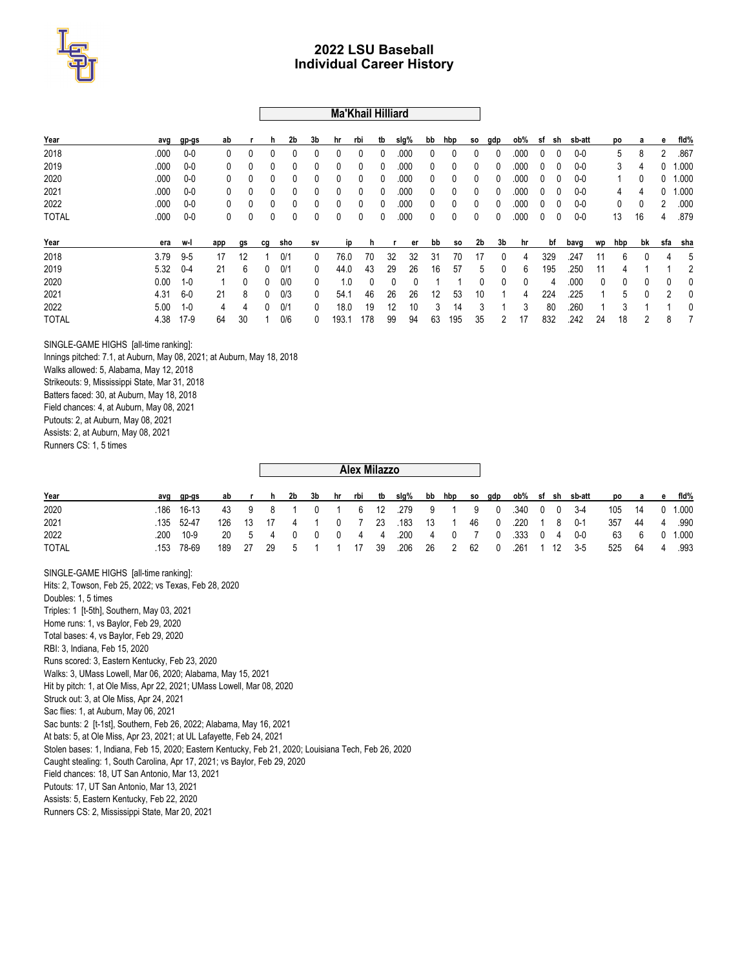

### **Ma'Khail Hilliard**

| Year         | avg  | gp-gs   | ab           |    | h        | 2b  | 3b           | hr        | rbi      | tb | slg% | bb | hbp          | SO. | gdp | ob%  | sf | sh  | sb-att |    | po  |    | е              | fid%  |
|--------------|------|---------|--------------|----|----------|-----|--------------|-----------|----------|----|------|----|--------------|-----|-----|------|----|-----|--------|----|-----|----|----------------|-------|
| 2018         | .000 | $0-0$   | 0            | 0  | 0        | 0   | 0            | 0         | 0        |    | .000 | 0  |              |     | 0   | .000 | 0  |     | $0-0$  |    | 5   | 8  | $\overline{2}$ | .867  |
| 2019         | .000 | $0-0$   | 0            | 0  | 0        | 0   | 0            | 0         | 0        | 0  | .000 | 0  | 0            |     | 0   | .000 | 0  |     | $0-0$  |    | 3   | 4  |                | .000  |
| 2020         | .000 | $0-0$   | 0            | 0  | 0        | 0   | 0            | 0         | 0        |    | .000 | 0  | 0            |     | 0   | .000 | 0  |     | $0-0$  |    |     | 0  |                | 1.000 |
| 2021         | .000 | $0-0$   | 0            | 0  | 0        | 0   | 0            | 0         | 0        | 0  | .000 | 0  | $\mathbf{0}$ |     | 0   | .000 | 0  |     | $0-0$  |    | 4   | 4  |                | 1.000 |
| 2022         | .000 | $0-0$   | 0            | 0  | 0        | 0   | 0            | 0         | 0        |    | .000 | 0  |              |     | 0   | .000 | 0  |     | $0-0$  |    | 0   |    |                | .000  |
| <b>TOTAL</b> | .000 | $0-0$   | $\mathbf{0}$ | 0  | 0        | 0   | 0            | 0         | 0        |    | .000 | 0  | $\Omega$     |     | 0   | .000 | 0  |     | $0-0$  |    | 13  | 16 | 4              | .879  |
| Year         | era  | w-l     | app          | gs | cq       | sho | Sν           | <b>ip</b> |          |    | er   | bb | <b>SO</b>    | 2b  | 3b  | hr   |    | bf  | bavg   | wp | hbp | bk | sfa            | sha   |
| 2018         | 3.79 | $9 - 5$ | 17           | 12 |          | 0/1 | $\mathbf{0}$ | 76.0      | 70       | 32 | 32   | 31 | 70           | 17  | 0   | 4    |    | 329 | 247    | 11 | 6   | 0  | 4              |       |
| 2019         | 5.32 | $0 - 4$ | 21           | 6  | 0        | 0/1 | $\mathbf{0}$ | 44.0      | 43       | 29 | 26   | 16 | 57           | 5   | 0   | 6    |    | 195 | .250   | 11 |     |    |                |       |
| 2020         | 0.00 | $1 - 0$ |              | 0  | 0        | 0/0 | 0            | 1.0       | $\Omega$ |    | 0    |    |              | 0   | 0   | 0    |    | 4   | .000   | 0  | 0   | 0  | 0              | U     |
| 2021         | 4.31 | 6-0     | 21           | 8  | $\Omega$ | 0/3 | $\mathbf{0}$ | 54.1      | 46       | 26 | 26   | 12 | 53           | 10  |     | 4    |    | 224 | .225   |    | 5   | 0  | 2              | 0     |
| 2022         | 5.00 | $1 - 0$ | 4            | 4  | 0        | 0/1 | 0            | 18.0      | 19       | 12 | 10   | 3  | 14           | 3   |     | 3    |    | 80  | .260   |    | 3   |    |                | Ω     |
| <b>TOTAL</b> | 4.38 | $17-9$  | 64           | 30 |          | 0/6 | 0            | 193.1     | 178      | 99 | 94   | 63 | 195          | 35  | 2   | 17   |    | 832 | 242    | 24 | 18  | 2  | 8              |       |

SINGLE-GAME HIGHS [all-time ranking]:

Innings pitched: 7.1, at Auburn, May 08, 2021; at Auburn, May 18, 2018 Walks allowed: 5, Alabama, May 12, 2018 Strikeouts: 9, Mississippi State, Mar 31, 2018 Batters faced: 30, at Auburn, May 18, 2018 Field chances: 4, at Auburn, May 08, 2021 Putouts: 2, at Auburn, May 08, 2021 Assists: 2, at Auburn, May 08, 2021 Runners CS: 1, 5 times

| Year         | avg gp-gs  |  |  |  |  |  |  |  |  |                                                  | ab r h 2b 3b hr rbi tb slq% bb hbp so qdp ob% sf sh sb-att po a e fld% |  |               |
|--------------|------------|--|--|--|--|--|--|--|--|--------------------------------------------------|------------------------------------------------------------------------|--|---------------|
| 2020         | .186 16-13 |  |  |  |  |  |  |  |  | 43 9 8 1 0 1 6 12 279 9 1 9 0 340 0 0 3-4        | 105 14 0 1.000                                                         |  |               |
| 2021         | 135 52-47  |  |  |  |  |  |  |  |  |                                                  | 126 13 17 4 1 0 7 23 183 13 1 46 0 220 1 8 0-1 357 44 4 990            |  |               |
| 2022         | 200 10-9   |  |  |  |  |  |  |  |  |                                                  | 20 5 4 0 0 0 4 4 200 4 0 7 0 333 0 4 0-0 63 6 0 1.000                  |  |               |
| <b>TOTAL</b> | .153 78-69 |  |  |  |  |  |  |  |  | 189 27 29 5 1 1 17 39 206 26 2 62 0 261 1 12 3-5 |                                                                        |  | 525 64 4 .993 |

**Alex Milazzo**

SINGLE-GAME HIGHS [all-time ranking]: Hits: 2, Towson, Feb 25, 2022; vs Texas, Feb 28, 2020 Doubles: 1, 5 times Triples: 1 [t-5th], Southern, May 03, 2021 Home runs: 1, vs Baylor, Feb 29, 2020 Total bases: 4, vs Baylor, Feb 29, 2020 RBI: 3, Indiana, Feb 15, 2020 Runs scored: 3, Eastern Kentucky, Feb 23, 2020 Walks: 3, UMass Lowell, Mar 06, 2020; Alabama, May 15, 2021 Hit by pitch: 1, at Ole Miss, Apr 22, 2021; UMass Lowell, Mar 08, 2020 Struck out: 3, at Ole Miss, Apr 24, 2021 Sac flies: 1, at Auburn, May 06, 2021 Sac bunts: 2 [t-1st], Southern, Feb 26, 2022; Alabama, May 16, 2021 At bats: 5, at Ole Miss, Apr 23, 2021; at UL Lafayette, Feb 24, 2021 Stolen bases: 1, Indiana, Feb 15, 2020; Eastern Kentucky, Feb 21, 2020; Louisiana Tech, Feb 26, 2020 Caught stealing: 1, South Carolina, Apr 17, 2021; vs Baylor, Feb 29, 2020 Field chances: 18, UT San Antonio, Mar 13, 2021 Putouts: 17, UT San Antonio, Mar 13, 2021 Assists: 5, Eastern Kentucky, Feb 22, 2020 Runners CS: 2, Mississippi State, Mar 20, 2021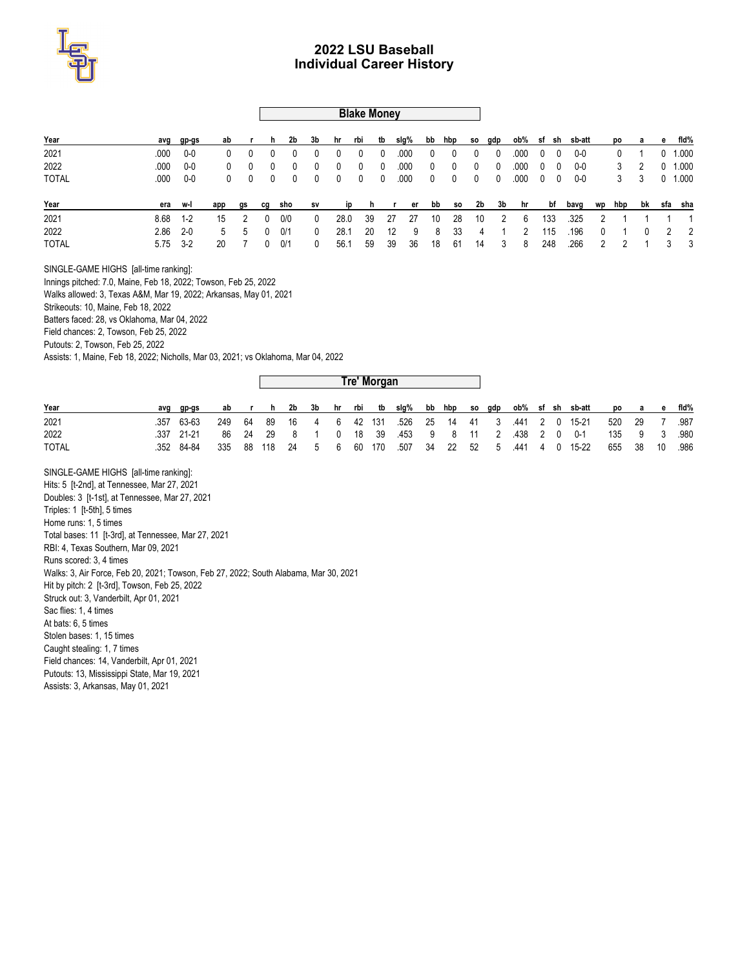

### **Blake Money**

| Year         |              | avg gp-gs | ab       |                  | h.           | 2b             | 3b           | hr rbi                  |    | tb                      | slg%                     |              | bb hbp so gdp |                |                |      |              |                          | ob% sf sh sb-att |   |   |              |              | po a e fid% |
|--------------|--------------|-----------|----------|------------------|--------------|----------------|--------------|-------------------------|----|-------------------------|--------------------------|--------------|---------------|----------------|----------------|------|--------------|--------------------------|------------------|---|---|--------------|--------------|-------------|
| 2021         | .000         | $0 - 0$   | 0        | $\left( \right)$ |              |                | 0            | 0                       | 0  | 0                       | .000                     | $\mathbf{0}$ | 0             | $\mathbf 0$    | - 0            | .000 | $\mathbf{0}$ | - 0                      | 0-0              |   |   |              | $\mathbf{0}$ | 1.000       |
| 2022         | .000         | 0-0       | $^{0}$   | $\overline{0}$   |              |                | 0            | 0                       | 0  | 0                       | .000                     | $\mathbf 0$  | 0             | $\mathbf 0$    | - 0            | .000 | $\mathbf{0}$ | $\overline{\phantom{0}}$ | 0-0              |   | 3 | 2            |              | $0$ 1.000   |
| <b>TOTAL</b> | .000         | 0-0       | $\Omega$ | $\overline{0}$   | $\bf{0}$     | $\overline{0}$ | 0            | $\overline{\mathbf{0}}$ | 0  | $\overline{\mathbf{0}}$ | .000                     | $\mathbf{0}$ | $\mathbf 0$   | $\mathbf{0}$   | 0              | .000 |              | $0\quad 0$               | 0-0              |   | 3 | 3            |              | $0$ 1.000   |
| Year         |              | era w-l   | app      | gs cg            |              | sho            | <b>SV</b>    |                         |    |                         | ip h r er bb so 2b 3b hr |              |               |                |                |      |              |                          | bf bavg wp hbp   |   |   |              |              | bk sfa sha  |
| 2021         | 8.68         | $1 - 2$   | 15       | - 2              | 0            | 0/0            | $\mathbf{0}$ | 28.0                    | 39 | - 27                    | -27                      | 10           | 28            | 10             | $\overline{2}$ | - 6  |              | 133                      | .325             | 2 |   |              |              | $1 \quad 1$ |
| 2022         | 2.86         | $-2-0$    | 5        | -5               | $\mathbf{0}$ | 0/1            | 0            | 28.1                    | 20 | 12                      | - 9                      | 8            | -33           | $\overline{4}$ |                | 2    |              | 115                      | .196             | 0 |   | $\mathbf{0}$ |              | 2 2         |
| <b>TOTAL</b> | $5.75$ $3-2$ |           | 20       |                  | $\Omega$     | 0/1            | 0            | 56.1                    | 59 | -39                     | 36                       | 18           | 61            | 14             | 3              | 8    |              | 248                      | .266             | 2 |   |              |              | 3 3         |

SINGLE-GAME HIGHS [all-time ranking]:

Innings pitched: 7.0, Maine, Feb 18, 2022; Towson, Feb 25, 2022

Walks allowed: 3, Texas A&M, Mar 19, 2022; Arkansas, May 01, 2021

Strikeouts: 10, Maine, Feb 18, 2022

Batters faced: 28, vs Oklahoma, Mar 04, 2022

Field chances: 2, Towson, Feb 25, 2022

Putouts: 2, Towson, Feb 25, 2022

Assists: 1, Maine, Feb 18, 2022; Nicholls, Mar 03, 2021; vs Oklahoma, Mar 04, 2022

|              |            |    |  |  |  | Tre' Morgan |  |  |  |  |                                                                      |                |  |  |
|--------------|------------|----|--|--|--|-------------|--|--|--|--|----------------------------------------------------------------------|----------------|--|--|
| Year         | ava ap-as  | ab |  |  |  |             |  |  |  |  | r h 2b 3b hr rbi tb slq% bb hbp so qdp ob% sf sh sb-att po a e fld%  |                |  |  |
| 2021         | .357 63-63 |    |  |  |  |             |  |  |  |  | 249 64 89 16 4 6 42 131 .526 25 14 41 3 .441 2 0 15-21 520 29 7 .987 |                |  |  |
| 2022         | .337 21-21 |    |  |  |  |             |  |  |  |  | 86 24 29 8 1 0 18 39 453 9 8 11 2 438 2 0 0-1 135 9 3 980            |                |  |  |
| <b>TOTAL</b> | .352 84-84 |    |  |  |  |             |  |  |  |  | 335 88 118 24 5 6 60 170 507 34 22 52 5 441 4 0 15-22                | 655 38 10 .986 |  |  |

SINGLE-GAME HIGHS [all-time ranking]: Hits: 5 [t-2nd], at Tennessee, Mar 27, 2021 Doubles: 3 [t-1st], at Tennessee, Mar 27, 2021 Triples: 1 [t-5th], 5 times Home runs: 1, 5 times Total bases: 11 [t-3rd], at Tennessee, Mar 27, 2021 RBI: 4, Texas Southern, Mar 09, 2021 Runs scored: 3, 4 times Walks: 3, Air Force, Feb 20, 2021; Towson, Feb 27, 2022; South Alabama, Mar 30, 2021 Hit by pitch: 2 [t-3rd], Towson, Feb 25, 2022 Struck out: 3, Vanderbilt, Apr 01, 2021 Sac flies: 1, 4 times At bats: 6, 5 times Stolen bases: 1, 15 times Caught stealing: 1, 7 times Field chances: 14, Vanderbilt, Apr 01, 2021 Putouts: 13, Mississippi State, Mar 19, 2021 Assists: 3, Arkansas, May 01, 2021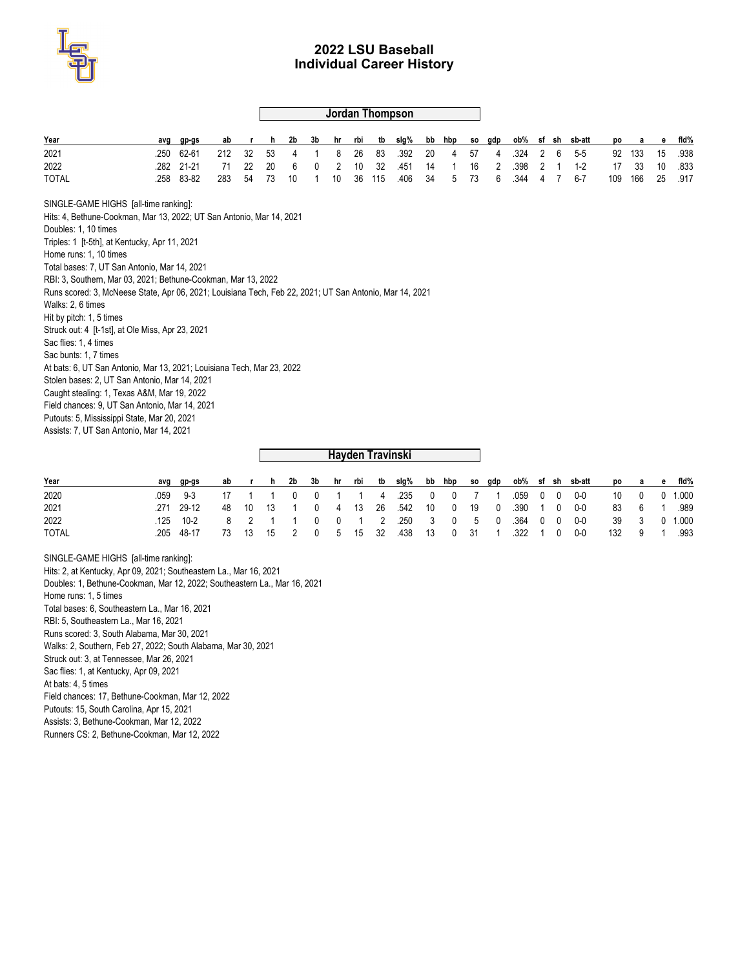

# **Jordan Thompson**

| Year                                                                                                    | avg  | gp-gs | ab  |    | h. | 2b | 3b | hr | rbi | tb  | slg%             | bb | hbp | so | gdp |      |   |   | ob% sf sh sb-att | pо  | а   | е  | fid% |
|---------------------------------------------------------------------------------------------------------|------|-------|-----|----|----|----|----|----|-----|-----|------------------|----|-----|----|-----|------|---|---|------------------|-----|-----|----|------|
| 2021                                                                                                    | .250 | 62-61 | 212 | 32 | 53 | 4  |    | 8  | 26  | 83  | .392             | 20 | 4   | 57 | 4   | .324 | 2 | 6 | $5 - 5$          | 92  | 133 | 15 | .938 |
| 2022                                                                                                    | .282 | 21-21 | 71  | 22 | 20 | 6  | 0  | 2  | 10  | 32  | .451             | 14 |     | 16 | 2   | .398 | 2 |   | $1 - 2$          | 17  | 33  | 10 | .833 |
| <b>TOTAL</b>                                                                                            | .258 | 83-82 | 283 | 54 | 73 | 10 |    | 10 | 36  | 115 | .406             | 34 | 5   | 73 | 6   | .344 | 4 | 7 | $6 - 7$          | 109 | 166 | 25 | .917 |
| SINGLE-GAME HIGHS [all-time ranking]:                                                                   |      |       |     |    |    |    |    |    |     |     |                  |    |     |    |     |      |   |   |                  |     |     |    |      |
| Hits: 4, Bethune-Cookman, Mar 13, 2022; UT San Antonio, Mar 14, 2021                                    |      |       |     |    |    |    |    |    |     |     |                  |    |     |    |     |      |   |   |                  |     |     |    |      |
| Doubles: 1, 10 times                                                                                    |      |       |     |    |    |    |    |    |     |     |                  |    |     |    |     |      |   |   |                  |     |     |    |      |
| Triples: 1 [t-5th], at Kentucky, Apr 11, 2021                                                           |      |       |     |    |    |    |    |    |     |     |                  |    |     |    |     |      |   |   |                  |     |     |    |      |
| Home runs: 1. 10 times                                                                                  |      |       |     |    |    |    |    |    |     |     |                  |    |     |    |     |      |   |   |                  |     |     |    |      |
| Total bases: 7, UT San Antonio, Mar 14, 2021                                                            |      |       |     |    |    |    |    |    |     |     |                  |    |     |    |     |      |   |   |                  |     |     |    |      |
| RBI: 3, Southern, Mar 03, 2021; Bethune-Cookman, Mar 13, 2022                                           |      |       |     |    |    |    |    |    |     |     |                  |    |     |    |     |      |   |   |                  |     |     |    |      |
| Runs scored: 3. McNeese State. Apr 06, 2021: Louisiana Tech, Feb 22, 2021: UT San Antonio, Mar 14, 2021 |      |       |     |    |    |    |    |    |     |     |                  |    |     |    |     |      |   |   |                  |     |     |    |      |
| Walks: 2, 6 times                                                                                       |      |       |     |    |    |    |    |    |     |     |                  |    |     |    |     |      |   |   |                  |     |     |    |      |
| Hit by pitch: 1, 5 times                                                                                |      |       |     |    |    |    |    |    |     |     |                  |    |     |    |     |      |   |   |                  |     |     |    |      |
| Struck out: 4 [t-1st], at Ole Miss, Apr 23, 2021<br>Sac flies: 1.4 times                                |      |       |     |    |    |    |    |    |     |     |                  |    |     |    |     |      |   |   |                  |     |     |    |      |
| Sac bunts: 1. 7 times                                                                                   |      |       |     |    |    |    |    |    |     |     |                  |    |     |    |     |      |   |   |                  |     |     |    |      |
| At bats: 6, UT San Antonio, Mar 13, 2021; Louisiana Tech, Mar 23, 2022                                  |      |       |     |    |    |    |    |    |     |     |                  |    |     |    |     |      |   |   |                  |     |     |    |      |
| Stolen bases: 2, UT San Antonio, Mar 14, 2021                                                           |      |       |     |    |    |    |    |    |     |     |                  |    |     |    |     |      |   |   |                  |     |     |    |      |
| Caught stealing: 1, Texas A&M, Mar 19, 2022                                                             |      |       |     |    |    |    |    |    |     |     |                  |    |     |    |     |      |   |   |                  |     |     |    |      |
| Field chances: 9, UT San Antonio, Mar 14, 2021                                                          |      |       |     |    |    |    |    |    |     |     |                  |    |     |    |     |      |   |   |                  |     |     |    |      |
| Putouts: 5, Mississippi State, Mar 20, 2021                                                             |      |       |     |    |    |    |    |    |     |     |                  |    |     |    |     |      |   |   |                  |     |     |    |      |
| Assists: 7, UT San Antonio, Mar 14, 2021                                                                |      |       |     |    |    |    |    |    |     |     |                  |    |     |    |     |      |   |   |                  |     |     |    |      |
|                                                                                                         |      |       |     |    |    |    |    |    |     |     |                  |    |     |    |     |      |   |   |                  |     |     |    |      |
|                                                                                                         |      |       |     |    |    |    |    |    |     |     | Hayden Travinski |    |     |    |     |      |   |   |                  |     |     |    |      |

| Year         | avg | ap-as      | ab | r h 2b     | 3b          | hr rbi tb |  | slg% bb hbp so gdp                  |  |  |  | ob% sf sh sb-att                        | po a e fld% |        |       |
|--------------|-----|------------|----|------------|-------------|-----------|--|-------------------------------------|--|--|--|-----------------------------------------|-------------|--------|-------|
| 2020         |     | $9-3$      |    |            |             |           |  | 17 1 1 0 0 1 1 4 235 0 0 7 1        |  |  |  |                                         |             | 10 0 0 | 1.000 |
| 2021         |     | .271 29-12 |    | 48 10 13 1 |             |           |  | 0 4 13 26 542 10 0 19 0 390 1 0 0-0 |  |  |  |                                         | 83 6 1      |        | .989  |
| 2022         |     | 125 10-2   |    |            |             |           |  |                                     |  |  |  | 8 2 1 1 0 0 1 2 250 3 0 5 0 364 0 0 0-0 | 39 3 0      |        | 1.000 |
| <b>TOTAL</b> | 205 | 48-17      |    | 73 13 15   | 2 0 5 15 32 |           |  | 438 13 0 31 1 322 1 0 0-0           |  |  |  |                                         | 132 9 1     |        | .993  |

SINGLE-GAME HIGHS [all-time ranking]: Hits: 2, at Kentucky, Apr 09, 2021; Southeastern La., Mar 16, 2021 Doubles: 1, Bethune-Cookman, Mar 12, 2022; Southeastern La., Mar 16, 2021 Home runs: 1, 5 times Total bases: 6, Southeastern La., Mar 16, 2021 RBI: 5, Southeastern La., Mar 16, 2021 Runs scored: 3, South Alabama, Mar 30, 2021 Walks: 2, Southern, Feb 27, 2022; South Alabama, Mar 30, 2021 Struck out: 3, at Tennessee, Mar 26, 2021 Sac flies: 1, at Kentucky, Apr 09, 2021 At bats: 4, 5 times Field chances: 17, Bethune-Cookman, Mar 12, 2022 Putouts: 15, South Carolina, Apr 15, 2021 Assists: 3, Bethune-Cookman, Mar 12, 2022

Runners CS: 2, Bethune-Cookman, Mar 12, 2022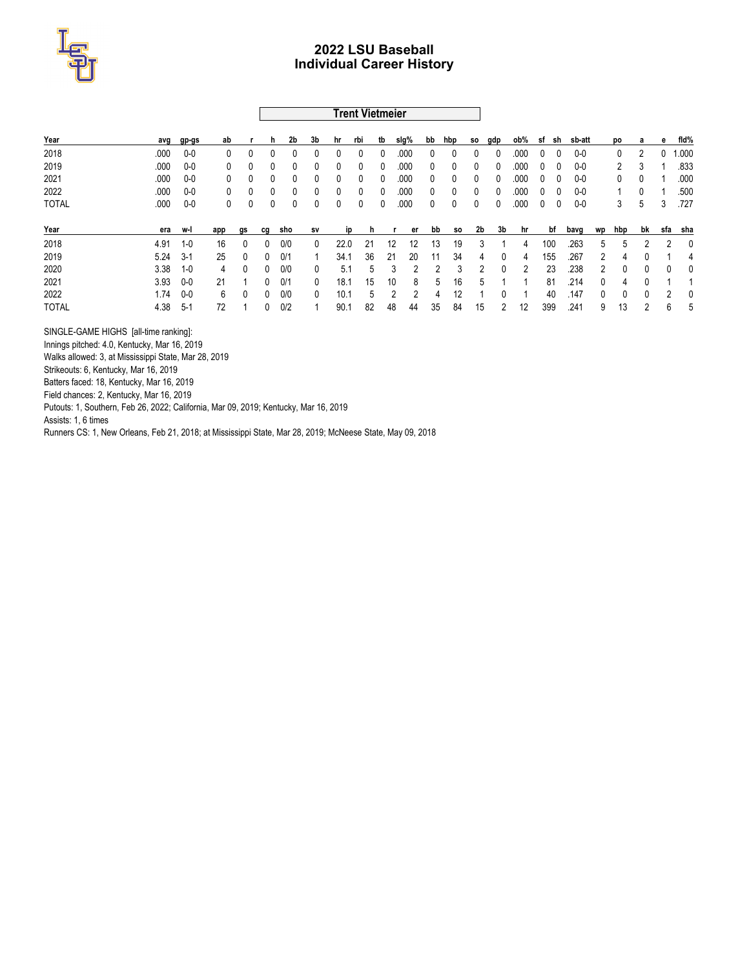

### **Trent Vietmeier**

| Year         | avg  | gp-gs   | ab  |              | n.           | 2b  | 3b           | hr   | rbi          | tb | slg% | bb | hbp     | SO.          | gdp          | ob%  | sf | sh  | sb-att  |              | pо  | а  | е | fid%     |
|--------------|------|---------|-----|--------------|--------------|-----|--------------|------|--------------|----|------|----|---------|--------------|--------------|------|----|-----|---------|--------------|-----|----|---|----------|
| 2018         | .000 | $0-0$   | 0   |              |              | 0   | 0            | 0    | 0            | 0  | .000 | 0  | 0       | $\bf{0}$     | 0            | .000 | 0  | 0   | $0-0$   |              | 0   | 2  | 0 | 1.000    |
| 2019         | .000 | $0-0$   | 0   |              |              | 0   | 0            | 0    | 0            | 0  | .000 | 0  | 0       | 0            | 0            | .000 | 0  | 0   | $0-0$   |              | 2   | 3  |   | .833     |
| 2021         | .000 | $0-0$   | 0   | 0            | 0            | 0   | 0            | 0    | $\mathbf{0}$ | 0  | .000 | 0  | 0       | $\mathbf{0}$ | $\mathbf{0}$ | .000 | 0  | 0   | $0 - 0$ |              | 0   | 0  |   | .000     |
| 2022         | .000 | $0-0$   | 0   |              |              | 0   | 0            | 0    | 0            | 0  | .000 | 0  | 0       | 0            | 0            | .000 | 0  | U   | $0-0$   |              |     | 0  |   | .500     |
| <b>TOTAL</b> | .000 | $0-0$   | 0   |              |              | 0   | 0            | 0    | 0            | 0  | .000 | 0  | 0       | 0            | 0            | .000 | 0  | 0   | $0-0$   |              | 3   | 5  | 3 | .727     |
| Year         | era  | w-l     | app | gs           | cg           | sho | <b>SV</b>    | מו   |              |    | er   | bb | SO.     | 2b           | 3b           | hr   |    | bf  | bavg    | wp           | hbp | bk |   | sfa sha  |
| 2018         | 4.91 | $1 - 0$ | 16  | $\mathbf{0}$ | $\mathbf{0}$ | 0/0 | $\mathbf{0}$ | 22.0 | 21           | 12 | 12   | 13 | 19      | 3            |              | 4    |    | 100 | .263    | 5            | 5   | 2  |   | $\Omega$ |
| 2019         | 5.24 | $3-1$   | 25  | $\mathbf{0}$ | $\Omega$     | 0/1 |              | 34.1 | 36           | 21 | 20   | 11 | 34      | 4            | $\Omega$     | 4    |    | 155 | .267    | 2            | 4   | 0  |   | 4        |
| 2020         | 3.38 | $1 - 0$ | 4   | $\mathbf{0}$ | 0            | 0/0 | 0            | 5.1  | 5            |    | 3    |    | 2<br>3  |              | 0            | 2    |    | 23  | .238    | 2            | 0   | 0  | 0 | $\Omega$ |
| 2021         | 3.93 | $0-0$   | 21  |              | $\Omega$     | 0/1 | $\mathbf{0}$ | 18.1 | 15           | 10 | 8    |    | 16<br>5 | .5           |              |      |    | 81  | .214    | $\mathbf{0}$ | 4   | 0  |   |          |
| 2022         | 1.74 | $0-0$   | 6   | $\mathbf{0}$ | $\Omega$     | 0/0 | 0            | 10.1 | 5            |    | 2    |    | 12<br>4 |              |              |      |    | 40  | .147    | $\mathbf{0}$ | 0   | 0  |   | $\Omega$ |
| <b>TOTAL</b> | 4.38 | $5-1$   | 72  |              | $\mathbf{0}$ | 0/2 |              | 90.1 | 82           | 48 | 44   | 35 | 84      | 15           |              | 12   |    | 399 | .241    | 9            | 13  | っ  | 6 | 5        |

SINGLE-GAME HIGHS [all-time ranking]:

Innings pitched: 4.0, Kentucky, Mar 16, 2019

Walks allowed: 3, at Mississippi State, Mar 28, 2019

Strikeouts: 6, Kentucky, Mar 16, 2019

Batters faced: 18, Kentucky, Mar 16, 2019

Field chances: 2, Kentucky, Mar 16, 2019

Putouts: 1, Southern, Feb 26, 2022; California, Mar 09, 2019; Kentucky, Mar 16, 2019

Assists: 1, 6 times

Runners CS: 1, New Orleans, Feb 21, 2018; at Mississippi State, Mar 28, 2019; McNeese State, May 09, 2018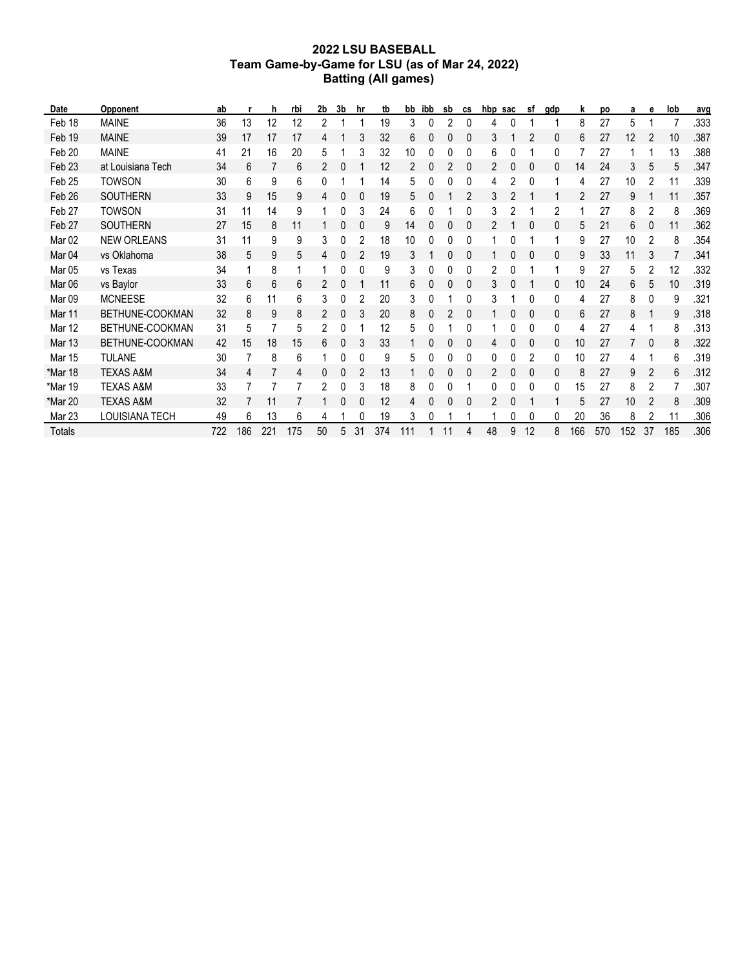# **2022 LSU BASEBALL Team Game-by-Game for LSU (as of Mar 24, 2022) Batting (All games)**

| Date              | Opponent             | ab  |     | h   | rbi | 2b | 3b | hr | tb  | bb  | ibb | sb | CS             | hbp | sac | sf | gdp | k   | po  | a   | е  | lob | avg  |
|-------------------|----------------------|-----|-----|-----|-----|----|----|----|-----|-----|-----|----|----------------|-----|-----|----|-----|-----|-----|-----|----|-----|------|
| Feb 18            | <b>MAINE</b>         | 36  | 13  | 12  | 12  | 2  |    |    | 19  | 3   | 0   |    | 0              | 4   |     |    |     | 8   | 27  | 5   |    |     | .333 |
| Feb 19            | <b>MAINE</b>         | 39  | 17  | 17  | 17  | 4  |    | 3  | 32  | 6   | 0   |    | 0              | 3   |     | 2  | 0   | 6   | 27  | 12  |    | 10  | .387 |
| Feb 20            | <b>MAINE</b>         | 41  | 21  | 16  | 20  | 5  |    | 3  | 32  | 10  | 0   |    | 0              | 6   |     |    | 0   |     | 27  |     |    | 13  | .388 |
| Feb <sub>23</sub> | at Louisiana Tech    | 34  | 6   |     | 6   | 2  | 0  |    | 12  | 2   |     |    | 0              | 2   |     | 0  | 0   | 14  | 24  | 3   | 5  | 5   | .347 |
| Feb 25            | <b>TOWSON</b>        | 30  | 6   | 9   | 6   | 0  |    |    | 14  | 5   |     |    | 0              | 4   |     | 0  |     | 4   | 27  | 10  |    | 11  | .339 |
| Feb 26            | <b>SOUTHERN</b>      | 33  | 9   | 15  | 9   | 4  | 0  | 0  | 19  | 5   | 0   |    | 2              | 3   |     |    |     | 2   | 27  | 9   |    | 11  | .357 |
| Feb 27            | <b>TOWSON</b>        | 31  | 11  | 14  | 9   |    | 0  | 3  | 24  | 6   | 0   |    | 0              | 3   |     |    | 2   |     | 27  | 8   | 2  | 8   | .369 |
| Feb 27            | <b>SOUTHERN</b>      | 27  | 15  | 8   | 11  |    |    | 0  | 9   | 14  |     |    | 0              |     |     | 0  | 0   | 5   | 21  | 6   |    | 11  | .362 |
| Mar <sub>02</sub> | <b>NEW ORLEANS</b>   | 31  | 11  | 9   | 9   | 3  | 0  | 2  | 18  | 10  | 0   |    | 0              |     |     |    |     | 9   | 27  | 10  | 2  | 8   | .354 |
| Mar <sub>04</sub> | vs Oklahoma          | 38  | 5   | 9   | 5   | 4  | 0  | 2  | 19  | 3   |     | C  | 0              |     | 0   | 0  | 0   | 9   | 33  | 11  | 3  | 7   | .341 |
| Mar <sub>05</sub> | vs Texas             | 34  |     | 8   |     |    |    | 0  | 9   | 3   | 0   |    | 0              | 2   |     |    |     | 9   | 27  | 5   |    | 12  | .332 |
| Mar <sub>06</sub> | vs Baylor            | 33  | 6   | 6   | 6   | 2  | 0  |    | 11  | 6   |     |    | 0              | 3   |     |    | 0   | 10  | 24  | 6   | 5  | 10  | .319 |
| Mar <sub>09</sub> | <b>MCNEESE</b>       | 32  | 6   | 11  | 6   | 3  |    | 2  | 20  | 3   | 0   |    | 0              | 3   |     | 0  | 0   | 4   | 27  | 8   | 0  | 9   | .321 |
| Mar 11            | BETHUNE-COOKMAN      | 32  | 8   | 9   | 8   | 2  | 0  | 3  | 20  | 8   | 0   |    | 0              |     |     | 0  | 0   | 6   | 27  | 8   |    | 9   | .318 |
| Mar 12            | BETHUNE-COOKMAN      | 31  | 5   |     | 5   | 2  | 0  |    | 12  | 5   | 0   |    | 0              |     |     | 0  | 0   | 4   | 27  | 4   |    | 8   | .313 |
| Mar 13            | BETHUNE-COOKMAN      | 42  | 15  | 18  | 15  | 6  |    | 3  | 33  |     |     |    | 0              | 4   |     | 0  | 0   | 10  | 27  |     | 0  | 8   | .322 |
| Mar 15            | <b>TULANE</b>        | 30  |     | 8   | 6   |    |    | 0  | 9   | 5   | 0   |    | 0              | 0   |     | 2  | 0   | 10  | 27  | 4   |    | 6   | .319 |
| *Mar 18           | <b>TEXAS A&amp;M</b> | 34  | 4   |     | 4   | 0  | 0  | 2  | 13  |     | 0   | C  | 0              | 2   | 0   | 0  | 0   | 8   | 27  | 9   | 2  | 6   | .312 |
| *Mar 19           | <b>TEXAS A&amp;M</b> | 33  |     |     |     |    |    | 3  | 18  | 8   | 0   |    |                | 0   |     | 0  | 0   | 15  | 27  | 8   |    |     | .307 |
| *Mar 20           | <b>TEXAS A&amp;M</b> | 32  |     | 11  |     |    |    | 0  | 12  | 4   |     |    | 0              | 2   |     |    |     | 5   | 27  | 10  | 2  | 8   | .309 |
| Mar 23            | LOUISIANA TECH       | 49  | 6   | 13  | 6   | 4  |    | 0  | 19  | 3   | 0   |    |                |     |     | 0  | 0   | 20  | 36  | 8   |    | 11  | .306 |
| Totals            |                      | 722 | 186 | 221 | 175 | 50 | 5  | 31 | 374 | 111 |     | 11 | $\overline{4}$ | 48  | 9   | 12 | 8   | 166 | 570 | 152 | 37 | 185 | .306 |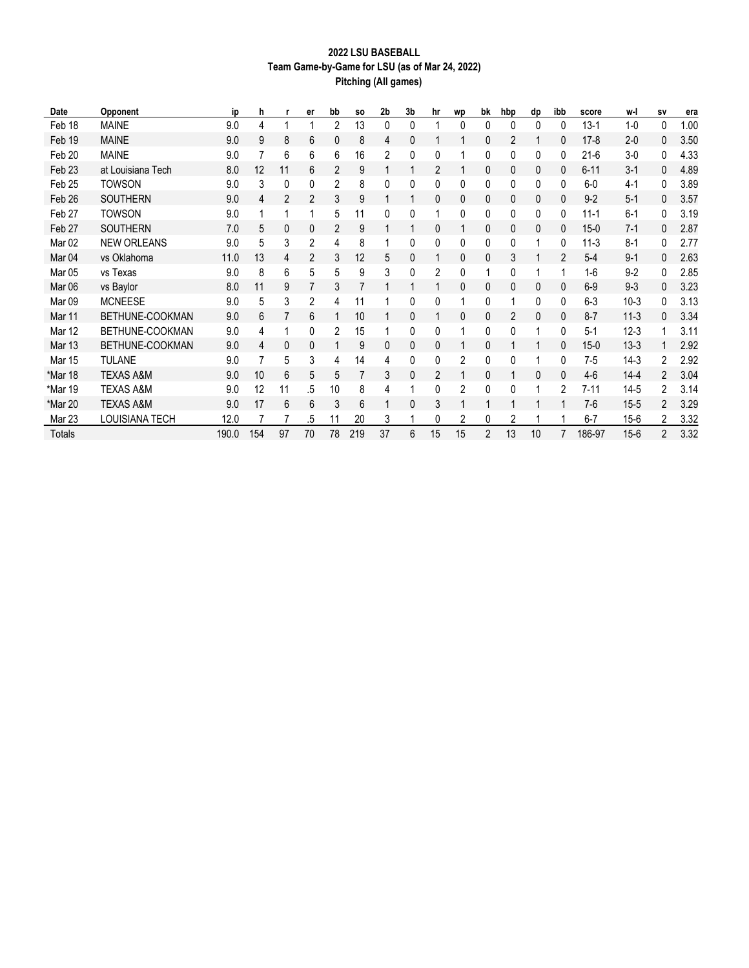# **2022 LSU BASEBALL Team Game-by-Game for LSU (as of Mar 24, 2022) Pitching (All games)**

| Date              | Opponent             | ip    | h   |    | er | bb | <b>SO</b> | 2b | 3b | hr | wp | bk             | hbp | dp       | ibb          | score    | w-l      | SV             | era  |
|-------------------|----------------------|-------|-----|----|----|----|-----------|----|----|----|----|----------------|-----|----------|--------------|----------|----------|----------------|------|
| Feb 18            | <b>MAINE</b>         | 9.0   | 4   |    |    | 2  | 13        | 0  | 0  |    | 0  | 0              | 0   | $\Omega$ | 0            | $13-1$   | $1 - 0$  | 0              | 1.00 |
| Feb 19            | <b>MAINE</b>         | 9.0   | 9   | 8  | 6  | 0  | 8         | 4  | 0  |    |    | 0              | 2   |          | 0            | $17-8$   | $2 - 0$  | 0              | 3.50 |
| Feb 20            | <b>MAINE</b>         | 9.0   |     | 6  | 6  | 6  | 16        | 2  | 0  |    |    | 0              | 0   | 0        | 0            | $21-6$   | $3-0$    | 0              | 4.33 |
| Feb <sub>23</sub> | at Louisiana Tech    | 8.0   | 12  | 11 | 6  | 2  | 9         |    |    | 2  |    | 0              | 0   | 0        | $\mathbf{0}$ | $6 - 11$ | $3 - 1$  | 0              | 4.89 |
| Feb <sub>25</sub> | <b>TOWSON</b>        | 9.0   | 3   | 0  | 0  | 2  | 8         | 0  | 0  | 0  | 0  | 0              | 0   | 0        | 0            | $6-0$    | $4-1$    | 0              | 3.89 |
| Feb <sub>26</sub> | <b>SOUTHERN</b>      | 9.0   | 4   | 2  | 2  | 3  | 9         |    |    | 0  | 0  | 0              | 0   | 0        | 0            | $9 - 2$  | $5 - 1$  | 0              | 3.57 |
| Feb <sub>27</sub> | <b>TOWSON</b>        | 9.0   |     |    |    | 5  | 11        | 0  | 0  |    | 0  | 0              | 0   | 0        | 0            | $11 - 1$ | $6 - 1$  | 0              | 3.19 |
| Feb 27            | <b>SOUTHERN</b>      | 7.0   | 5   | 0  | 0  | 2  | 9         |    |    | 0  |    | 0              | 0   | 0        | 0            | $15-0$   | $7-1$    | 0              | 2.87 |
| Mar <sub>02</sub> | <b>NEW ORLEANS</b>   | 9.0   | 5   | 3  | 2  | 4  | 8         |    | 0  | 0  | 0  | 0              | 0   |          | 0            | $11-3$   | $8 - 1$  | 0              | 2.77 |
| Mar <sub>04</sub> | vs Oklahoma          | 11.0  | 13  | 4  | 2  | 3  | 12        | 5  | 0  |    | 0  | 0              | 3   |          | 2            | $5-4$    | $9 - 1$  | 0              | 2.63 |
| Mar <sub>05</sub> | vs Texas             | 9.0   | 8   | 6  | 5  | 5  | 9         | 3  | 0  | 2  | 0  | 1              | 0   |          |              | $1-6$    | $9 - 2$  | 0              | 2.85 |
| Mar <sub>06</sub> | vs Baylor            | 8.0   | 11  | 9  | 7  | 3  | 7         |    |    |    | 0  | 0              | 0   | 0        | $\mathbf{0}$ | $6-9$    | $9 - 3$  | 0              | 3.23 |
| Mar <sub>09</sub> | <b>MCNEESE</b>       | 9.0   | 5   | 3  | 2  | 4  | 11        |    | 0  | 0  |    | 0              |     | 0        | 0            | $6-3$    | $10-3$   | 0              | 3.13 |
| Mar 11            | BETHUNE-COOKMAN      | 9.0   | 6   |    | 6  |    | 10        |    | 0  |    | 0  | 0              | 2   | 0        | 0            | $8 - 7$  | $11 - 3$ | 0              | 3.34 |
| <b>Mar 12</b>     | BETHUNE-COOKMAN      | 9.0   | 4   | 1  | 0  | 2  | 15        |    | 0  | 0  |    | 0              | 0   | 1        | 0            | $5-1$    | $12-3$   | 1              | 3.11 |
| <b>Mar 13</b>     | BETHUNE-COOKMAN      | 9.0   | 4   | 0  | 0  |    | 9         | 0  | 0  | 0  |    | 0              |     |          | 0            | $15-0$   | $13 - 3$ |                | 2.92 |
| Mar 15            | <b>TULANE</b>        | 9.0   |     | 5  | 3  | 4  | 14        | 4  | 0  | 0  | 2  | 0              | 0   |          | 0            | $7-5$    | $14-3$   | 2              | 2.92 |
| *Mar 18           | <b>TEXAS A&amp;M</b> | 9.0   | 10  | 6  | 5  | 5  | 7         | 3  | 0  | 2  |    | 0              |     | 0        | $\mathbf{0}$ | $4-6$    | $14 - 4$ | $\overline{2}$ | 3.04 |
| *Mar 19           | <b>TEXAS A&amp;M</b> | 9.0   | 12  | 11 | .5 | 10 | 8         | 4  |    | 0  | 2  | 0              | 0   |          | 2            | 7-11     | $14 - 5$ | $\overline{2}$ | 3.14 |
| *Mar 20           | <b>TEXAS A&amp;M</b> | 9.0   | 17  | 6  | 6  | 3  | 6         |    | 0  | 3  |    | 1              |     |          |              | $7-6$    | $15 - 5$ | 2              | 3.29 |
| Mar 23            | LOUISIANA TECH       | 12.0  |     |    | .5 | 11 | 20        | 3  |    | 0  | 2  | 0              | 2   |          |              | $6 - 7$  | 15-6     | 2              | 3.32 |
| <b>Totals</b>     |                      | 190.0 | 154 | 97 | 70 | 78 | 219       | 37 | 6  | 15 | 15 | $\overline{2}$ | 13  | 10       | 7            | 186-97   | $15 - 6$ | $\overline{2}$ | 3.32 |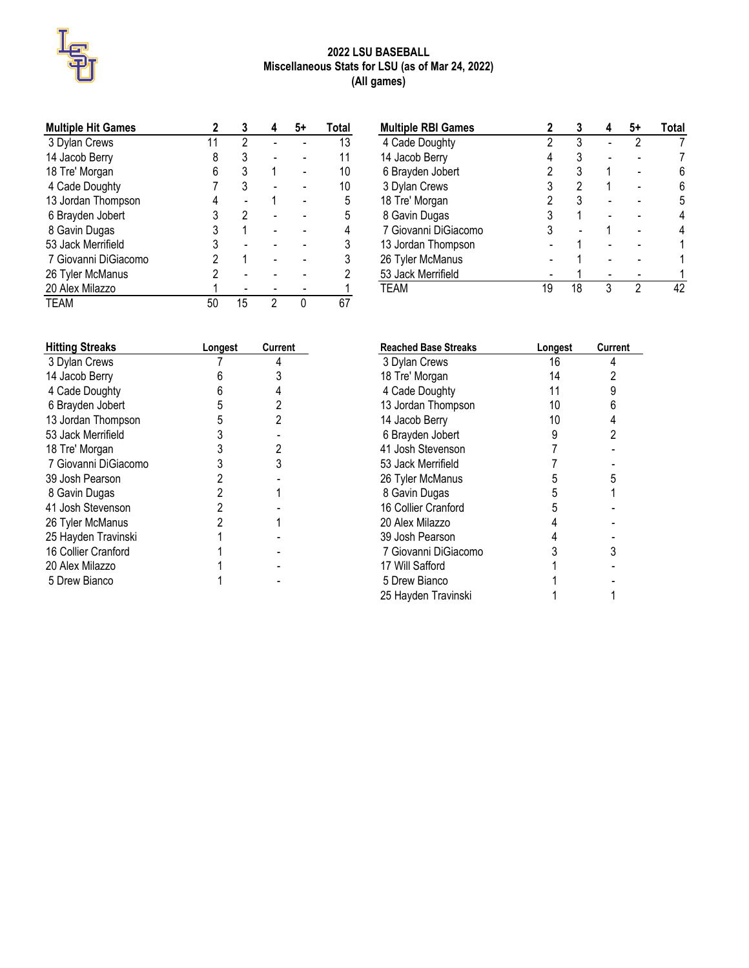

# **2022 LSU BASEBALL Miscellaneous Stats for LSU (as of Mar 24, 2022) (All games)**

| <b>Multiple Hit Games</b> |    | 3  |   | 5+ | Total |
|---------------------------|----|----|---|----|-------|
| 3 Dylan Crews             | 11 | 2  |   |    | 13    |
| 14 Jacob Berry            |    | 3  |   |    |       |
| 18 Tre' Morgan            | 6  | 3  |   |    | 10    |
| 4 Cade Doughty            |    | 3  |   |    | 10    |
| 13 Jordan Thompson        |    |    |   |    | 5     |
| 6 Brayden Jobert          | 3  | 2  |   |    | 5     |
| 8 Gavin Dugas             | 3  |    |   |    |       |
| 53 Jack Merrifield        |    |    |   |    |       |
| 7 Giovanni DiGiacomo      | 2  |    |   |    |       |
| 26 Tyler McManus          | 2  |    |   |    |       |
| 20 Alex Milazzo           |    |    |   |    |       |
| TEAM                      | 50 | 15 | っ |    |       |

| <b>Hitting Streaks</b> | Longest | Current |
|------------------------|---------|---------|
| 3 Dylan Crews          |         | 4       |
| 14 Jacob Berry         | 6       | 3       |
| 4 Cade Doughty         | 6       | 4       |
| 6 Brayden Jobert       | 5       | 2       |
| 13 Jordan Thompson     | 5       | 2       |
| 53 Jack Merrifield     | 3       |         |
| 18 Tre' Morgan         | 3       | 2       |
| 7 Giovanni DiGiacomo   | 3       | 3       |
| 39 Josh Pearson        | 2       |         |
| 8 Gavin Dugas          | 2       |         |
| 41 Josh Stevenson      | 2       |         |
| 26 Tyler McManus       | 2       |         |
| 25 Hayden Travinski    |         |         |
| 16 Collier Cranford    |         |         |
| 20 Alex Milazzo        |         |         |
| 5 Drew Bianco          |         |         |

| <b>Multiple RBI Games</b> |    | 3  |   | 5+ | Total |
|---------------------------|----|----|---|----|-------|
| 4 Cade Doughty            | 2  | 3  |   |    |       |
| 14 Jacob Berry            |    | 3  |   |    |       |
| 6 Brayden Jobert          | 2  | 3  |   |    | 6     |
| 3 Dylan Crews             | 3  | 2  |   |    | 6     |
| 18 Tre' Morgan            | 2  | 3  |   |    | 5     |
| 8 Gavin Dugas             | 3  |    |   |    |       |
| 7 Giovanni DiGiacomo      | 3  |    |   |    |       |
| 13 Jordan Thompson        |    |    |   |    |       |
| 26 Tyler McManus          |    |    |   |    |       |
| 53 Jack Merrifield        |    |    |   |    |       |
| TFAM                      | 19 | 18 | 3 |    | 12    |

| <b>Reached Base Streaks</b> | Longest | <b>Current</b> |
|-----------------------------|---------|----------------|
| 3 Dylan Crews               | 16      | 4              |
| 18 Tre' Morgan              | 14      | 2              |
| 4 Cade Doughty              | 11      | 9              |
| 13 Jordan Thompson          | 10      | 6              |
| 14 Jacob Berry              | 10      | 4              |
| 6 Brayden Jobert            | 9       | 2              |
| 41 Josh Stevenson           | 7       |                |
| 53 Jack Merrifield          |         |                |
| 26 Tyler McManus            | 5       | 5              |
| 8 Gavin Dugas               | 5       | 1              |
| 16 Collier Cranford         | 5       |                |
| 20 Alex Milazzo             | 4       |                |
| 39 Josh Pearson             | 4       |                |
| 7 Giovanni DiGiacomo        | 3       | 3              |
| 17 Will Safford             |         |                |
| 5 Drew Bianco               |         |                |
| 25 Hayden Travinski         |         |                |